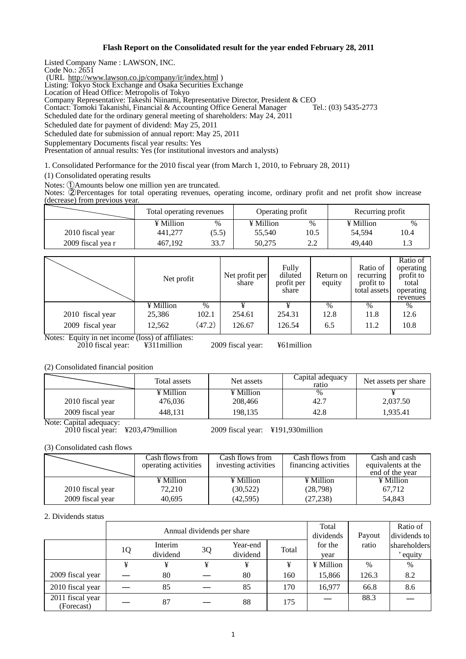### **Flash Report on the Consolidated result for the year ended February 28, 2011**

Listed Company Name : LAWSON, INC.

Code No.: 2651

(URL http://www.lawson.co.jp/company/ir/index.html )

Listing: Tokyo Stock Exchange and Osaka Securities Exchange

Location of Head Office: Metropolis of Tokyo

Company Representative: Takeshi Niinami, Representative Director, President & CEO

Contact: Tomoki Takanishi, Financial & Accounting Office General Manager Tel.: (03) 5435-2773

Scheduled date for the ordinary general meeting of shareholders: May 24, 2011

Scheduled date for payment of dividend: May 25, 2011

Scheduled date for submission of annual report: May 25, 2011

Supplementary Documents fiscal year results: Yes

Presentation of annual results: Yes (for institutional investors and analysts)

1. Consolidated Performance for the 2010 fiscal year (from March 1, 2010, to February 28, 2011)

(1) Consolidated operating results

Notes: ①Amounts below one million yen are truncated.

Notes: ②Percentages for total operating revenues, operating income, ordinary profit and net profit show increase (decrease) from previous year.

|                   | Total operating revenues |       | Operating profit |      | Recurring profit |      |
|-------------------|--------------------------|-------|------------------|------|------------------|------|
|                   | ¥ Million                | $\%$  | ¥ Million        | %    | ¥ Million        | $\%$ |
| 2010 fiscal year  | 441.277                  | (5.5) | 55,540           | 10.5 | 54.594           | 10.4 |
| 2009 fiscal yea r | 467.192                  | 33.7  | 50.275           | 2.2  | 49.440           |      |

|                                  | Net profit                                          |               | Net profit per<br>share | Fully<br>diluted<br>profit per<br>share | Return on<br>equity | Ratio of<br>recurring<br>profit to<br>total assets | Ratio of<br>operating<br>profit to<br>total<br>operating<br>revenues |
|----------------------------------|-----------------------------------------------------|---------------|-------------------------|-----------------------------------------|---------------------|----------------------------------------------------|----------------------------------------------------------------------|
|                                  | ¥ Million                                           | $\frac{0}{0}$ |                         |                                         | $\%$                | $\%$                                               | $\%$                                                                 |
| 2010 fiscal year                 | 25,386                                              | 102.1         | 254.61                  | 254.31                                  | 12.8                | 11.8                                               | 12.6                                                                 |
| 2009 fiscal year<br>$-$<br>_ _ _ | 12,562<br>$\sim$ $\sim$ $\sim$ $\sim$ $\sim$ $\sim$ | (47.2)        | 126.67                  | 126.54                                  | 6.5                 | 11.2                                               | 10.8                                                                 |

Notes: Equity in net income (loss) of affiliates: 2010 fiscal year: ¥311million 2009 fiscal year: ¥61million

(2) Consolidated financial position

|                  | Total assets | Net assets | Capital adequacy<br>ratio | Net assets per share |  |
|------------------|--------------|------------|---------------------------|----------------------|--|
|                  | ¥ Million    | ¥ Million  | $\%$                      |                      |  |
| 2010 fiscal year | 476.036      | 208,466    | 42.7                      | 2,037.50             |  |
| 2009 fiscal year | 448.131      | 198,135    | 42.8                      | 1,935.41             |  |

Note: Capital adequacy:

2010 fiscal year: ¥203,479million 2009 fiscal year: ¥191,930million

(3) Consolidated cash flows

|                  | Cash flows from<br>operating activities | Cash flows from<br>investing activities | Cash flows from<br>financing activities | Cash and cash<br>equivalents at the<br>end of the year |
|------------------|-----------------------------------------|-----------------------------------------|-----------------------------------------|--------------------------------------------------------|
|                  | ¥ Million                               | ¥ Million                               | $\angle$ Million                        | ¥ Million                                              |
| 2010 fiscal year | 72,210                                  | (30,522)                                | (28,798)                                | 67,712                                                 |
| 2009 fiscal year | 40.695                                  | (42, 595)                               | (27, 238)                               | 54.843                                                 |

### 2. Dividends status

|                                | Annual dividends per share |                     |    |                      |       | Total<br>dividends | Payout | Ratio of<br>dividends to |
|--------------------------------|----------------------------|---------------------|----|----------------------|-------|--------------------|--------|--------------------------|
|                                | 1Q                         | Interim<br>dividend | 3Q | Year-end<br>dividend | Total | for the<br>year    | ratio  | shareholders<br>equity   |
|                                |                            | ¥                   | ¥  | ¥                    | ¥     | ¥ Million          | $\%$   | $\%$                     |
| 2009 fiscal year               |                            | 80                  |    | 80                   | 160   | 15,866             | 126.3  | 8.2                      |
| 2010 fiscal year               |                            | 85                  |    | 85                   | 170   | 16,977             | 66.8   | 8.6                      |
| 2011 fiscal year<br>(Forecast) |                            | 87                  |    | 88                   | 175   |                    | 88.3   |                          |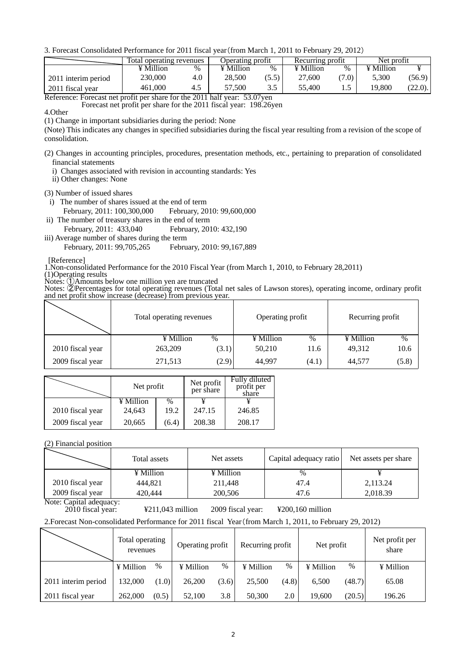3. Forecast Consolidated Performance for 2011 fiscal year(from March 1, 2011 to February 29, 2012)

|                                   | Total operating revenues |        |                 | Operating profit |           | Recurring profit | Net profit |         |
|-----------------------------------|--------------------------|--------|-----------------|------------------|-----------|------------------|------------|---------|
|                                   | ¥ Million                | $\%$   | ¥ Million       | $\%$             | ¥ Million | $\%$             | ¥ Million  |         |
| 2011 interim period               | 230.000                  | 4.0    | 28.500          | (5.5)            | 27,600    | (7.0)            | 5.300      | (56.9)  |
| 2011 fiscal year<br>$\sim$ $\sim$ | 461,000                  | ------ | 57.500<br>-- -- | ن. ب             | 55.400    |                  | 19.800     | (22.0). |

Reference: Forecast net profit per share for the 2011 half year: 53.07yen Forecast net profit per share for the 2011 fiscal year: 198.26yen

4.Other

(1) Change in important subsidiaries during the period: None

(Note) This indicates any changes in specified subsidiaries during the fiscal year resulting from a revision of the scope of consolidation.

- (2) Changes in accounting principles, procedures, presentation methods, etc., pertaining to preparation of consolidated financial statements
	- i) Changes associated with revision in accounting standards: Yes
	- ii) Other changes: None

(3) Number of issued shares

- i) The number of shares issued at the end of term February, 2011: 100,300,000 February, 2010: 99,600,000
- ii) The number of treasury shares in the end of term February, 2011: 433,040 February, 2010: 432,190
- iii) Average number of shares during the term

February, 2011: 99,705,265 February, 2010: 99,167,889

[Reference]

1.Non-consolidated Performance for the 2010 Fiscal Year (from March 1, 2010, to February 28,2011)

(1)Operating results

Notes: ①Amounts below one million yen are truncated

Notes: <sup>②</sup>Percentages for total operating revenues (Total net sales of Lawson stores), operating income, ordinary profit and net profit show increase (decrease) from previous year.

|                  | Total operating revenues | Operating profit | Recurring profit |  |
|------------------|--------------------------|------------------|------------------|--|
|                  | ¥ Million                | ¥ Million        | ¥ Million        |  |
|                  | $\%$                     | $\%$             | $\%$             |  |
| 2010 fiscal year | 263,209                  | 50,210           | 49,312           |  |
|                  | (3.1)                    | 11.6             | 10.6             |  |
| 2009 fiscal year | (2.9)                    | 44,997           | (5.8)            |  |
|                  | 271,513                  | (4.1)            | 44,577           |  |

|                  | Net profit |       | Net profit<br>per share | Fully diluted<br>profit per<br>share |
|------------------|------------|-------|-------------------------|--------------------------------------|
|                  | ¥ Million  | $\%$  |                         |                                      |
| 2010 fiscal year | 24,643     | 19.2  | 247.15                  | 246.85                               |
| 2009 fiscal year | 20,665     | (6.4) | 208.38                  | 208.17                               |

(2) Financial position

|                  | Total assets | Net assets | Capital adequacy ratio | Net assets per share |  |
|------------------|--------------|------------|------------------------|----------------------|--|
|                  | ¥ Million    | ¥ Million  | $\%$                   |                      |  |
| 2010 fiscal year | 444.821      | 211.448    | 47.4                   | 2,113.24             |  |
| 2009 fiscal year | 420.444      | 200,506    | 47.6                   | 2,018.39             |  |

Note: Capital adequacy:<br>2010 fiscal year:

2010 fiscal year: ¥211,043 million 2009 fiscal year: ¥200,160 million

2.Forecast Non-consolidated Performance for 2011 fiscal Year(from March 1, 2011, to February 29, 2012)

|                     | Total operating<br>revenues |       | Operating profit |       | Recurring profit |       | Net profit |        | Net profit per<br>share |
|---------------------|-----------------------------|-------|------------------|-------|------------------|-------|------------|--------|-------------------------|
|                     | $\angle$ Million            | $\%$  | ¥ Million        | $\%$  | ¥ Million        | %     | ¥ Million  | $\%$   | ¥ Million               |
| 2011 interim period | 132,000                     | (1.0) | 26,200           | (3.6) | 25,500           | (4.8) | 6.500      | (48.7) | 65.08                   |
| 2011 fiscal year    | 262,000                     | (0.5) | 52,100           | 3.8   | 50,300           | 2.0   | 19.600     | (20.5) | 196.26                  |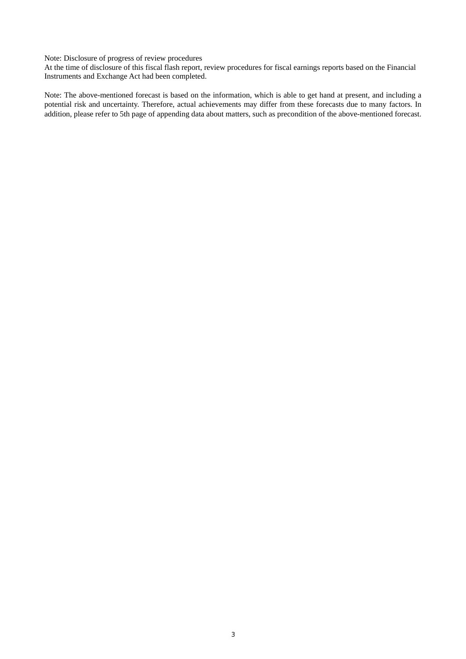Note: Disclosure of progress of review procedures

At the time of disclosure of this fiscal flash report, review procedures for fiscal earnings reports based on the Financial Instruments and Exchange Act had been completed.

Note: The above-mentioned forecast is based on the information, which is able to get hand at present, and including a potential risk and uncertainty. Therefore, actual achievements may differ from these forecasts due to many factors. In addition, please refer to 5th page of appending data about matters, such as precondition of the above-mentioned forecast.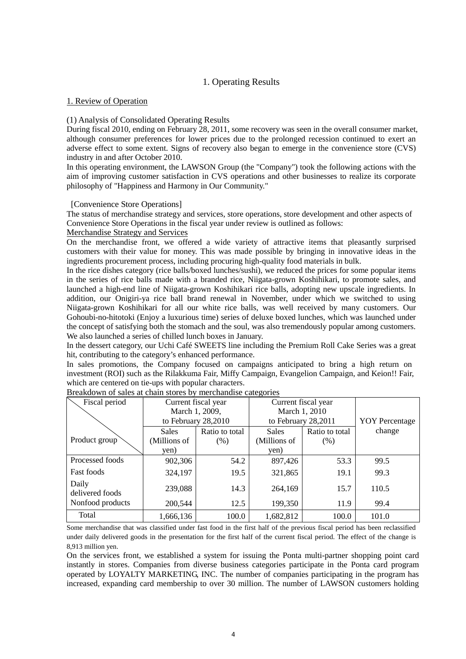# 1. Operating Results

## 1. Review of Operation

## (1) Analysis of Consolidated Operating Results

During fiscal 2010, ending on February 28, 2011, some recovery was seen in the overall consumer market, although consumer preferences for lower prices due to the prolonged recession continued to exert an adverse effect to some extent. Signs of recovery also began to emerge in the convenience store (CVS) industry in and after October 2010.

In this operating environment, the LAWSON Group (the "Company") took the following actions with the aim of improving customer satisfaction in CVS operations and other businesses to realize its corporate philosophy of "Happiness and Harmony in Our Community."

### [Convenience Store Operations]

The status of merchandise strategy and services, store operations, store development and other aspects of Convenience Store Operations in the fiscal year under review is outlined as follows:

### Merchandise Strategy and Services

On the merchandise front, we offered a wide variety of attractive items that pleasantly surprised customers with their value for money. This was made possible by bringing in innovative ideas in the ingredients procurement process, including procuring high-quality food materials in bulk.

In the rice dishes category (rice balls/boxed lunches/sushi), we reduced the prices for some popular items in the series of rice balls made with a branded rice, Niigata-grown Koshihikari, to promote sales, and launched a high-end line of Niigata-grown Koshihikari rice balls, adopting new upscale ingredients. In addition, our Onigiri-ya rice ball brand renewal in November, under which we switched to using Niigata-grown Koshihikari for all our white rice balls, was well received by many customers. Our Gohoubi-no-hitotoki (Enjoy a luxurious time) series of deluxe boxed lunches, which was launched under the concept of satisfying both the stomach and the soul, was also tremendously popular among customers. We also launched a series of chilled lunch boxes in January.

In the dessert category, our Uchi Café SWEETS line including the Premium Roll Cake Series was a great hit, contributing to the category's enhanced performance.

In sales promotions, the Company focused on campaigns anticipated to bring a high return on investment (ROI) such as the Rilakkuma Fair, Miffy Campaign, Evangelion Campaign, and Keion!! Fair, which are centered on tie-ups with popular characters.

| Fiscal period            | Current fiscal year |                | Current fiscal year |                |                       |
|--------------------------|---------------------|----------------|---------------------|----------------|-----------------------|
|                          |                     | March 1, 2009, |                     | March 1, 2010  |                       |
|                          | to February 28,2010 |                | to February 28,2011 |                | <b>YOY</b> Percentage |
|                          | <b>Sales</b>        | Ratio to total | <b>Sales</b>        | Ratio to total | change                |
| Product group            | (Millions of        | (% )           | (Millions of        | (% )           |                       |
|                          | yen)                |                | yen)                |                |                       |
| Processed foods          | 902,306             | 54.2           | 897,426             | 53.3           | 99.5                  |
| <b>Fast foods</b>        | 324,197             | 19.5           | 321,865             | 19.1           | 99.3                  |
| Daily<br>delivered foods | 239,088             | 14.3           | 264,169             | 15.7           | 110.5                 |
| Nonfood products         | 200,544             | 12.5           | 199,350             | 11.9           | 99.4                  |
| Total                    | 1,666,136           | 100.0          | 1,682,812           | 100.0          | 101.0                 |

Some merchandise that was classified under fast food in the first half of the previous fiscal period has been reclassified under daily delivered goods in the presentation for the first half of the current fiscal period. The effect of the change is 8,913 million yen.

On the services front, we established a system for issuing the Ponta multi-partner shopping point card instantly in stores. Companies from diverse business categories participate in the Ponta card program operated by LOYALTY MARKETING, INC. The number of companies participating in the program has increased, expanding card membership to over 30 million. The number of LAWSON customers holding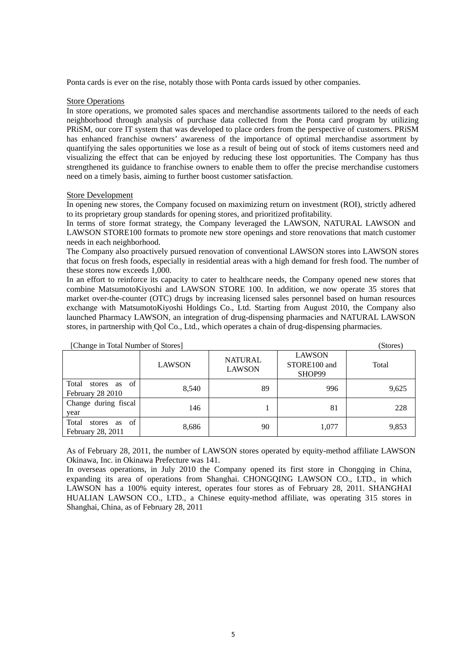Ponta cards is ever on the rise, notably those with Ponta cards issued by other companies.

### Store Operations

In store operations, we promoted sales spaces and merchandise assortments tailored to the needs of each neighborhood through analysis of purchase data collected from the Ponta card program by utilizing PRiSM, our core IT system that was developed to place orders from the perspective of customers. PRiSM has enhanced franchise owners' awareness of the importance of optimal merchandise assortment by quantifying the sales opportunities we lose as a result of being out of stock of items customers need and visualizing the effect that can be enjoyed by reducing these lost opportunities. The Company has thus strengthened its guidance to franchise owners to enable them to offer the precise merchandise customers need on a timely basis, aiming to further boost customer satisfaction.

#### Store Development

In opening new stores, the Company focused on maximizing return on investment (ROI), strictly adhered to its proprietary group standards for opening stores, and prioritized profitability.

In terms of store format strategy, the Company leveraged the LAWSON, NATURAL LAWSON and LAWSON STORE100 formats to promote new store openings and store renovations that match customer needs in each neighborhood.

The Company also proactively pursued renovation of conventional LAWSON stores into LAWSON stores that focus on fresh foods, especially in residential areas with a high demand for fresh food. The number of these stores now exceeds 1,000.

In an effort to reinforce its capacity to cater to healthcare needs, the Company opened new stores that combine MatsumotoKiyoshi and LAWSON STORE 100. In addition, we now operate 35 stores that market over-the-counter (OTC) drugs by increasing licensed sales personnel based on human resources exchange with MatsumotoKiyoshi Holdings Co., Ltd. Starting from August 2010, the Company also launched Pharmacy LAWSON, an integration of drug-dispensing pharmacies and NATURAL LAWSON stores, in partnership with Qol Co., Ltd., which operates a chain of drug-dispensing pharmacies.

| [Change in Total Number of Stores]                          |               | (Stores)                        |                                         |       |
|-------------------------------------------------------------|---------------|---------------------------------|-----------------------------------------|-------|
|                                                             | <b>LAWSON</b> | <b>NATURAL</b><br><b>LAWSON</b> | <b>LAWSON</b><br>STORE100 and<br>SHOP99 | Total |
| Total<br>as of<br>stores<br>February 28 2010                | 8,540         | 89                              | 996                                     | 9,625 |
| Change during fiscal<br>year                                | 146           |                                 | 81                                      | 228   |
| <sub>of</sub><br>Total<br>stores<br>as<br>February 28, 2011 | 8,686         | 90                              | 1,077                                   | 9,853 |

As of February 28, 2011, the number of LAWSON stores operated by equity-method affiliate LAWSON Okinawa, Inc. in Okinawa Prefecture was 141.

In overseas operations, in July 2010 the Company opened its first store in Chongqing in China, expanding its area of operations from Shanghai. CHONGQING LAWSON CO., LTD., in which LAWSON has a 100% equity interest, operates four stores as of February 28, 2011. SHANGHAI HUALIAN LAWSON CO., LTD., a Chinese equity-method affiliate, was operating 315 stores in Shanghai, China, as of February 28, 2011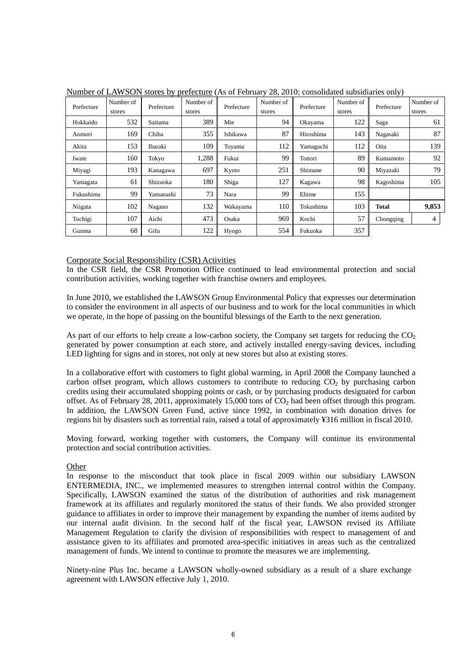| Prefecture | Number of<br>stores | Prefecture | Number of<br>stores | Prefecture | Number of<br>stores | Prefecture | Number of<br>stores | Prefecture   | Number of<br>stores |
|------------|---------------------|------------|---------------------|------------|---------------------|------------|---------------------|--------------|---------------------|
| Hokkaido   | 532                 | Saitama    | 389                 | Mie        | 94                  | Okayama    | 122                 | Saga         | 61                  |
| Aomori     | 169                 | Chiba      | 355                 | Ishikawa   | 87                  | Hiroshima  | 143                 | Nagasaki     | 87                  |
| Akita      | 153                 | Ibaraki    | 109                 | Toyama     | 112                 | Yamaguchi  | 112                 | Oita         | 139                 |
| Iwate      | 160                 | Tokyo      | 1,288               | Fukui      | 99                  | Tottori    | 89                  | Kumamoto     | 92                  |
| Miyagi     | 193                 | Kanagawa   | 697                 | Kyoto      | 251                 | Shimane    | 90                  | Miyazaki     | 79                  |
| Yamagata   | 61                  | Shizuoka   | 180                 | Shiga      | 127                 | Kagawa     | 98                  | Kagoshima    | 105                 |
| Fukushima  | 99                  | Yamanashi  | 73                  | Nara       | 99                  | Ehime      | 155                 |              |                     |
| Niigata    | 102                 | Nagano     | 132                 | Wakayama   | 110                 | Tokushima  | 103                 | <b>Total</b> | 9,853               |
| Tochigi    | 107                 | Aichi      | 473                 | Osaka      | 969                 | Kochi      | 57                  | Chongqing    | 4                   |
| Gunma      | 68                  | Gifu       | 122                 | Hyogo      | 554                 | Fukuoka    | 357                 |              |                     |

Number of LAWSON stores by prefecture (As of February 28, 2010; consolidated subsidiaries only)

### Corporate Social Responsibility (CSR) Activities

In the CSR field, the CSR Promotion Office continued to lead environmental protection and social contribution activities, working together with franchise owners and employees.

In June 2010, we established the LAWSON Group Environmental Policy that expresses our determination to consider the environment in all aspects of our business and to work for the local communities in which we operate, in the hope of passing on the bountiful blessings of the Earth to the next generation.

As part of our efforts to help create a low-carbon society, the Company set targets for reducing the  $CO<sub>2</sub>$ generated by power consumption at each store, and actively installed energy-saving devices, including LED lighting for signs and in stores, not only at new stores but also at existing stores.

In a collaborative effort with customers to fight global warming, in April 2008 the Company launched a carbon offset program, which allows customers to contribute to reducing  $CO<sub>2</sub>$  by purchasing carbon credits using their accumulated shopping points or cash, or by purchasing products designated for carbon offset. As of February 28, 2011, approximately 15,000 tons of  $CO<sub>2</sub>$  had been offset through this program. In addition, the LAWSON Green Fund, active since 1992, in combination with donation drives for regions hit by disasters such as torrential rain, raised a total of approximately ¥316 million in fiscal 2010.

Moving forward, working together with customers, the Company will continue its environmental protection and social contribution activities.

### **Other**

In response to the misconduct that took place in fiscal 2009 within our subsidiary LAWSON ENTERMEDIA, INC., we implemented measures to strengthen internal control within the Company. Specifically, LAWSON examined the status of the distribution of authorities and risk management framework at its affiliates and regularly monitored the status of their funds. We also provided stronger guidance to affiliates in order to improve their management by expanding the number of items audited by our internal audit division. In the second half of the fiscal year, LAWSON revised its Affiliate Management Regulation to clarify the division of responsibilities with respect to management of and assistance given to its affiliates and promoted area-specific initiatives in areas such as the centralized management of funds. We intend to continue to promote the measures we are implementing.

Ninety-nine Plus Inc. became a LAWSON wholly-owned subsidiary as a result of a share exchange agreement with LAWSON effective July 1, 2010.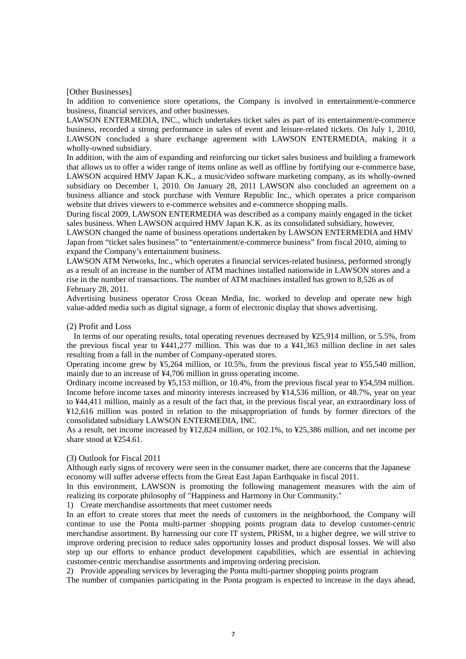#### [Other Businesses]

In addition to convenience store operations, the Company is involved in entertainment/e-commerce business, financial services, and other businesses.

LAWSON ENTERMEDIA, INC., which undertakes ticket sales as part of its entertainment/e-commerce business, recorded a strong performance in sales of event and leisure-related tickets. On July 1, 2010, LAWSON concluded a share exchange agreement with LAWSON ENTERMEDIA, making it a wholly-owned subsidiary.

In addition, with the aim of expanding and reinforcing our ticket sales business and building a framework that allows us to offer a wider range of items online as well as offline by fortifying our e-commerce base, LAWSON acquired HMV Japan K.K., a music/video software marketing company, as its wholly-owned subsidiary on December 1, 2010. On January 28, 2011 LAWSON also concluded an agreement on a business alliance and stock purchase with Venture Republic Inc., which operates a price comparison website that drives viewers to e-commerce websites and e-commerce shopping malls.

During fiscal 2009, LAWSON ENTERMEDIA was described as a company mainly engaged in the ticket sales business. When LAWSON acquired HMV Japan K.K. as its consolidated subsidiary, however,

LAWSON changed the name of business operations undertaken by LAWSON ENTERMEDIA and HMV Japan from "ticket sales business" to "entertainment/e-commerce business" from fiscal 2010, aiming to expand the Company's entertainment business.

LAWSON ATM Networks, Inc., which operates a financial services-related business, performed strongly as a result of an increase in the number of ATM machines installed nationwide in LAWSON stores and a rise in the number of transactions. The number of ATM machines installed has grown to 8,526 as of February 28, 2011.

Advertising business operator Cross Ocean Media, Inc. worked to develop and operate new high value-added media such as digital signage, a form of electronic display that shows advertising.

### (2) Profit and Loss

In terms of our operating results, total operating revenues decreased by ¥25,914 million, or 5.5%, from the previous fiscal year to ¥441,277 million. This was due to a ¥41,363 million decline in net sales resulting from a fall in the number of Company-operated stores.

Operating income grew by ¥5,264 million, or 10.5%, from the previous fiscal year to ¥55,540 million, mainly due to an increase of ¥4,706 million in gross operating income.

Ordinary income increased by ¥5,153 million, or 10.4%, from the previous fiscal year to ¥54,594 million. Income before income taxes and minority interests increased by ¥14,536 million, or 48.7%, year on year to ¥44,411 million, mainly as a result of the fact that, in the previous fiscal year, an extraordinary loss of ¥12,616 million was posted in relation to the misappropriation of funds by former directors of the consolidated subsidiary LAWSON ENTERMEDIA, INC.

As a result, net income increased by ¥12,824 million, or 102.1%, to ¥25,386 million, and net income per share stood at ¥254.61.

### (3) Outlook for Fiscal 2011

Although early signs of recovery were seen in the consumer market, there are concerns that the Japanese economy will suffer adverse effects from the Great East Japan Earthquake in fiscal 2011.

In this environment, LAWSON is promoting the following management measures with the aim of realizing its corporate philosophy of "Happiness and Harmony in Our Community."

1) Create merchandise assortments that meet customer needs

In an effort to create stores that meet the needs of customers in the neighborhood, the Company will continue to use the Ponta multi-partner shopping points program data to develop customer-centric merchandise assortment. By harnessing our core IT system, PRiSM, to a higher degree, we will strive to improve ordering precision to reduce sales opportunity losses and product disposal losses. We will also step up our efforts to enhance product development capabilities, which are essential in achieving customer-centric merchandise assortments and improving ordering precision.

2) Provide appealing services by leveraging the Ponta multi-partner shopping points program

The number of companies participating in the Ponta program is expected to increase in the days ahead,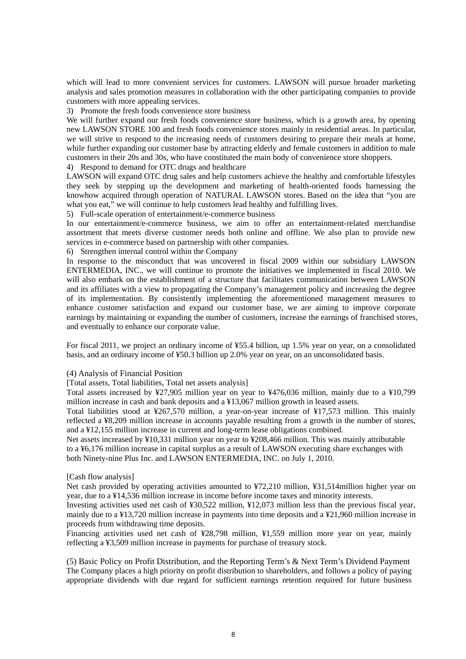which will lead to more convenient services for customers. LAWSON will pursue broader marketing analysis and sales promotion measures in collaboration with the other participating companies to provide customers with more appealing services.

3) Promote the fresh foods convenience store business

We will further expand our fresh foods convenience store business, which is a growth area, by opening new LAWSON STORE 100 and fresh foods convenience stores mainly in residential areas. In particular, we will strive to respond to the increasing needs of customers desiring to prepare their meals at home, while further expanding our customer base by attracting elderly and female customers in addition to male customers in their 20s and 30s, who have constituted the main body of convenience store shoppers.

4) Respond to demand for OTC drugs and healthcare

LAWSON will expand OTC drug sales and help customers achieve the healthy and comfortable lifestyles they seek by stepping up the development and marketing of health-oriented foods harnessing the knowhow acquired through operation of NATURAL LAWSON stores. Based on the idea that "you are what you eat," we will continue to help customers lead healthy and fulfilling lives.

5) Full-scale operation of entertainment/e-commerce business

In our entertainment/e-commerce business, we aim to offer an entertainment-related merchandise assortment that meets diverse customer needs both online and offline. We also plan to provide new services in e-commerce based on partnership with other companies.

6) Strengthen internal control within the Company

In response to the misconduct that was uncovered in fiscal 2009 within our subsidiary LAWSON ENTERMEDIA, INC., we will continue to promote the initiatives we implemented in fiscal 2010. We will also embark on the establishment of a structure that facilitates communication between LAWSON and its affiliates with a view to propagating the Company's management policy and increasing the degree of its implementation. By consistently implementing the aforementioned management measures to enhance customer satisfaction and expand our customer base, we are aiming to improve corporate earnings by maintaining or expanding the number of customers, increase the earnings of franchised stores, and eventually to enhance our corporate value.

For fiscal 2011, we project an ordinary income of ¥55.4 billion, up 1.5% year on year, on a consolidated basis, and an ordinary income of ¥50.3 billion up 2.0% year on year, on an unconsolidated basis.

### (4) Analysis of Financial Position

[Total assets, Total liabilities, Total net assets analysis]

Total assets increased by ¥27,905 million year on year to ¥476,036 million, mainly due to a ¥10,799 million increase in cash and bank deposits and a ¥13,067 million growth in leased assets.

Total liabilities stood at ¥267,570 million, a year-on-year increase of ¥17,573 million. This mainly reflected a ¥8,209 million increase in accounts payable resulting from a growth in the number of stores, and a ¥12,155 million increase in current and long-term lease obligations combined.

Net assets increased by ¥10,331 million year on year to ¥208,466 million. This was mainly attributable to a ¥6,176 million increase in capital surplus as a result of LAWSON executing share exchanges with both Ninety-nine Plus Inc. and LAWSON ENTERMEDIA, INC. on July 1, 2010.

[Cash flow analysis]

Net cash provided by operating activities amounted to ¥72,210 million, ¥31,514million higher year on year, due to a ¥14,536 million increase in income before income taxes and minority interests.

Investing activities used net cash of ¥30,522 million, ¥12,073 million less than the previous fiscal year, mainly due to a ¥13,720 million increase in payments into time deposits and a ¥21,960 million increase in proceeds from withdrawing time deposits.

Financing activities used net cash of ¥28,798 million, ¥1,559 million more year on year, mainly reflecting a ¥3,509 million increase in payments for purchase of treasury stock.

(5) Basic Policy on Profit Distribution, and the Reporting Term's & Next Term's Dividend Payment The Company places a high priority on profit distribution to shareholders, and follows a policy of paying appropriate dividends with due regard for sufficient earnings retention required for future business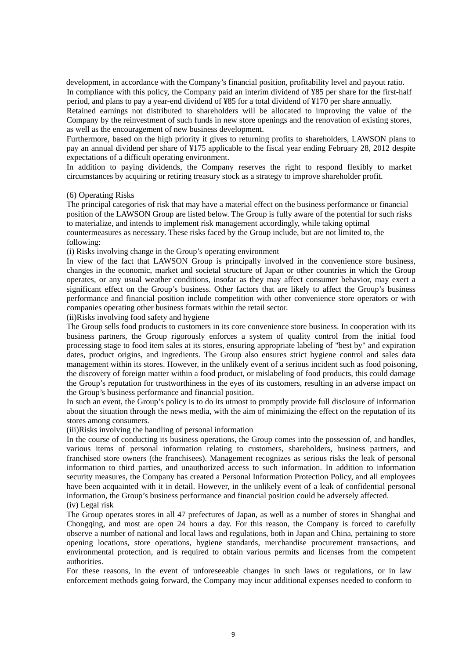development, in accordance with the Company's financial position, profitability level and payout ratio. In compliance with this policy, the Company paid an interim dividend of ¥85 per share for the first-half period, and plans to pay a year-end dividend of ¥85 for a total dividend of ¥170 per share annually.

Retained earnings not distributed to shareholders will be allocated to improving the value of the Company by the reinvestment of such funds in new store openings and the renovation of existing stores, as well as the encouragement of new business development.

Furthermore, based on the high priority it gives to returning profits to shareholders, LAWSON plans to pay an annual dividend per share of ¥175 applicable to the fiscal year ending February 28, 2012 despite expectations of a difficult operating environment.

In addition to paying dividends, the Company reserves the right to respond flexibly to market circumstances by acquiring or retiring treasury stock as a strategy to improve shareholder profit.

### (6) Operating Risks

The principal categories of risk that may have a material effect on the business performance or financial position of the LAWSON Group are listed below. The Group is fully aware of the potential for such risks to materialize, and intends to implement risk management accordingly, while taking optimal countermeasures as necessary. These risks faced by the Group include, but are not limited to, the following:

(i) Risks involving change in the Group's operating environment

In view of the fact that LAWSON Group is principally involved in the convenience store business, changes in the economic, market and societal structure of Japan or other countries in which the Group operates, or any usual weather conditions, insofar as they may affect consumer behavior, may exert a significant effect on the Group's business. Other factors that are likely to affect the Group's business performance and financial position include competition with other convenience store operators or with companies operating other business formats within the retail sector.

(ii)Risks involving food safety and hygiene

The Group sells food products to customers in its core convenience store business. In cooperation with its business partners, the Group rigorously enforces a system of quality control from the initial food processing stage to food item sales at its stores, ensuring appropriate labeling of "best by" and expiration dates, product origins, and ingredients. The Group also ensures strict hygiene control and sales data management within its stores. However, in the unlikely event of a serious incident such as food poisoning, the discovery of foreign matter within a food product, or mislabeling of food products, this could damage the Group's reputation for trustworthiness in the eyes of its customers, resulting in an adverse impact on the Group's business performance and financial position.

In such an event, the Group's policy is to do its utmost to promptly provide full disclosure of information about the situation through the news media, with the aim of minimizing the effect on the reputation of its stores among consumers.

(iii)Risks involving the handling of personal information

In the course of conducting its business operations, the Group comes into the possession of, and handles, various items of personal information relating to customers, shareholders, business partners, and franchised store owners (the franchisees). Management recognizes as serious risks the leak of personal information to third parties, and unauthorized access to such information. In addition to information security measures, the Company has created a Personal Information Protection Policy, and all employees have been acquainted with it in detail. However, in the unlikely event of a leak of confidential personal information, the Group's business performance and financial position could be adversely affected. (iv) Legal risk

The Group operates stores in all 47 prefectures of Japan, as well as a number of stores in Shanghai and Chongqing, and most are open 24 hours a day. For this reason, the Company is forced to carefully observe a number of national and local laws and regulations, both in Japan and China, pertaining to store opening locations, store operations, hygiene standards, merchandise procurement transactions, and environmental protection, and is required to obtain various permits and licenses from the competent authorities.

For these reasons, in the event of unforeseeable changes in such laws or regulations, or in law enforcement methods going forward, the Company may incur additional expenses needed to conform to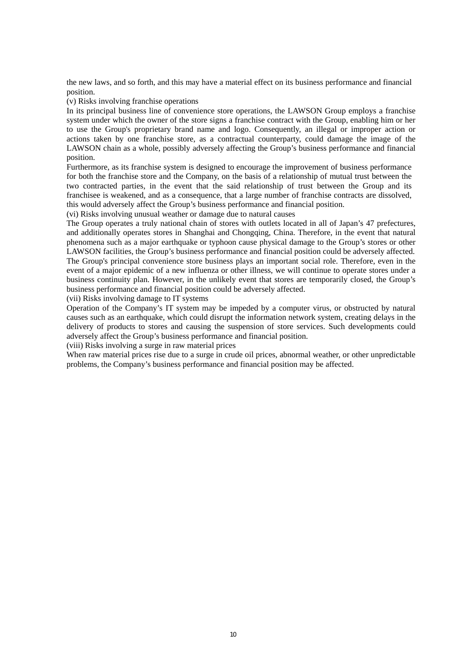the new laws, and so forth, and this may have a material effect on its business performance and financial position.

(v) Risks involving franchise operations

In its principal business line of convenience store operations, the LAWSON Group employs a franchise system under which the owner of the store signs a franchise contract with the Group, enabling him or her to use the Group's proprietary brand name and logo. Consequently, an illegal or improper action or actions taken by one franchise store, as a contractual counterparty, could damage the image of the LAWSON chain as a whole, possibly adversely affecting the Group's business performance and financial position.

Furthermore, as its franchise system is designed to encourage the improvement of business performance for both the franchise store and the Company, on the basis of a relationship of mutual trust between the two contracted parties, in the event that the said relationship of trust between the Group and its franchisee is weakened, and as a consequence, that a large number of franchise contracts are dissolved, this would adversely affect the Group's business performance and financial position.

(vi) Risks involving unusual weather or damage due to natural causes

The Group operates a truly national chain of stores with outlets located in all of Japan's 47 prefectures, and additionally operates stores in Shanghai and Chongqing, China. Therefore, in the event that natural phenomena such as a major earthquake or typhoon cause physical damage to the Group's stores or other LAWSON facilities, the Group's business performance and financial position could be adversely affected. The Group's principal convenience store business plays an important social role. Therefore, even in the event of a major epidemic of a new influenza or other illness, we will continue to operate stores under a business continuity plan. However, in the unlikely event that stores are temporarily closed, the Group's business performance and financial position could be adversely affected.

(vii) Risks involving damage to IT systems

Operation of the Company's IT system may be impeded by a computer virus, or obstructed by natural causes such as an earthquake, which could disrupt the information network system, creating delays in the delivery of products to stores and causing the suspension of store services. Such developments could adversely affect the Group's business performance and financial position.

(viii) Risks involving a surge in raw material prices

When raw material prices rise due to a surge in crude oil prices, abnormal weather, or other unpredictable problems, the Company's business performance and financial position may be affected.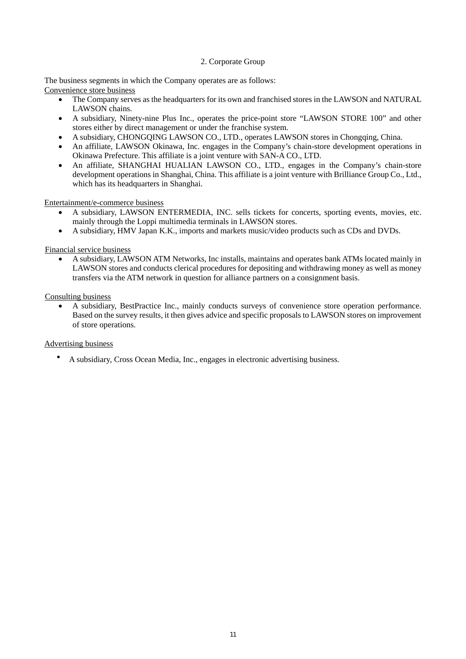### 2. Corporate Group

The business segments in which the Company operates are as follows: Convenience store business

- The Company serves as the headquarters for its own and franchised stores in the LAWSON and NATURAL LAWSON chains.
- A subsidiary, Ninety-nine Plus Inc., operates the price-point store "LAWSON STORE 100" and other stores either by direct management or under the franchise system.
- A subsidiary, CHONGQING LAWSON CO., LTD., operates LAWSON stores in Chongqing, China.
- An affiliate, LAWSON Okinawa, Inc. engages in the Company's chain-store development operations in Okinawa Prefecture. This affiliate is a joint venture with SAN-A CO., LTD.
- An affiliate, SHANGHAI HUALIAN LAWSON CO., LTD., engages in the Company's chain-store development operations in Shanghai, China. This affiliate is a joint venture with Brilliance Group Co., Ltd., which has its headquarters in Shanghai.

Entertainment/e-commerce business

- A subsidiary, LAWSON ENTERMEDIA, INC. sells tickets for concerts, sporting events, movies, etc. mainly through the Loppi multimedia terminals in LAWSON stores.
- A subsidiary, HMV Japan K.K., imports and markets music/video products such as CDs and DVDs.

Financial service business

 A subsidiary, LAWSON ATM Networks, Inc installs, maintains and operates bank ATMs located mainly in LAWSON stores and conducts clerical procedures for depositing and withdrawing money as well as money transfers via the ATM network in question for alliance partners on a consignment basis.

Consulting business

 A subsidiary, BestPractice Inc., mainly conducts surveys of convenience store operation performance. Based on the survey results, it then gives advice and specific proposals to LAWSON stores on improvement of store operations.

## Advertising business

・ A subsidiary, Cross Ocean Media, Inc., engages in electronic advertising business.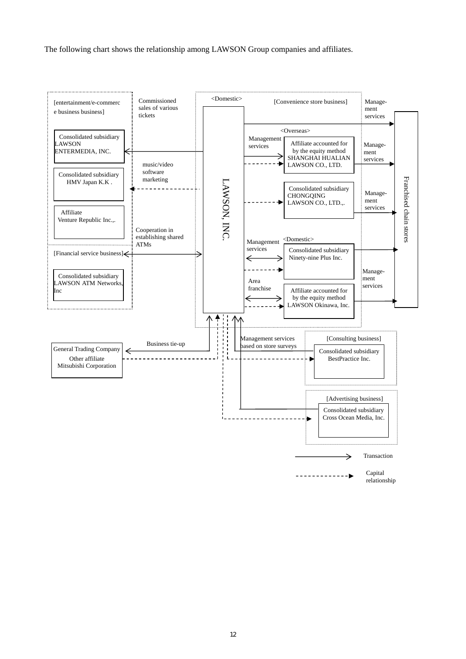The following chart shows the relationship among LAWSON Group companies and affiliates.

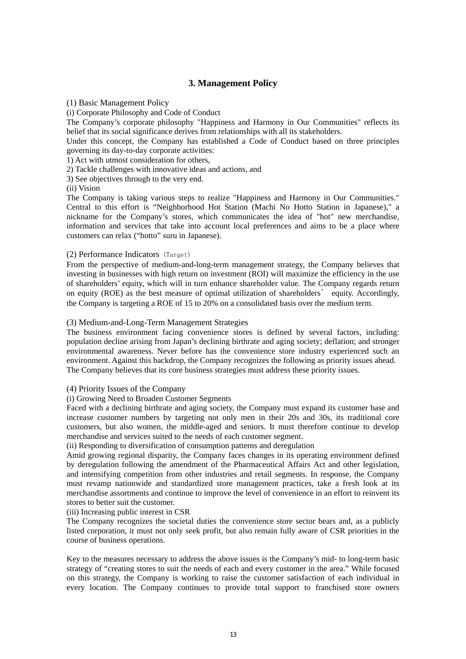# **3. Management Policy**

(1) Basic Management Policy

(i) Corporate Philosophy and Code of Conduct

The Company's corporate philosophy "Happiness and Harmony in Our Communities" reflects its belief that its social significance derives from relationships with all its stakeholders.

Under this concept, the Company has established a Code of Conduct based on three principles governing its day-to-day corporate activities:

1) Act with utmost consideration for others,

2) Tackle challenges with innovative ideas and actions, and

3) See objectives through to the very end.

(ii) Vision

The Company is taking various steps to realize "Happiness and Harmony in Our Communities." Central to this effort is "Neighborhood Hot Station (Machi No Hotto Station in Japanese)," a nickname for the Company's stores, which communicates the idea of "hot" new merchandise, information and services that take into account local preferences and aims to be a place where customers can relax ("hotto" suru in Japanese).

### (2) Performance Indicators (Target)

From the perspective of medium-and-long-term management strategy, the Company believes that investing in businesses with high return on investment (ROI) will maximize the efficiency in the use of shareholders' equity, which will in turn enhance shareholder value. The Company regards return on equity (ROE) as the best measure of optimal utilization of shareholders' equity. Accordingly, the Company is targeting a ROE of 15 to 20% on a consolidated basis over the medium term.

### (3) Medium-and-Long-Term Management Strategies

The business environment facing convenience stores is defined by several factors, including: population decline arising from Japan's declining birthrate and aging society; deflation; and stronger environmental awareness. Never before has the convenience store industry experienced such an environment. Against this backdrop, the Company recognizes the following as priority issues ahead. The Company believes that its core business strategies must address these priority issues.

## (4) Priority Issues of the Company

## (i) Growing Need to Broaden Customer Segments

Faced with a declining birthrate and aging society, the Company must expand its customer base and increase customer numbers by targeting not only men in their 20s and 30s, its traditional core customers, but also women, the middle-aged and seniors. It must therefore continue to develop merchandise and services suited to the needs of each customer segment.

(ii) Responding to diversification of consumption patterns and deregulation

Amid growing regional disparity, the Company faces changes in its operating environment defined by deregulation following the amendment of the Pharmaceutical Affairs Act and other legislation, and intensifying competition from other industries and retail segments. In response, the Company must revamp nationwide and standardized store management practices, take a fresh look at its merchandise assortments and continue to improve the level of convenience in an effort to reinvent its stores to better suit the customer.

(iii) Increasing public interest in CSR

The Company recognizes the societal duties the convenience store sector bears and, as a publicly listed corporation, it must not only seek profit, but also remain fully aware of CSR priorities in the course of business operations.

Key to the measures necessary to address the above issues is the Company's mid- to long-term basic strategy of "creating stores to suit the needs of each and every customer in the area." While focused on this strategy, the Company is working to raise the customer satisfaction of each individual in every location. The Company continues to provide total support to franchised store owners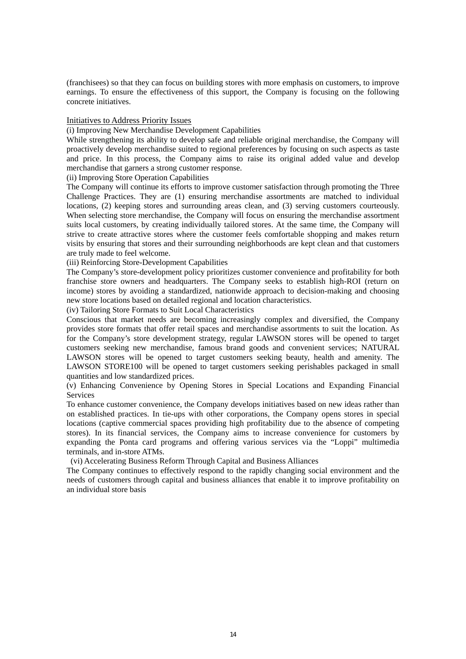(franchisees) so that they can focus on building stores with more emphasis on customers, to improve earnings. To ensure the effectiveness of this support, the Company is focusing on the following concrete initiatives.

### Initiatives to Address Priority Issues

(i) Improving New Merchandise Development Capabilities

While strengthening its ability to develop safe and reliable original merchandise, the Company will proactively develop merchandise suited to regional preferences by focusing on such aspects as taste and price. In this process, the Company aims to raise its original added value and develop merchandise that garners a strong customer response.

(ii) Improving Store Operation Capabilities

The Company will continue its efforts to improve customer satisfaction through promoting the Three Challenge Practices. They are (1) ensuring merchandise assortments are matched to individual locations, (2) keeping stores and surrounding areas clean, and (3) serving customers courteously. When selecting store merchandise, the Company will focus on ensuring the merchandise assortment suits local customers, by creating individually tailored stores. At the same time, the Company will strive to create attractive stores where the customer feels comfortable shopping and makes return visits by ensuring that stores and their surrounding neighborhoods are kept clean and that customers are truly made to feel welcome.

(iii) Reinforcing Store-Development Capabilities

The Company's store-development policy prioritizes customer convenience and profitability for both franchise store owners and headquarters. The Company seeks to establish high-ROI (return on income) stores by avoiding a standardized, nationwide approach to decision-making and choosing new store locations based on detailed regional and location characteristics.

(iv) Tailoring Store Formats to Suit Local Characteristics

Conscious that market needs are becoming increasingly complex and diversified, the Company provides store formats that offer retail spaces and merchandise assortments to suit the location. As for the Company's store development strategy, regular LAWSON stores will be opened to target customers seeking new merchandise, famous brand goods and convenient services; NATURAL LAWSON stores will be opened to target customers seeking beauty, health and amenity. The LAWSON STORE100 will be opened to target customers seeking perishables packaged in small quantities and low standardized prices.

(v) Enhancing Convenience by Opening Stores in Special Locations and Expanding Financial Services

To enhance customer convenience, the Company develops initiatives based on new ideas rather than on established practices. In tie-ups with other corporations, the Company opens stores in special locations (captive commercial spaces providing high profitability due to the absence of competing stores). In its financial services, the Company aims to increase convenience for customers by expanding the Ponta card programs and offering various services via the "Loppi" multimedia terminals, and in-store ATMs.

(vi) Accelerating Business Reform Through Capital and Business Alliances

The Company continues to effectively respond to the rapidly changing social environment and the needs of customers through capital and business alliances that enable it to improve profitability on an individual store basis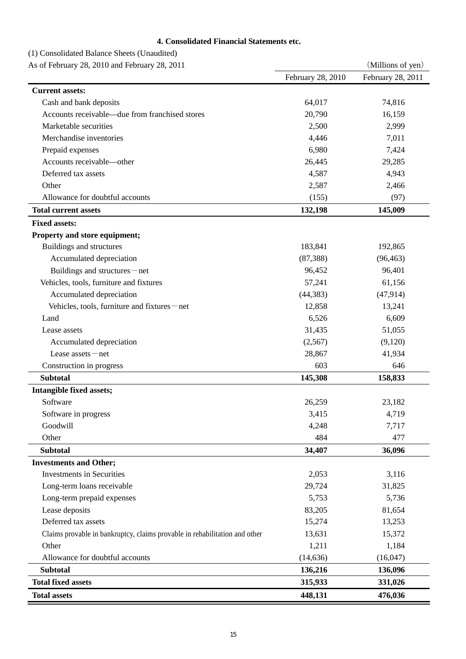# **4. Consolidated Financial Statements etc.**

# (1) Consolidated Balance Sheets (Unaudited)

As of February 28, 2010 and February 28, 2011 (Millions of yen)

| As of February 28, 2010 and February 28, 2011                              |                   | $\text{V}\left(\text{V}\right)$ |
|----------------------------------------------------------------------------|-------------------|---------------------------------|
|                                                                            | February 28, 2010 | February 28, 2011               |
| <b>Current assets:</b>                                                     |                   |                                 |
| Cash and bank deposits                                                     | 64,017            | 74,816                          |
| Accounts receivable—due from franchised stores                             | 20,790            | 16,159                          |
| Marketable securities                                                      | 2,500             | 2,999                           |
| Merchandise inventories                                                    | 4,446             | 7,011                           |
| Prepaid expenses                                                           | 6,980             | 7,424                           |
| Accounts receivable—other                                                  | 26,445            | 29,285                          |
| Deferred tax assets                                                        | 4,587             | 4,943                           |
| Other                                                                      | 2,587             | 2,466                           |
| Allowance for doubtful accounts                                            | (155)             | (97)                            |
| <b>Total current assets</b>                                                | 132,198           | 145,009                         |
| <b>Fixed assets:</b>                                                       |                   |                                 |
| Property and store equipment;                                              |                   |                                 |
| Buildings and structures                                                   | 183,841           | 192,865                         |
| Accumulated depreciation                                                   | (87, 388)         | (96, 463)                       |
| Buildings and structures-net                                               | 96,452            | 96,401                          |
| Vehicles, tools, furniture and fixtures                                    | 57,241            | 61,156                          |
| Accumulated depreciation                                                   | (44, 383)         | (47, 914)                       |
| Vehicles, tools, furniture and fixtures-net                                | 12,858            | 13,241                          |
| Land                                                                       | 6,526             | 6,609                           |
| Lease assets                                                               | 31,435            | 51,055                          |
| Accumulated depreciation                                                   | (2,567)           | (9,120)                         |
| Lease assets $-$ net                                                       | 28,867            | 41,934                          |
| Construction in progress                                                   | 603               | 646                             |
| <b>Subtotal</b>                                                            | 145,308           | 158,833                         |
| Intangible fixed assets;                                                   |                   |                                 |
| Software                                                                   | 26,259            | 23,182                          |
| Software in progress                                                       | 3,415             | 4,719                           |
| Goodwill                                                                   | 4,248             | 7,717                           |
| Other                                                                      | 484               | 477                             |
| <b>Subtotal</b>                                                            | 34,407            | 36,096                          |
| <b>Investments and Other;</b>                                              |                   |                                 |
| <b>Investments in Securities</b>                                           | 2,053             | 3,116                           |
| Long-term loans receivable                                                 | 29,724            | 31,825                          |
| Long-term prepaid expenses                                                 | 5,753             | 5,736                           |
| Lease deposits                                                             | 83,205            | 81,654                          |
| Deferred tax assets                                                        | 15,274            | 13,253                          |
| Claims provable in bankruptcy, claims provable in rehabilitation and other | 13,631            | 15,372                          |
| Other                                                                      | 1,211             | 1,184                           |
| Allowance for doubtful accounts                                            | (14, 636)         | (16, 047)                       |
| <b>Subtotal</b>                                                            | 136,216           | 136,096                         |
| <b>Total fixed assets</b>                                                  | 315,933           | 331,026                         |
| <b>Total assets</b>                                                        | 448,131           | 476,036                         |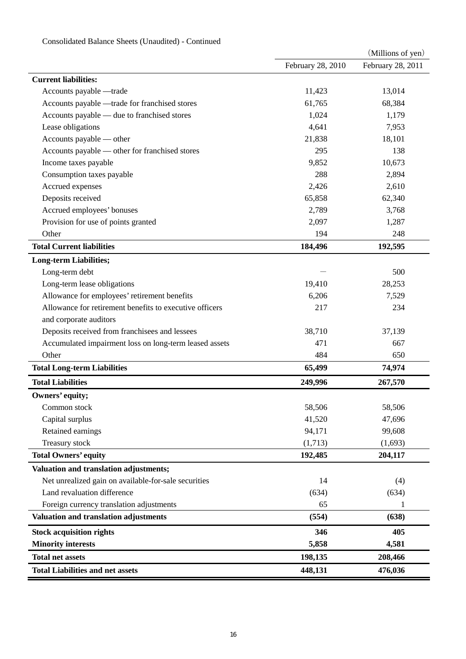|                                                         |                   | (Millions of yen) |
|---------------------------------------------------------|-------------------|-------------------|
|                                                         | February 28, 2010 | February 28, 2011 |
| <b>Current liabilities:</b>                             |                   |                   |
| Accounts payable - trade                                | 11,423            | 13,014            |
| Accounts payable - trade for franchised stores          | 61,765            | 68,384            |
| Accounts payable - due to franchised stores             | 1,024             | 1,179             |
| Lease obligations                                       | 4,641             | 7,953             |
| Accounts payable — other                                | 21,838            | 18,101            |
| Accounts payable — other for franchised stores          | 295               | 138               |
| Income taxes payable                                    | 9,852             | 10,673            |
| Consumption taxes payable                               | 288               | 2,894             |
| Accrued expenses                                        | 2,426             | 2,610             |
| Deposits received                                       | 65,858            | 62,340            |
| Accrued employees' bonuses                              | 2,789             | 3,768             |
| Provision for use of points granted                     | 2,097             | 1,287             |
| Other                                                   | 194               | 248               |
| <b>Total Current liabilities</b>                        | 184,496           | 192,595           |
| <b>Long-term Liabilities;</b>                           |                   |                   |
| Long-term debt                                          |                   | 500               |
| Long-term lease obligations                             | 19,410            | 28,253            |
| Allowance for employees' retirement benefits            | 6,206             | 7,529             |
| Allowance for retirement benefits to executive officers | 217               | 234               |
| and corporate auditors                                  |                   |                   |
| Deposits received from franchisees and lessees          | 38,710            | 37,139            |
| Accumulated impairment loss on long-term leased assets  | 471               | 667               |
| Other                                                   | 484               | 650               |
| <b>Total Long-term Liabilities</b>                      | 65,499            | 74,974            |
| <b>Total Liabilities</b>                                | 249,996           | 267,570           |
| Owners' equity;                                         |                   |                   |
| Common stock                                            | 58,506            | 58,506            |
| Capital surplus                                         | 41,520            | 47,696            |
| Retained earnings                                       | 94,171            | 99,608            |
| Treasury stock                                          | (1,713)           | (1,693)           |
| <b>Total Owners' equity</b>                             | 192,485           | 204,117           |
| Valuation and translation adjustments;                  |                   |                   |
| Net unrealized gain on available-for-sale securities    | 14                | (4)               |
| Land revaluation difference                             | (634)             | (634)             |
| Foreign currency translation adjustments                | 65                | 1                 |
| Valuation and translation adjustments                   | (554)             | (638)             |
| <b>Stock acquisition rights</b>                         | 346               | 405               |
| <b>Minority interests</b>                               | 5,858             | 4,581             |
| <b>Total net assets</b>                                 | 198,135           | 208,466           |
| <b>Total Liabilities and net assets</b>                 | 448,131           | 476,036           |
|                                                         |                   |                   |

# Consolidated Balance Sheets (Unaudited) - Continued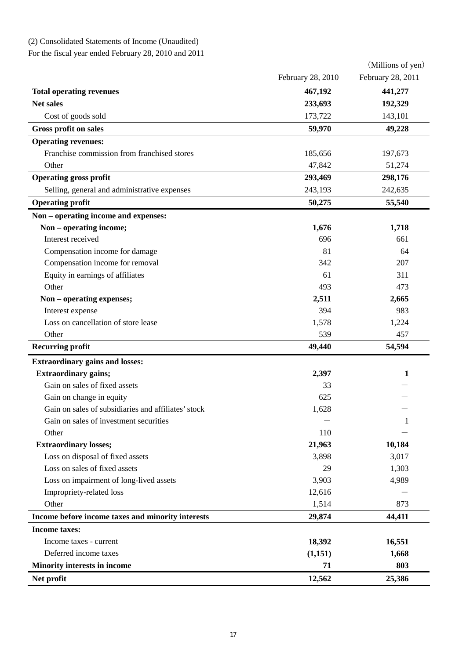# (2) Consolidated Statements of Income (Unaudited)

For the fiscal year ended February 28, 2010 and 2011

|                                                     |                   | (Millions of yen) |
|-----------------------------------------------------|-------------------|-------------------|
|                                                     | February 28, 2010 | February 28, 2011 |
| <b>Total operating revenues</b>                     | 467,192           | 441,277           |
| <b>Net sales</b>                                    | 233,693           | 192,329           |
| Cost of goods sold                                  | 173,722           | 143,101           |
| <b>Gross profit on sales</b>                        | 59,970            | 49,228            |
| <b>Operating revenues:</b>                          |                   |                   |
| Franchise commission from franchised stores         | 185,656           | 197,673           |
| Other                                               | 47,842            | 51,274            |
| <b>Operating gross profit</b>                       | 293,469           | 298,176           |
| Selling, general and administrative expenses        | 243,193           | 242,635           |
| <b>Operating profit</b>                             | 50,275            | 55,540            |
| Non – operating income and expenses:                |                   |                   |
| Non - operating income;                             | 1,676             | 1,718             |
| Interest received                                   | 696               | 661               |
| Compensation income for damage                      | 81                | 64                |
| Compensation income for removal                     | 342               | 207               |
| Equity in earnings of affiliates                    | 61                | 311               |
| Other                                               | 493               | 473               |
| Non - operating expenses;                           | 2,511             | 2,665             |
| Interest expense                                    | 394               | 983               |
| Loss on cancellation of store lease                 | 1,578             | 1,224             |
| Other                                               | 539               | 457               |
| <b>Recurring profit</b>                             | 49,440            | 54,594            |
| <b>Extraordinary gains and losses:</b>              |                   |                   |
| <b>Extraordinary gains;</b>                         | 2,397             | 1                 |
| Gain on sales of fixed assets                       | 33                |                   |
| Gain on change in equity                            | 625               |                   |
| Gain on sales of subsidiaries and affiliates' stock | 1,628             |                   |
| Gain on sales of investment securities              |                   | 1                 |
| Other                                               | 110               |                   |
| <b>Extraordinary losses;</b>                        | 21,963            | 10,184            |
| Loss on disposal of fixed assets                    | 3,898             | 3,017             |
| Loss on sales of fixed assets                       | 29                | 1,303             |
| Loss on impairment of long-lived assets             | 3,903             | 4,989             |
| Impropriety-related loss                            | 12,616            |                   |
| Other                                               | 1,514             | 873               |
| Income before income taxes and minority interests   | 29,874            | 44,411            |
| <b>Income taxes:</b>                                |                   |                   |
| Income taxes - current                              | 18,392            | 16,551            |
| Deferred income taxes                               | (1,151)           | 1,668             |
| <b>Minority interests in income</b>                 | 71                | 803               |
| Net profit                                          | 12,562            | 25,386            |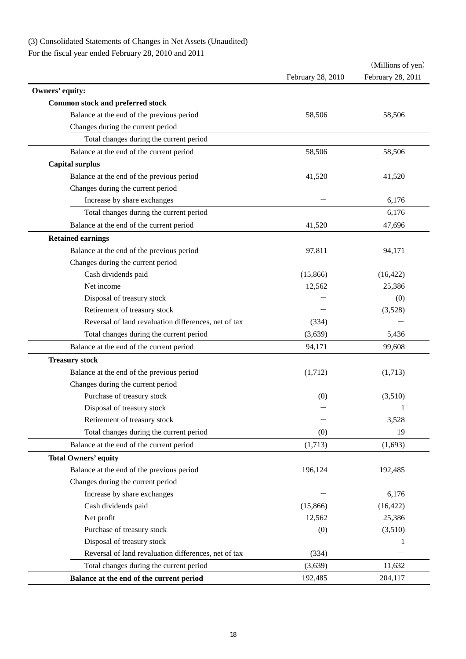# (3) Consolidated Statements of Changes in Net Assets (Unaudited)

For the fiscal year ended February 28, 2010 and 2011

|                                                      |                   | (Millions of yen) |
|------------------------------------------------------|-------------------|-------------------|
|                                                      | February 28, 2010 | February 28, 2011 |
| Owners' equity:                                      |                   |                   |
| <b>Common stock and preferred stock</b>              |                   |                   |
| Balance at the end of the previous period            | 58,506            | 58,506            |
| Changes during the current period                    |                   |                   |
| Total changes during the current period              |                   |                   |
| Balance at the end of the current period             | 58,506            | 58,506            |
| <b>Capital surplus</b>                               |                   |                   |
| Balance at the end of the previous period            | 41,520            | 41,520            |
| Changes during the current period                    |                   |                   |
| Increase by share exchanges                          |                   | 6,176             |
| Total changes during the current period              |                   | 6,176             |
| Balance at the end of the current period             | 41,520            | 47,696            |
| <b>Retained earnings</b>                             |                   |                   |
| Balance at the end of the previous period            | 97,811            | 94,171            |
| Changes during the current period                    |                   |                   |
| Cash dividends paid                                  | (15,866)          | (16, 422)         |
| Net income                                           | 12,562            | 25,386            |
| Disposal of treasury stock                           |                   | (0)               |
| Retirement of treasury stock                         |                   | (3,528)           |
| Reversal of land revaluation differences, net of tax | (334)             |                   |
| Total changes during the current period              | (3,639)           | 5,436             |
| Balance at the end of the current period             | 94,171            | 99,608            |
| <b>Treasury stock</b>                                |                   |                   |
| Balance at the end of the previous period            | (1,712)           | (1,713)           |
| Changes during the current period                    |                   |                   |
| Purchase of treasury stock                           | (0)               | (3,510)           |
| Disposal of treasury stock                           |                   | 1                 |
| Retirement of treasury stock                         |                   | 3,528             |
| Total changes during the current period              | (0)               | 19                |
| Balance at the end of the current period             | (1,713)           | (1,693)           |
| <b>Total Owners' equity</b>                          |                   |                   |
| Balance at the end of the previous period            | 196,124           | 192,485           |
| Changes during the current period                    |                   |                   |
| Increase by share exchanges                          |                   | 6,176             |
| Cash dividends paid                                  | (15,866)          | (16, 422)         |
| Net profit                                           | 12,562            | 25,386            |
| Purchase of treasury stock                           | (0)               | (3,510)           |
| Disposal of treasury stock                           |                   | 1                 |
| Reversal of land revaluation differences, net of tax | (334)             |                   |
| Total changes during the current period              | (3,639)           | 11,632            |
| Balance at the end of the current period             | 192,485           | 204,117           |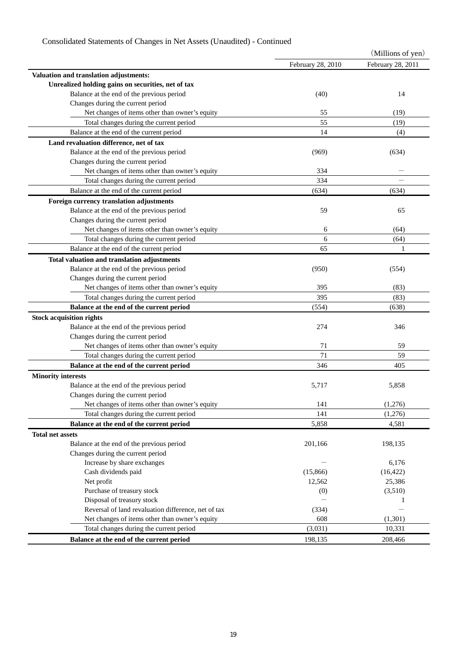# Consolidated Statements of Changes in Net Assets (Unaudited) - Continued

|                                                                                          |                   | (Millions of yen) |
|------------------------------------------------------------------------------------------|-------------------|-------------------|
|                                                                                          | February 28, 2010 | February 28, 2011 |
| Valuation and translation adjustments:                                                   |                   |                   |
| Unrealized holding gains on securities, net of tax                                       |                   |                   |
| Balance at the end of the previous period                                                | (40)              | 14                |
| Changes during the current period                                                        |                   |                   |
| Net changes of items other than owner's equity                                           | 55                | (19)              |
| Total changes during the current period                                                  | 55                | (19)              |
| Balance at the end of the current period                                                 | 14                | (4)               |
| Land revaluation difference, net of tax                                                  |                   |                   |
| Balance at the end of the previous period                                                | (969)             | (634)             |
| Changes during the current period                                                        |                   |                   |
| Net changes of items other than owner's equity                                           | 334               |                   |
| Total changes during the current period                                                  | 334               |                   |
| Balance at the end of the current period                                                 | (634)             | (634)             |
| Foreign currency translation adjustments                                                 |                   |                   |
| Balance at the end of the previous period                                                | 59                | 65                |
| Changes during the current period                                                        |                   |                   |
| Net changes of items other than owner's equity                                           | 6                 | (64)              |
| Total changes during the current period                                                  | 6                 | (64)              |
| Balance at the end of the current period                                                 | 65                | 1                 |
|                                                                                          |                   |                   |
| Total valuation and translation adjustments<br>Balance at the end of the previous period | (950)             |                   |
| Changes during the current period                                                        |                   | (554)             |
| Net changes of items other than owner's equity                                           | 395               | (83)              |
| Total changes during the current period                                                  | 395               | (83)              |
|                                                                                          |                   |                   |
| Balance at the end of the current period                                                 | (554)             | (638)             |
| <b>Stock acquisition rights</b>                                                          |                   |                   |
| Balance at the end of the previous period                                                | 274               | 346               |
| Changes during the current period                                                        |                   |                   |
| Net changes of items other than owner's equity                                           | 71                | 59                |
| Total changes during the current period                                                  | 71                | 59                |
| Balance at the end of the current period                                                 | 346               | 405               |
| <b>Minority interests</b>                                                                |                   |                   |
| Balance at the end of the previous period                                                | 5,717             | 5,858             |
| Changes during the current period                                                        |                   |                   |
| Net changes of items other than owner's equity                                           | 141               | (1,276)           |
| Total changes during the current period                                                  | 141               | (1,276)           |
| Balance at the end of the current period                                                 | 5,858             | 4,581             |
| <b>Total net assets</b>                                                                  |                   |                   |
| Balance at the end of the previous period                                                | 201,166           | 198,135           |
| Changes during the current period                                                        |                   |                   |
| Increase by share exchanges                                                              |                   | 6,176             |
| Cash dividends paid                                                                      | (15,866)          | (16, 422)         |
| Net profit                                                                               | 12,562            | 25,386            |
| Purchase of treasury stock                                                               | (0)               | (3,510)           |
| Disposal of treasury stock                                                               |                   | 1                 |
| Reversal of land revaluation difference, net of tax                                      | (334)             |                   |
| Net changes of items other than owner's equity                                           | 608               | (1,301)           |
| Total changes during the current period                                                  | (3,031)           | 10,331            |
| Balance at the end of the current period                                                 | 198,135           | 208,466           |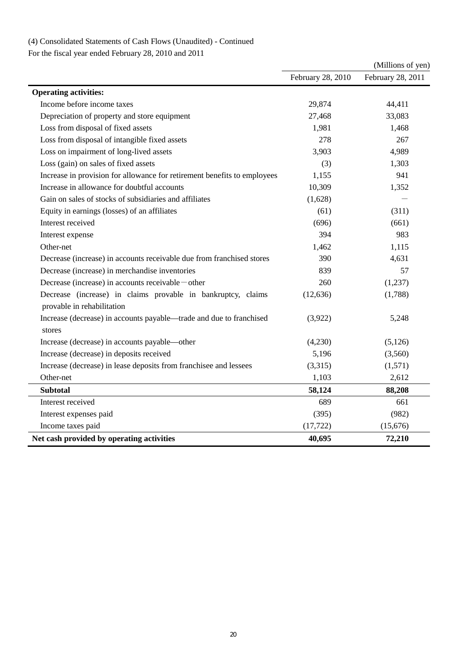# (4) Consolidated Statements of Cash Flows (Unaudited) - Continued

For the fiscal year ended February 28, 2010 and 2011

|                                                                                            |                   | (Millions of yen) |
|--------------------------------------------------------------------------------------------|-------------------|-------------------|
|                                                                                            | February 28, 2010 | February 28, 2011 |
| <b>Operating activities:</b>                                                               |                   |                   |
| Income before income taxes                                                                 | 29,874            | 44,411            |
| Depreciation of property and store equipment                                               | 27,468            | 33,083            |
| Loss from disposal of fixed assets                                                         | 1,981             | 1,468             |
| Loss from disposal of intangible fixed assets                                              | 278               | 267               |
| Loss on impairment of long-lived assets                                                    | 3,903             | 4,989             |
| Loss (gain) on sales of fixed assets                                                       | (3)               | 1,303             |
| Increase in provision for allowance for retirement benefits to employees                   | 1,155             | 941               |
| Increase in allowance for doubtful accounts                                                | 10,309            | 1,352             |
| Gain on sales of stocks of subsidiaries and affiliates                                     | (1,628)           |                   |
| Equity in earnings (losses) of an affiliates                                               | (61)              | (311)             |
| Interest received                                                                          | (696)             | (661)             |
| Interest expense                                                                           | 394               | 983               |
| Other-net                                                                                  | 1,462             | 1,115             |
| Decrease (increase) in accounts receivable due from franchised stores                      | 390               | 4,631             |
| Decrease (increase) in merchandise inventories                                             | 839               | 57                |
| Decrease (increase) in accounts receivable – other                                         | 260               | (1,237)           |
| Decrease (increase) in claims provable in bankruptcy, claims<br>provable in rehabilitation | (12, 636)         | (1,788)           |
| Increase (decrease) in accounts payable—trade and due to franchised<br>stores              | (3,922)           | 5,248             |
| Increase (decrease) in accounts payable—other                                              | (4,230)           | (5,126)           |
| Increase (decrease) in deposits received                                                   | 5,196             | (3,560)           |
| Increase (decrease) in lease deposits from franchisee and lessees                          | (3,315)           | (1,571)           |
| Other-net                                                                                  | 1,103             | 2,612             |
| <b>Subtotal</b>                                                                            | 58,124            | 88,208            |
| Interest received                                                                          | 689               | 661               |
| Interest expenses paid                                                                     | (395)             | (982)             |
| Income taxes paid                                                                          | (17, 722)         | (15,676)          |
| Net cash provided by operating activities                                                  | 40,695            | 72,210            |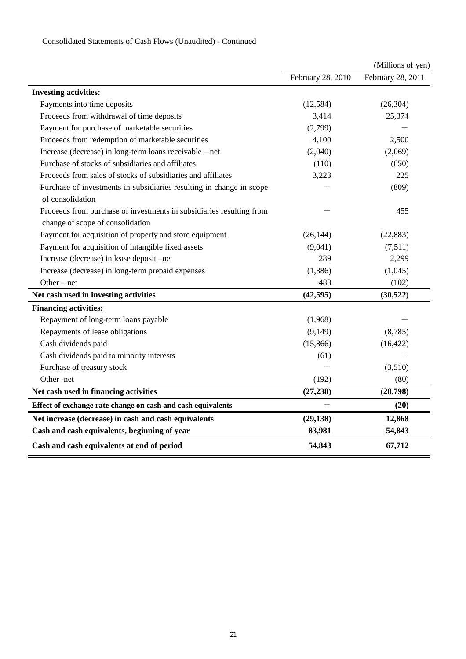|                                                                      |                   | (Millions of yen) |
|----------------------------------------------------------------------|-------------------|-------------------|
|                                                                      | February 28, 2010 | February 28, 2011 |
| <b>Investing activities:</b>                                         |                   |                   |
| Payments into time deposits                                          | (12, 584)         | (26, 304)         |
| Proceeds from withdrawal of time deposits                            | 3,414             | 25,374            |
| Payment for purchase of marketable securities                        | (2,799)           |                   |
| Proceeds from redemption of marketable securities                    | 4,100             | 2,500             |
| Increase (decrease) in long-term loans receivable - net              | (2,040)           | (2,069)           |
| Purchase of stocks of subsidiaries and affiliates                    | (110)             | (650)             |
| Proceeds from sales of stocks of subsidiaries and affiliates         | 3,223             | 225               |
| Purchase of investments in subsidiaries resulting in change in scope |                   | (809)             |
| of consolidation                                                     |                   |                   |
| Proceeds from purchase of investments in subsidiaries resulting from |                   | 455               |
| change of scope of consolidation                                     |                   |                   |
| Payment for acquisition of property and store equipment              | (26, 144)         | (22, 883)         |
| Payment for acquisition of intangible fixed assets                   | (9,041)           | (7,511)           |
| Increase (decrease) in lease deposit -net                            | 289               | 2,299             |
| Increase (decrease) in long-term prepaid expenses                    | (1, 386)          | (1,045)           |
| Other $-$ net                                                        | 483               | (102)             |
| Net cash used in investing activities                                | (42, 595)         | (30, 522)         |
| <b>Financing activities:</b>                                         |                   |                   |
| Repayment of long-term loans payable                                 | (1,968)           |                   |
| Repayments of lease obligations                                      | (9,149)           | (8,785)           |
| Cash dividends paid                                                  | (15,866)          | (16, 422)         |
| Cash dividends paid to minority interests                            | (61)              |                   |
| Purchase of treasury stock                                           |                   | (3,510)           |
| Other-net                                                            | (192)             | (80)              |
| Net cash used in financing activities                                | (27, 238)         | (28, 798)         |
| Effect of exchange rate change on cash and cash equivalents          |                   | (20)              |
| Net increase (decrease) in cash and cash equivalents                 | (29, 138)         | 12,868            |
| Cash and cash equivalents, beginning of year                         | 83,981            | 54,843            |
| Cash and cash equivalents at end of period                           | 54,843            | 67,712            |

# Consolidated Statements of Cash Flows (Unaudited) - Continued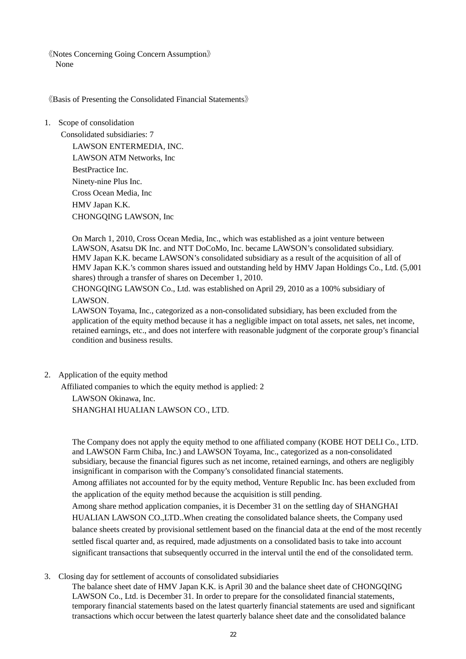《Notes Concerning Going Concern Assumption》 None

《Basis of Presenting the Consolidated Financial Statements》

1. Scope of consolidation

Consolidated subsidiaries: 7 LAWSON ENTERMEDIA, INC. LAWSON ATM Networks, Inc BestPractice Inc. Ninety-nine Plus Inc. Cross Ocean Media, Inc HMV Japan K.K. CHONGQING LAWSON, Inc

On March 1, 2010, Cross Ocean Media, Inc., which was established as a joint venture between LAWSON, Asatsu DK Inc. and NTT DoCoMo, Inc. became LAWSON's consolidated subsidiary. HMV Japan K.K. became LAWSON's consolidated subsidiary as a result of the acquisition of all of HMV Japan K.K.'s common shares issued and outstanding held by HMV Japan Holdings Co., Ltd. (5,001 shares) through a transfer of shares on December 1, 2010.

CHONGQING LAWSON Co., Ltd. was established on April 29, 2010 as a 100% subsidiary of LAWSON.

LAWSON Toyama, Inc., categorized as a non-consolidated subsidiary, has been excluded from the application of the equity method because it has a negligible impact on total assets, net sales, net income, retained earnings, etc., and does not interfere with reasonable judgment of the corporate group's financial condition and business results.

2. Application of the equity method

Affiliated companies to which the equity method is applied: 2

LAWSON Okinawa, Inc. SHANGHAI HUALIAN LAWSON CO., LTD.

The Company does not apply the equity method to one affiliated company (KOBE HOT DELI Co., LTD. and LAWSON Farm Chiba, Inc.) and LAWSON Toyama, Inc., categorized as a non-consolidated subsidiary, because the financial figures such as net income, retained earnings, and others are negligibly insignificant in comparison with the Company's consolidated financial statements.

Among affiliates not accounted for by the equity method, Venture Republic Inc. has been excluded from the application of the equity method because the acquisition is still pending.

Among share method application companies, it is December 31 on the settling day of SHANGHAI HUALIAN LAWSON CO.,LTD..When creating the consolidated balance sheets, the Company used balance sheets created by provisional settlement based on the financial data at the end of the most recently settled fiscal quarter and, as required, made adjustments on a consolidated basis to take into account significant transactions that subsequently occurred in the interval until the end of the consolidated term.

3. Closing day for settlement of accounts of consolidated subsidiaries

The balance sheet date of HMV Japan K.K. is April 30 and the balance sheet date of CHONGQING LAWSON Co., Ltd. is December 31. In order to prepare for the consolidated financial statements, temporary financial statements based on the latest quarterly financial statements are used and significant transactions which occur between the latest quarterly balance sheet date and the consolidated balance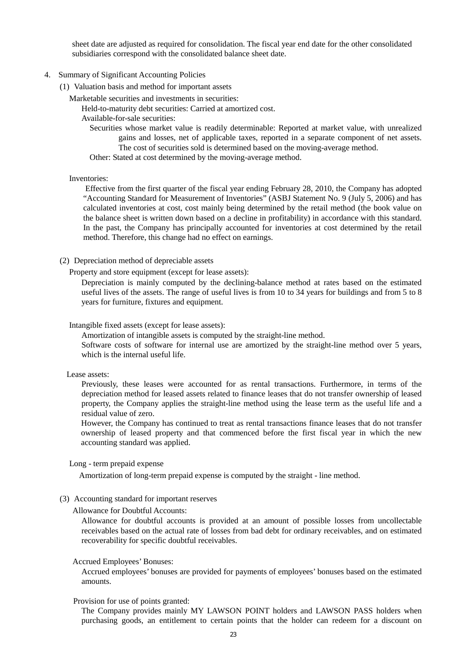sheet date are adjusted as required for consolidation. The fiscal year end date for the other consolidated subsidiaries correspond with the consolidated balance sheet date.

#### 4. Summary of Significant Accounting Policies

(1) Valuation basis and method for important assets

Marketable securities and investments in securities:

Held-to-maturity debt securities: Carried at amortized cost.

Available-for-sale securities:

Securities whose market value is readily determinable: Reported at market value, with unrealized gains and losses, net of applicable taxes, reported in a separate component of net assets. The cost of securities sold is determined based on the moving-average method.

Other: Stated at cost determined by the moving-average method.

#### Inventories:

Effective from the first quarter of the fiscal year ending February 28, 2010, the Company has adopted "Accounting Standard for Measurement of Inventories" (ASBJ Statement No. 9 (July 5, 2006) and has calculated inventories at cost, cost mainly being determined by the retail method (the book value on the balance sheet is written down based on a decline in profitability) in accordance with this standard. In the past, the Company has principally accounted for inventories at cost determined by the retail method. Therefore, this change had no effect on earnings.

### (2) Depreciation method of depreciable assets

Property and store equipment (except for lease assets):

Depreciation is mainly computed by the declining-balance method at rates based on the estimated useful lives of the assets. The range of useful lives is from 10 to 34 years for buildings and from 5 to 8 years for furniture, fixtures and equipment.

### Intangible fixed assets (except for lease assets):

Amortization of intangible assets is computed by the straight-line method.

Software costs of software for internal use are amortized by the straight-line method over 5 years, which is the internal useful life.

#### Lease assets:

Previously, these leases were accounted for as rental transactions. Furthermore, in terms of the depreciation method for leased assets related to finance leases that do not transfer ownership of leased property, the Company applies the straight-line method using the lease term as the useful life and a residual value of zero.

However, the Company has continued to treat as rental transactions finance leases that do not transfer ownership of leased property and that commenced before the first fiscal year in which the new accounting standard was applied.

#### Long - term prepaid expense

Amortization of long-term prepaid expense is computed by the straight - line method.

### (3) Accounting standard for important reserves

Allowance for Doubtful Accounts:

Allowance for doubtful accounts is provided at an amount of possible losses from uncollectable receivables based on the actual rate of losses from bad debt for ordinary receivables, and on estimated recoverability for specific doubtful receivables.

### Accrued Employees' Bonuses:

Accrued employees' bonuses are provided for payments of employees' bonuses based on the estimated amounts.

#### Provision for use of points granted:

The Company provides mainly MY LAWSON POINT holders and LAWSON PASS holders when purchasing goods, an entitlement to certain points that the holder can redeem for a discount on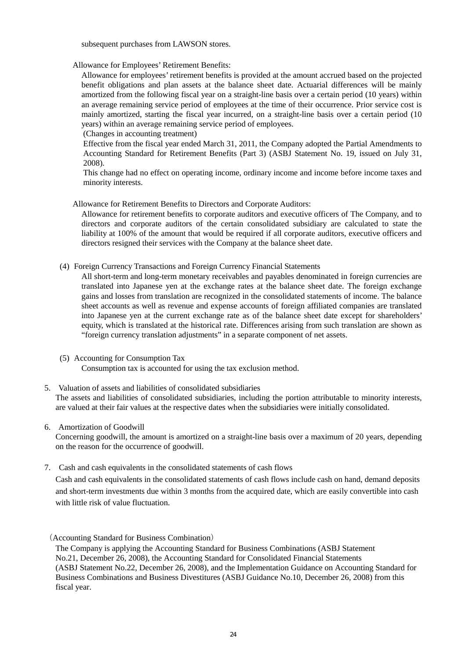subsequent purchases from LAWSON stores.

Allowance for Employees' Retirement Benefits:

Allowance for employees' retirement benefits is provided at the amount accrued based on the projected benefit obligations and plan assets at the balance sheet date. Actuarial differences will be mainly amortized from the following fiscal year on a straight-line basis over a certain period (10 years) within an average remaining service period of employees at the time of their occurrence. Prior service cost is mainly amortized, starting the fiscal year incurred, on a straight-line basis over a certain period (10 years) within an average remaining service period of employees.

(Changes in accounting treatment)

Effective from the fiscal year ended March 31, 2011, the Company adopted the Partial Amendments to Accounting Standard for Retirement Benefits (Part 3) (ASBJ Statement No. 19, issued on July 31, 2008).

This change had no effect on operating income, ordinary income and income before income taxes and minority interests.

Allowance for Retirement Benefits to Directors and Corporate Auditors:

Allowance for retirement benefits to corporate auditors and executive officers of The Company, and to directors and corporate auditors of the certain consolidated subsidiary are calculated to state the liability at 100% of the amount that would be required if all corporate auditors, executive officers and directors resigned their services with the Company at the balance sheet date.

(4) Foreign Currency Transactions and Foreign Currency Financial Statements

All short-term and long-term monetary receivables and payables denominated in foreign currencies are translated into Japanese yen at the exchange rates at the balance sheet date. The foreign exchange gains and losses from translation are recognized in the consolidated statements of income. The balance sheet accounts as well as revenue and expense accounts of foreign affiliated companies are translated into Japanese yen at the current exchange rate as of the balance sheet date except for shareholders' equity, which is translated at the historical rate. Differences arising from such translation are shown as "foreign currency translation adjustments" in a separate component of net assets.

- (5) Accounting for Consumption Tax Consumption tax is accounted for using the tax exclusion method.
- 5. Valuation of assets and liabilities of consolidated subsidiaries The assets and liabilities of consolidated subsidiaries, including the portion attributable to minority interests, are valued at their fair values at the respective dates when the subsidiaries were initially consolidated.
- 6. Amortization of Goodwill

Concerning goodwill, the amount is amortized on a straight-line basis over a maximum of 20 years, depending on the reason for the occurrence of goodwill.

7. Cash and cash equivalents in the consolidated statements of cash flows

Cash and cash equivalents in the consolidated statements of cash flows include cash on hand, demand deposits and short-term investments due within 3 months from the acquired date, which are easily convertible into cash with little risk of value fluctuation.

<sup>(</sup>Accounting Standard for Business Combination)

The Company is applying the Accounting Standard for Business Combinations (ASBJ Statement No.21, December 26, 2008), the Accounting Standard for Consolidated Financial Statements (ASBJ Statement No.22, December 26, 2008), and the Implementation Guidance on Accounting Standard for Business Combinations and Business Divestitures (ASBJ Guidance No.10, December 26, 2008) from this fiscal year.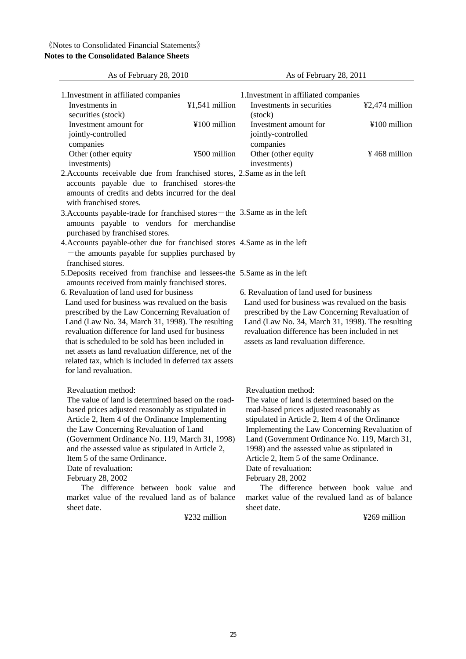# 《Notes to Consolidated Financial Statements》 **Notes to the Consolidated Balance Sheets**

| As of February 28, 2010                                                                                                                                                                                                                                                                                                                                                                                                                                                                                       |                  | As of February 28, 2011                                                                                                                                                                                                                                                                                                                                                                                                                                                                                      |                 |
|---------------------------------------------------------------------------------------------------------------------------------------------------------------------------------------------------------------------------------------------------------------------------------------------------------------------------------------------------------------------------------------------------------------------------------------------------------------------------------------------------------------|------------------|--------------------------------------------------------------------------------------------------------------------------------------------------------------------------------------------------------------------------------------------------------------------------------------------------------------------------------------------------------------------------------------------------------------------------------------------------------------------------------------------------------------|-----------------|
| 1. Investment in affiliated companies<br>Investments in                                                                                                                                                                                                                                                                                                                                                                                                                                                       | $¥1,541$ million | 1. Investment in affiliated companies<br>Investments in securities                                                                                                                                                                                                                                                                                                                                                                                                                                           | ¥2,474 million  |
| securities (stock)<br>Investment amount for<br>jointly-controlled                                                                                                                                                                                                                                                                                                                                                                                                                                             | ¥100 million     | (stock)<br>Investment amount for<br>jointly-controlled                                                                                                                                                                                                                                                                                                                                                                                                                                                       | ¥100 million    |
| companies<br>Other (other equity<br>investments)                                                                                                                                                                                                                                                                                                                                                                                                                                                              | ¥500 million     | companies<br>Other (other equity<br>investments)                                                                                                                                                                                                                                                                                                                                                                                                                                                             | $¥$ 468 million |
| 2. Accounts receivable due from franchised stores, 2. Same as in the left<br>accounts payable due to franchised stores-the<br>amounts of credits and debts incurred for the deal<br>with franchised stores.                                                                                                                                                                                                                                                                                                   |                  |                                                                                                                                                                                                                                                                                                                                                                                                                                                                                                              |                 |
| 3. Accounts payable-trade for franchised stores – the 3. Same as in the left<br>amounts payable to vendors for merchandise<br>purchased by franchised stores.                                                                                                                                                                                                                                                                                                                                                 |                  |                                                                                                                                                                                                                                                                                                                                                                                                                                                                                                              |                 |
| 4. Accounts payable-other due for franchised stores 4. Same as in the left<br>-the amounts payable for supplies purchased by<br>franchised stores.                                                                                                                                                                                                                                                                                                                                                            |                  |                                                                                                                                                                                                                                                                                                                                                                                                                                                                                                              |                 |
| 5. Deposits received from franchise and lessees-the 5. Same as in the left                                                                                                                                                                                                                                                                                                                                                                                                                                    |                  |                                                                                                                                                                                                                                                                                                                                                                                                                                                                                                              |                 |
| amounts received from mainly franchised stores.<br>6. Revaluation of land used for business<br>Land used for business was revalued on the basis<br>prescribed by the Law Concerning Revaluation of<br>Land (Law No. 34, March 31, 1998). The resulting<br>revaluation difference for land used for business<br>that is scheduled to be sold has been included in<br>net assets as land revaluation difference, net of the<br>related tax, which is included in deferred tax assets<br>for land revaluation.   |                  | 6. Revaluation of land used for business<br>Land used for business was revalued on the basis<br>prescribed by the Law Concerning Revaluation of<br>Land (Law No. 34, March 31, 1998). The resulting<br>revaluation difference has been included in net<br>assets as land revaluation difference.                                                                                                                                                                                                             |                 |
| Revaluation method:<br>The value of land is determined based on the road-<br>based prices adjusted reasonably as stipulated in<br>Article 2, Item 4 of the Ordinance Implementing<br>the Law Concerning Revaluation of Land<br>(Government Ordinance No. 119, March 31, 1998)<br>and the assessed value as stipulated in Article 2,<br>Item 5 of the same Ordinance.<br>Date of revaluation:<br>February 28, 2002<br>The difference between book value and<br>market value of the revalued land as of balance |                  | Revaluation method:<br>The value of land is determined based on the<br>road-based prices adjusted reasonably as<br>stipulated in Article 2, Item 4 of the Ordinance<br>Implementing the Law Concerning Revaluation of<br>Land (Government Ordinance No. 119, March 31,<br>1998) and the assessed value as stipulated in<br>Article 2, Item 5 of the same Ordinance.<br>Date of revaluation:<br>February 28, 2002<br>The difference between book value and<br>market value of the revalued land as of balance |                 |
| sheet date.                                                                                                                                                                                                                                                                                                                                                                                                                                                                                                   | ¥232 million     | sheet date.                                                                                                                                                                                                                                                                                                                                                                                                                                                                                                  | ¥269 million    |
|                                                                                                                                                                                                                                                                                                                                                                                                                                                                                                               |                  |                                                                                                                                                                                                                                                                                                                                                                                                                                                                                                              |                 |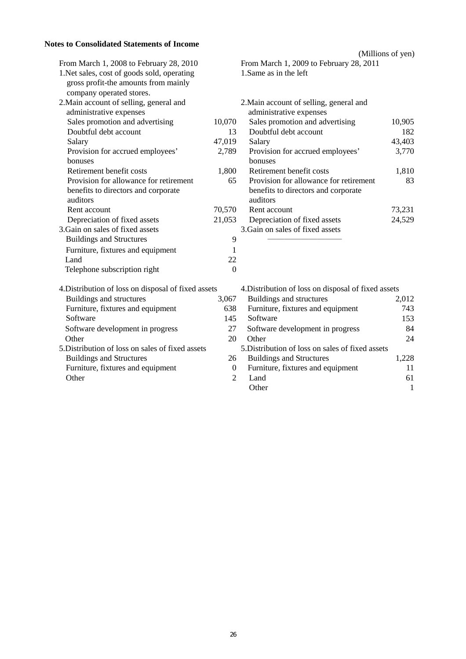# **Notes to Consolidated Statements of Income**

|                                                     |                  | (Millions of yen)                                   |              |
|-----------------------------------------------------|------------------|-----------------------------------------------------|--------------|
| From March 1, 2008 to February 28, 2010             |                  | From March 1, 2009 to February 28, 2011             |              |
| 1. Net sales, cost of goods sold, operating         |                  | 1.Same as in the left                               |              |
| gross profit-the amounts from mainly                |                  |                                                     |              |
| company operated stores.                            |                  |                                                     |              |
| 2. Main account of selling, general and             |                  | 2. Main account of selling, general and             |              |
| administrative expenses                             |                  | administrative expenses                             |              |
| Sales promotion and advertising                     | 10,070           | Sales promotion and advertising                     | 10,905       |
| Doubtful debt account                               | 13               | Doubtful debt account                               | 182          |
| Salary                                              | 47,019           | Salary                                              | 43,403       |
| Provision for accrued employees'                    | 2,789            | Provision for accrued employees'                    | 3,770        |
| bonuses                                             |                  | bonuses                                             |              |
| Retirement benefit costs                            | 1,800            | Retirement benefit costs                            | 1,810        |
| Provision for allowance for retirement              | 65               | Provision for allowance for retirement              | 83           |
| benefits to directors and corporate                 |                  | benefits to directors and corporate                 |              |
| auditors                                            |                  | auditors                                            |              |
| Rent account                                        | 70,570           | Rent account                                        | 73,231       |
| Depreciation of fixed assets                        | 21,053           | Depreciation of fixed assets                        | 24,529       |
| 3. Gain on sales of fixed assets                    |                  | 3. Gain on sales of fixed assets                    |              |
| <b>Buildings and Structures</b>                     | 9                |                                                     |              |
| Furniture, fixtures and equipment                   | 1                |                                                     |              |
| Land                                                | 22               |                                                     |              |
| Telephone subscription right                        | $\overline{0}$   |                                                     |              |
| 4. Distribution of loss on disposal of fixed assets |                  | 4. Distribution of loss on disposal of fixed assets |              |
| Buildings and structures                            | 3,067            | Buildings and structures                            | 2,012        |
| Furniture, fixtures and equipment                   | 638              | Furniture, fixtures and equipment                   | 743          |
| Software                                            | 145              | Software                                            | 153          |
| Software development in progress                    | 27               | Software development in progress                    | 84           |
| Other                                               | 20               | Other                                               | 24           |
| 5. Distribution of loss on sales of fixed assets    |                  | 5. Distribution of loss on sales of fixed assets    |              |
| <b>Buildings and Structures</b>                     | 26               | <b>Buildings and Structures</b>                     | 1,228        |
| Furniture, fixtures and equipment                   | $\boldsymbol{0}$ | Furniture, fixtures and equipment                   | 11           |
| Other                                               | $\overline{2}$   | Land                                                | 61           |
|                                                     |                  | Other                                               | $\mathbf{1}$ |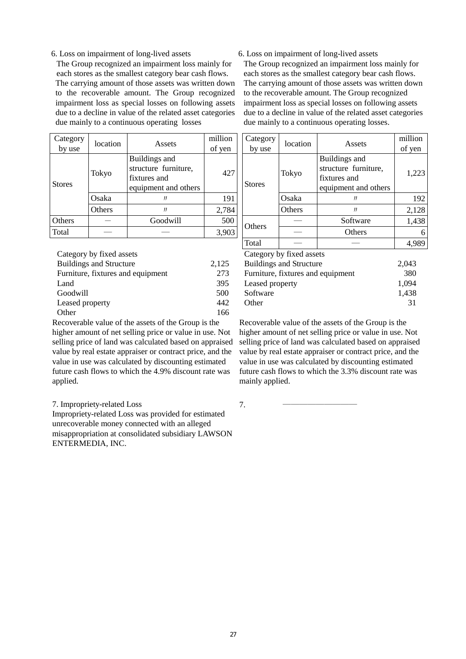#### 6. Loss on impairment of long-lived assets

The Group recognized an impairment loss mainly for each stores as the smallest category bear cash flows. The carrying amount of those assets was written down to the recoverable amount. The Group recognized impairment loss as special losses on following assets due to a decline in value of the related asset categories due mainly to a continuous operating losses

| Category<br>by use | location | Assets                                                                        | million<br>of yen |
|--------------------|----------|-------------------------------------------------------------------------------|-------------------|
| <b>Stores</b>      | Tokyo    | Buildings and<br>structure furniture,<br>fixtures and<br>equipment and others | 427               |
|                    | Osaka    | Л                                                                             | 191               |
|                    | Others   | Л                                                                             | 2,784             |
| Others             |          | Goodwill                                                                      | 500               |
| Total              |          |                                                                               | 3,903             |

| Category by fixed assets          |       |
|-----------------------------------|-------|
| <b>Buildings and Structure</b>    | 2,125 |
| Furniture, fixtures and equipment | 273   |
| Land                              | 395   |
| Goodwill                          | 500   |
| Leased property                   | 442   |
| Other                             | 166   |

Recoverable value of the assets of the Group is the higher amount of net selling price or value in use. Not selling price of land was calculated based on appraised value by real estate appraiser or contract price, and the value in use was calculated by discounting estimated future cash flows to which the 4.9% discount rate was applied.

7. Impropriety-related Loss

Impropriety-related Loss was provided for estimated unrecoverable money connected with an alleged misappropriation at consolidated subsidiary LAWSON ENTERMEDIA, INC.

6. Loss on impairment of long-lived assets

The Group recognized an impairment loss mainly for each stores as the smallest category bear cash flows. The carrying amount of those assets was written down to the recoverable amount. The Group recognized impairment loss as special losses on following assets due to a decline in value of the related asset categories due mainly to a continuous operating losses.

| Category<br>by use                      | location                 | Assets                                                                        | million<br>of yen | Category<br>by use                | location                 | Assets                                                                        | million<br>of yen |
|-----------------------------------------|--------------------------|-------------------------------------------------------------------------------|-------------------|-----------------------------------|--------------------------|-------------------------------------------------------------------------------|-------------------|
| <b>Stores</b>                           | Tokyo                    | Buildings and<br>structure furniture,<br>fixtures and<br>equipment and others | 427               | Tokyo<br><b>Stores</b>            |                          | Buildings and<br>structure furniture,<br>fixtures and<br>equipment and others | 1,223             |
|                                         | Osaka                    | IJ                                                                            | 191               |                                   | Osaka                    | IJ                                                                            | 192               |
| Others                                  |                          | IJ                                                                            | 2,784             |                                   | Others                   | IJ                                                                            | 2,128             |
| Others                                  |                          | Goodwill                                                                      | 500               |                                   |                          | Software                                                                      | 1,438             |
| Total                                   |                          |                                                                               | 3,903             | <b>Others</b>                     |                          | Others                                                                        | 6                 |
|                                         |                          |                                                                               |                   | Total                             |                          |                                                                               | 4,989             |
|                                         | Category by fixed assets |                                                                               |                   |                                   | Category by fixed assets |                                                                               |                   |
| <b>Buildings and Structure</b><br>2,125 |                          |                                                                               |                   | <b>Buildings and Structure</b>    |                          |                                                                               | 2,043             |
| Furniture, fixtures and equipment       |                          |                                                                               | 273               | Furniture, fixtures and equipment |                          |                                                                               | 380               |

| <b>Buildings and Structure</b>    | 2,043 |
|-----------------------------------|-------|
| Furniture, fixtures and equipment | 380   |
| Leased property                   | 1.094 |
| Software                          | 1.438 |
| Other                             | 31    |

Recoverable value of the assets of the Group is the higher amount of net selling price or value in use. Not selling price of land was calculated based on appraised value by real estate appraiser or contract price, and the value in use was calculated by discounting estimated future cash flows to which the 3.3% discount rate was mainly applied.

7. ―――――――――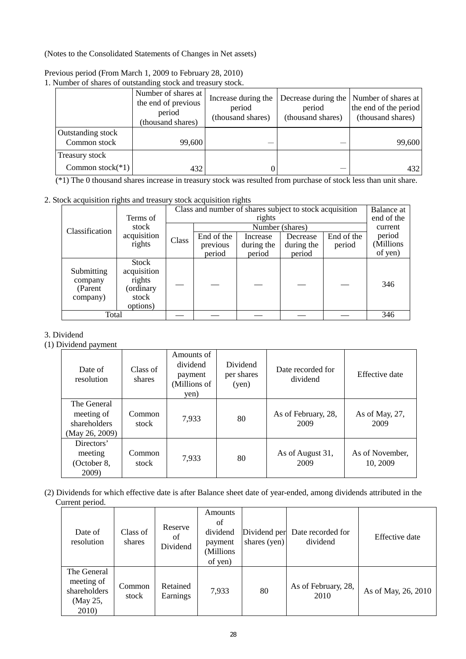(Notes to the Consolidated Statements of Changes in Net assets)

| reduced or shares or outstanding stock and treasury |                                                                           | <u>biovis.</u>                                     |                                                    |                                                                   |
|-----------------------------------------------------|---------------------------------------------------------------------------|----------------------------------------------------|----------------------------------------------------|-------------------------------------------------------------------|
|                                                     | Number of shares at<br>the end of previous<br>period<br>(thousand shares) | Increase during the<br>period<br>(thousand shares) | Decrease during the<br>period<br>(thousand shares) | Number of shares at<br>the end of the period<br>(thousand shares) |
| Outstanding stock<br>Common stock                   | 99,600                                                                    |                                                    |                                                    | 99,600                                                            |
| <b>Treasury stock</b>                               |                                                                           |                                                    |                                                    |                                                                   |
| Common stock $(*1)$                                 | 432                                                                       |                                                    |                                                    | 432                                                               |

Previous period (From March 1, 2009 to February 28, 2010)

1. Number of shares of outstanding stock and treasury stock.

(\*1) The 0 thousand shares increase in treasury stock was resulted from purchase of stock less than unit share.

# 2. Stock acquisition rights and treasury stock acquisition rights

|                                              |                                                                  |       | Class and number of shares subject to stock acquisition |            |                 |            |            |
|----------------------------------------------|------------------------------------------------------------------|-------|---------------------------------------------------------|------------|-----------------|------------|------------|
|                                              | Terms of                                                         |       |                                                         | rights     |                 |            | end of the |
| Classification                               | stock                                                            |       |                                                         |            | Number (shares) |            | current    |
|                                              | acquisition                                                      |       | End of the                                              | Increase   | Decrease        | End of the | period     |
|                                              | rights                                                           | Class | previous                                                | during the | during the      | period     | (Millions  |
|                                              |                                                                  |       | period                                                  | period     | period          |            | of yen)    |
| Submitting<br>company<br>(Parent<br>company) | Stock<br>acquisition<br>rights<br>(ordinary<br>stock<br>options) |       |                                                         |            |                 |            | 346        |
| Total                                        |                                                                  |       |                                                         |            |                 |            | 346        |

# 3. Dividend

(1) Dividend payment

| Date of<br>resolution                                       | Class of<br>shares | Amounts of<br>dividend<br>payment<br>(Millions of<br>yen) | Dividend<br>per shares<br>(yen) | Date recorded for<br>dividend | Effective date              |
|-------------------------------------------------------------|--------------------|-----------------------------------------------------------|---------------------------------|-------------------------------|-----------------------------|
| The General<br>meeting of<br>shareholders<br>(May 26, 2009) | Common<br>stock    | 7,933                                                     | 80                              | As of February, 28,<br>2009   | As of May, 27,<br>2009      |
| Directors'<br>meeting<br>(October 8,<br>2009)               | Common<br>stock    | 7,933                                                     | 80                              | As of August 31,<br>2009      | As of November,<br>10, 2009 |

(2) Dividends for which effective date is after Balance sheet date of year-ended, among dividends attributed in the Current period.

| Date of<br>resolution                                          | Class of<br>shares | Reserve<br>of<br>Dividend | <b>Amounts</b><br>of<br>dividend<br>payment<br>(Millions<br>of yen) | Dividend per<br>shares (yen) | Date recorded for<br>dividend | Effective date      |
|----------------------------------------------------------------|--------------------|---------------------------|---------------------------------------------------------------------|------------------------------|-------------------------------|---------------------|
| The General<br>meeting of<br>shareholders<br>(May 25,<br>2010) | Common<br>stock    | Retained<br>Earnings      | 7,933                                                               | 80                           | As of February, 28,<br>2010   | As of May, 26, 2010 |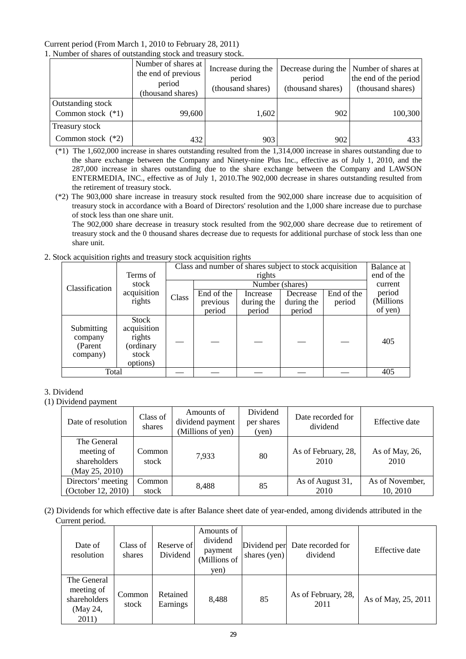### Current period (From March 1, 2010 to February 28, 2011) 1. Number of shares of outstanding stock and treasury stock.

|                                          | Number of shares at<br>the end of previous<br>period<br>(thousand shares) | Increase during the<br>period<br>(thousand shares) | period<br>(thousand shares) | Decrease during the Number of shares at<br>the end of the period<br>(thousand shares) |
|------------------------------------------|---------------------------------------------------------------------------|----------------------------------------------------|-----------------------------|---------------------------------------------------------------------------------------|
| Outstanding stock<br>Common stock $(*1)$ | 99,600                                                                    | 1,602                                              | 902                         | 100,300                                                                               |
| Treasury stock                           |                                                                           |                                                    |                             |                                                                                       |
| Common stock $(*2)$                      | 432                                                                       | 903                                                | 902                         | 433                                                                                   |

(\*1) The 1,602,000 increase in shares outstanding resulted from the 1,314,000 increase in shares outstanding due to the share exchange between the Company and Ninety-nine Plus Inc., effective as of July 1, 2010, and the 287,000 increase in shares outstanding due to the share exchange between the Company and LAWSON ENTERMEDIA, INC., effective as of July 1, 2010.The 902,000 decrease in shares outstanding resulted from the retirement of treasury stock.

(\*2) The 903,000 share increase in treasury stock resulted from the 902,000 share increase due to acquisition of treasury stock in accordance with a Board of Directors' resolution and the 1,000 share increase due to purchase of stock less than one share unit.

The 902,000 share decrease in treasury stock resulted from the 902,000 share decrease due to retirement of treasury stock and the 0 thousand shares decrease due to requests for additional purchase of stock less than one share unit.

# 2. Stock acquisition rights and treasury stock acquisition rights

|                                               |                                                                  |       | Class and number of shares subject to stock acquisition |            |                 |            |            |
|-----------------------------------------------|------------------------------------------------------------------|-------|---------------------------------------------------------|------------|-----------------|------------|------------|
|                                               | Terms of                                                         |       |                                                         | rights     |                 |            | end of the |
| Classification                                | stock                                                            |       |                                                         |            | Number (shares) |            | current    |
|                                               | acquisition                                                      | Class | End of the                                              | Increase   | Decrease        | End of the | period     |
|                                               | rights                                                           |       | previous                                                | during the | during the      | period     | (Millions  |
|                                               |                                                                  |       | period                                                  | period     | period          |            | of yen)    |
| Submitting<br>company<br>(Parent)<br>company) | Stock<br>acquisition<br>rights<br>(ordinary<br>stock<br>options) |       |                                                         |            |                 |            | 405        |
| Total                                         |                                                                  |       |                                                         |            |                 |            | 405        |

# 3. Dividend

# (1) Dividend payment

| Date of resolution                                          | Class of<br>shares | Amounts of<br>dividend payment<br>(Millions of yen) | Dividend<br>per shares<br>(yen) | Date recorded for<br>dividend | <b>Effective</b> date       |
|-------------------------------------------------------------|--------------------|-----------------------------------------------------|---------------------------------|-------------------------------|-----------------------------|
| The General<br>meeting of<br>shareholders<br>(May 25, 2010) | Common<br>stock    | 7.933                                               | 80                              | As of February, 28,<br>2010   | As of May, 26,<br>2010      |
| Directors' meeting<br>(October 12, 2010)                    | Common<br>stock    | 8,488                                               | 85                              | As of August 31,<br>2010      | As of November,<br>10, 2010 |

(2) Dividends for which effective date is after Balance sheet date of year-ended, among dividends attributed in the Current period.

| Date of<br>resolution                                          | Class of<br>shares | Reserve of<br>Dividend | Amounts of<br>dividend<br>payment<br>(Millions of<br>yen) | Dividend per<br>shares (yen) | Date recorded for<br>dividend | Effective date      |
|----------------------------------------------------------------|--------------------|------------------------|-----------------------------------------------------------|------------------------------|-------------------------------|---------------------|
| The General<br>meeting of<br>shareholders<br>(May 24,<br>2011) | Common<br>stock    | Retained<br>Earnings   | 8,488                                                     | 85                           | As of February, 28,<br>2011   | As of May, 25, 2011 |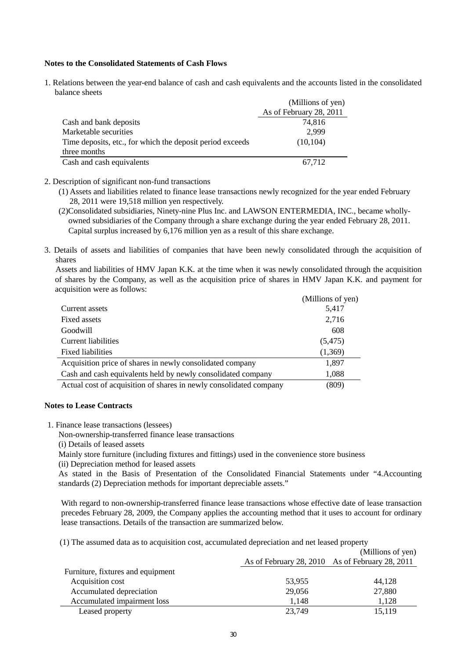### **Notes to the Consolidated Statements of Cash Flows**

1. Relations between the year-end balance of cash and cash equivalents and the accounts listed in the consolidated balance sheets

|                                                           | (Millions of yen)       |
|-----------------------------------------------------------|-------------------------|
|                                                           | As of February 28, 2011 |
| Cash and bank deposits                                    | 74,816                  |
| Marketable securities                                     | 2,999                   |
| Time deposits, etc., for which the deposit period exceeds | (10, 104)               |
| three months                                              |                         |
| Cash and cash equivalents                                 | 67,712                  |

### 2. Description of significant non-fund transactions

- (1) Assets and liabilities related to finance lease transactions newly recognized for the year ended February 28, 2011 were 19,518 million yen respectively.
- (2)Consolidated subsidiaries, Ninety-nine Plus Inc. and LAWSON ENTERMEDIA, INC., became whollyowned subsidiaries of the Company through a share exchange during the year ended February 28, 2011. Capital surplus increased by 6,176 million yen as a result of this share exchange.
- 3. Details of assets and liabilities of companies that have been newly consolidated through the acquisition of shares

Assets and liabilities of HMV Japan K.K. at the time when it was newly consolidated through the acquisition of shares by the Company, as well as the acquisition price of shares in HMV Japan K.K. and payment for acquisition were as follows:

|                                                                    | (Millions of yen) |
|--------------------------------------------------------------------|-------------------|
| Current assets                                                     | 5,417             |
| Fixed assets                                                       | 2,716             |
| Goodwill                                                           | 608               |
| Current liabilities                                                | (5, 475)          |
| <b>Fixed liabilities</b>                                           | (1,369)           |
| Acquisition price of shares in newly consolidated company          | 1,897             |
| Cash and cash equivalents held by newly consolidated company       | 1,088             |
| Actual cost of acquisition of shares in newly consolidated company | (809)             |
|                                                                    |                   |

### **Notes to Lease Contracts**

1. Finance lease transactions (lessees)

Non-ownership-transferred finance lease transactions

(i) Details of leased assets

Mainly store furniture (including fixtures and fittings) used in the convenience store business

(ii) Depreciation method for leased assets

As stated in the Basis of Presentation of the Consolidated Financial Statements under "4.Accounting standards (2) Depreciation methods for important depreciable assets."

With regard to non-ownership-transferred finance lease transactions whose effective date of lease transaction precedes February 28, 2009, the Company applies the accounting method that it uses to account for ordinary lease transactions. Details of the transaction are summarized below.

(1) The assumed data as to acquisition cost, accumulated depreciation and net leased property

|                                   |                                                 | (Millions of yen) |
|-----------------------------------|-------------------------------------------------|-------------------|
|                                   | As of February 28, 2010 As of February 28, 2011 |                   |
| Furniture, fixtures and equipment |                                                 |                   |
| Acquisition cost                  | 53,955                                          | 44.128            |
| Accumulated depreciation          | 29,056                                          | 27,880            |
| Accumulated impairment loss       | 1,148                                           | 1,128             |
| Leased property                   | 23,749                                          | 15,119            |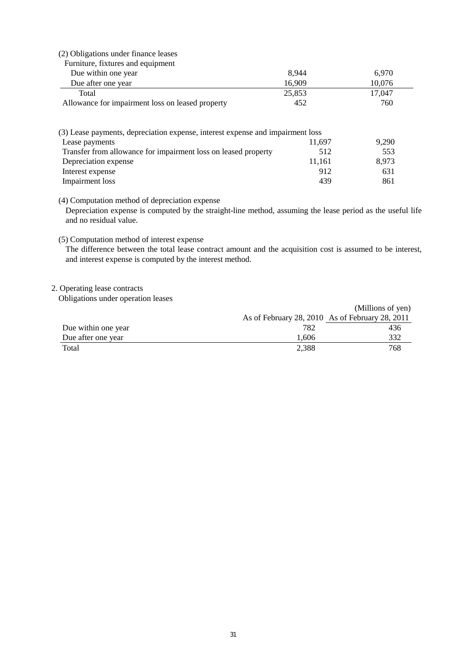# (2) Obligations under finance leases

| Furniture, fixtures and equipment                |        |        |
|--------------------------------------------------|--------|--------|
| Due within one year                              | 8.944  | 6.970  |
| Due after one year                               | 16.909 | 10.076 |
| Total                                            | 25,853 | 17.047 |
| Allowance for impairment loss on leased property | 452    | 760    |

| (3) Lease payments, depreciation expense, interest expense and impairment loss |        |       |
|--------------------------------------------------------------------------------|--------|-------|
| Lease payments                                                                 | 11.697 | 9.290 |
| Transfer from allowance for impairment loss on leased property                 | 512    | 553   |
| Depreciation expense                                                           | 11.161 | 8.973 |
| Interest expense                                                               | 912    | 631   |
| Impairment loss                                                                | 439    | 861   |

### (4) Computation method of depreciation expense

Depreciation expense is computed by the straight-line method, assuming the lease period as the useful life and no residual value.

### (5) Computation method of interest expense

The difference between the total lease contract amount and the acquisition cost is assumed to be interest, and interest expense is computed by the interest method.

# 2. Operating lease contracts

Obligations under operation leases

|                     |       | (Millions of yen)                               |
|---------------------|-------|-------------------------------------------------|
|                     |       | As of February 28, 2010 As of February 28, 2011 |
| Due within one year | 782   | 436                                             |
| Due after one year  | 1.606 | 332                                             |
| Total               | 2.388 | 768                                             |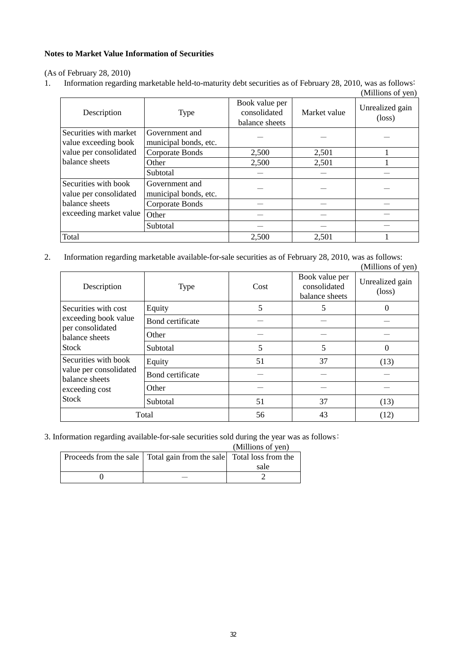## **Notes to Market Value Information of Securities**

(As of February 28, 2010)

1. Information regarding marketable held-to-maturity debt securities as of February 28, 2010, was as follows:  $(Millions of *van*)$ 

|                                                |                                         |                                                  |              | (ivilihons of yen)                 |
|------------------------------------------------|-----------------------------------------|--------------------------------------------------|--------------|------------------------------------|
| Description                                    | <b>Type</b>                             | Book value per<br>consolidated<br>balance sheets | Market value | Unrealized gain<br>$(\text{loss})$ |
| Securities with market<br>value exceeding book | Government and<br>municipal bonds, etc. |                                                  |              |                                    |
| value per consolidated                         | Corporate Bonds                         | 2,500                                            | 2,501        |                                    |
| balance sheets                                 | Other                                   | 2,500                                            | 2,501        |                                    |
|                                                | Subtotal                                |                                                  |              |                                    |
| Securities with book<br>value per consolidated | Government and<br>municipal bonds, etc. |                                                  |              |                                    |
| balance sheets                                 | Corporate Bonds                         |                                                  |              |                                    |
| exceeding market value                         | Other                                   |                                                  |              |                                    |
|                                                | Subtotal                                |                                                  |              |                                    |
| Total                                          |                                         | 2,500                                            | 2,501        |                                    |

2. Information regarding marketable available-for-sale securities as of February 28, 2010, was as follows: (Millions of yen)

|                                                                                                    |                  |      |                                                  | $\mu$                              |
|----------------------------------------------------------------------------------------------------|------------------|------|--------------------------------------------------|------------------------------------|
| Description                                                                                        | <b>Type</b>      | Cost | Book value per<br>consolidated<br>balance sheets | Unrealized gain<br>$(\text{loss})$ |
| Securities with cost                                                                               | Equity           | 5    | 5                                                | 0                                  |
| exceeding book value<br>per consolidated                                                           | Bond certificate |      |                                                  |                                    |
| balance sheets                                                                                     | Other            |      |                                                  |                                    |
| <b>Stock</b>                                                                                       | Subtotal         | 5    | 5                                                | 0                                  |
| Securities with book<br>value per consolidated<br>balance sheets<br>exceeding cost<br><b>Stock</b> | Equity           | 51   | 37                                               | (13)                               |
|                                                                                                    | Bond certificate |      |                                                  |                                    |
|                                                                                                    | Other            |      |                                                  |                                    |
|                                                                                                    | Subtotal         | 51   | 37                                               | (13)                               |
| Total                                                                                              |                  | 56   | 43                                               | (12)                               |

3. Information regarding available-for-sale securities sold during the year was as follows:

(Millions of yen)

| Proceeds from the sale Total gain from the sale Total loss from the |      |
|---------------------------------------------------------------------|------|
|                                                                     | sale |
|                                                                     |      |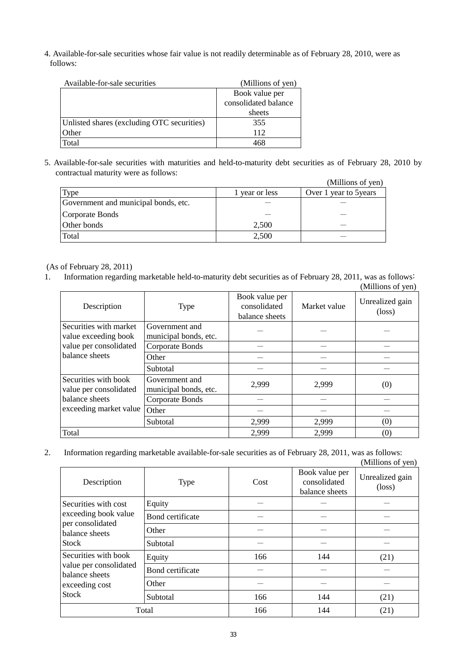4. Available-for-sale securities whose fair value is not readily determinable as of February 28, 2010, were as follows:

| Available-for-sale securities              | (Millions of yen)    |
|--------------------------------------------|----------------------|
|                                            | Book value per       |
|                                            | consolidated balance |
|                                            | sheets               |
| Unlisted shares (excluding OTC securities) | 355                  |
| Other                                      | 112                  |
| Total                                      |                      |

5. Available-for-sale securities with maturities and held-to-maturity debt securities as of February 28, 2010 by contractual maturity were as follows:

|                                      |              | (Millions of yen)      |
|--------------------------------------|--------------|------------------------|
| Type                                 | year or less | Over 1 year to 5 years |
| Government and municipal bonds, etc. |              |                        |
| Corporate Bonds                      |              |                        |
| Other bonds                          | 2,500        |                        |
| Total                                | 2,500        |                        |

## (As of February 28, 2011)

1. Information regarding marketable held-to-maturity debt securities as of February 28, 2011, was as follows: (Millions of yen)

| Description                                    | Type                                    | Book value per<br>consolidated<br>balance sheets | Market value | Unrealized gain<br>$(\text{loss})$ |
|------------------------------------------------|-----------------------------------------|--------------------------------------------------|--------------|------------------------------------|
| Securities with market<br>value exceeding book | Government and<br>municipal bonds, etc. |                                                  |              |                                    |
| value per consolidated                         | Corporate Bonds                         |                                                  |              |                                    |
| balance sheets                                 | Other                                   |                                                  |              |                                    |
|                                                | Subtotal                                |                                                  |              |                                    |
| Securities with book<br>value per consolidated | Government and<br>municipal bonds, etc. | 2,999                                            | 2,999        | (0)                                |
| balance sheets                                 | Corporate Bonds                         |                                                  |              |                                    |
| exceeding market value                         | Other                                   |                                                  |              |                                    |
|                                                | Subtotal                                | 2,999                                            | 2,999        | (0)                                |
| Total                                          |                                         | 2,999                                            | 2,999        | (0)                                |

2. Information regarding marketable available-for-sale securities as of February 28, 2011, was as follows: (Millions of yen)

| Description                                                                                 | <b>Type</b>      | Cost | Book value per<br>consolidated<br>balance sheets | Unrealized gain<br>$(\text{loss})$ |
|---------------------------------------------------------------------------------------------|------------------|------|--------------------------------------------------|------------------------------------|
| Securities with cost                                                                        | Equity           |      |                                                  |                                    |
| exceeding book value                                                                        | Bond certificate |      |                                                  |                                    |
| per consolidated<br>balance sheets<br>Stock                                                 | Other            |      |                                                  |                                    |
|                                                                                             | Subtotal         |      |                                                  |                                    |
| Securities with book<br>value per consolidated<br>balance sheets<br>exceeding cost<br>Stock | Equity           | 166  | 144                                              | (21)                               |
|                                                                                             | Bond certificate |      |                                                  |                                    |
|                                                                                             | Other            |      |                                                  |                                    |
|                                                                                             | Subtotal         | 166  | 144                                              | (21)                               |
|                                                                                             | Total            | 166  | 144                                              | (21)                               |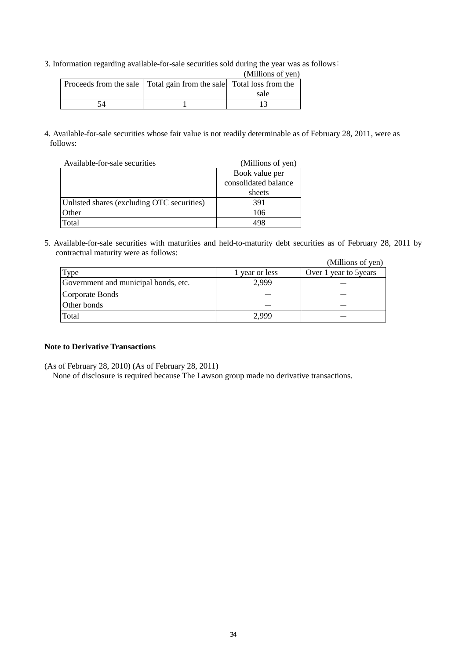3. Information regarding available-for-sale securities sold during the year was as follows:

|                                                                         | (Millions of yen) |
|-------------------------------------------------------------------------|-------------------|
| Proceeds from the sale   Total gain from the sale   Total loss from the |                   |
|                                                                         | sale              |
|                                                                         |                   |

4. Available-for-sale securities whose fair value is not readily determinable as of February 28, 2011, were as follows:

| Available-for-sale securities              | (Millions of yen)    |
|--------------------------------------------|----------------------|
|                                            | Book value per       |
|                                            | consolidated balance |
|                                            | sheets               |
| Unlisted shares (excluding OTC securities) | 391                  |
| Other                                      | 106                  |
| Total                                      | 108                  |

5. Available-for-sale securities with maturities and held-to-maturity debt securities as of February 28, 2011 by contractual maturity were as follows:  $(M<sub>i</sub>$ llions of you)

|                                      |                | (Millions of yen)      |
|--------------------------------------|----------------|------------------------|
| Type                                 | 1 year or less | Over 1 year to 5 years |
| Government and municipal bonds, etc. | 2,999          |                        |
| Corporate Bonds                      |                |                        |
| Other bonds                          |                |                        |
| Total                                | 2.999          |                        |

## **Note to Derivative Transactions**

(As of February 28, 2010) (As of February 28, 2011)

None of disclosure is required because The Lawson group made no derivative transactions.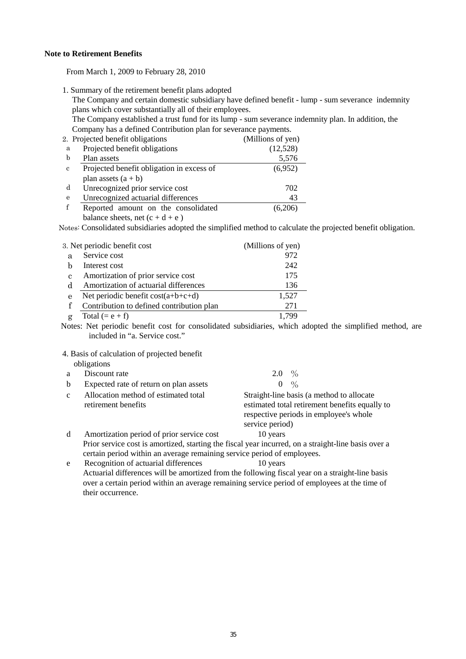### **Note to Retirement Benefits**

From March 1, 2009 to February 28, 2010

1. Summary of the retirement benefit plans adopted

The Company and certain domestic subsidiary have defined benefit - lump - sum severance indemnity plans which cover substantially all of their employees.

The Company established a trust fund for its lump - sum severance indemnity plan. In addition, the Company has a defined Contribution plan for severance payments.

|              | 2. Projected benefit obligations          | (Millions of yen) |
|--------------|-------------------------------------------|-------------------|
| а            | Projected benefit obligations             | (12,528)          |
| b            | Plan assets                               | 5,576             |
| $\mathbf{c}$ | Projected benefit obligation in excess of | (6,952)           |
|              | plan assets $(a + b)$                     |                   |
| d            | Unrecognized prior service cost           | 702               |
| e            | Unrecognized actuarial differences        | 43                |
|              | Reported amount on the consolidated       | (6,206)           |
|              | balance sheets, net $(c + d + e)$         |                   |

Notes: Consolidated subsidiaries adopted the simplified method to calculate the projected benefit obligation.

| 3. Net periodic benefit cost |                                           | (Millions of yen) |
|------------------------------|-------------------------------------------|-------------------|
| я                            | Service cost                              | 972               |
|                              | Interest cost                             | 242               |
| C                            | Amortization of prior service cost        | 175               |
| d                            | Amortization of actuarial differences     | 136               |
| e                            | Net periodic benefit $cost(a+b+c+d)$      | 1,527             |
|                              | Contribution to defined contribution plan | 271               |
|                              | Total $(= e + f)$                         | 70C               |

 Notes: Net periodic benefit cost for consolidated subsidiaries, which adopted the simplified method, are included in "a. Service cost."

4. Basis of calculation of projected benefit

|             | obligations                                                 |                                                                                                                                       |
|-------------|-------------------------------------------------------------|---------------------------------------------------------------------------------------------------------------------------------------|
| а           | Discount rate                                               | 2.0 $\%$                                                                                                                              |
| b           | Expected rate of return on plan assets                      | $\frac{0}{0}$<br>$\theta$                                                                                                             |
| $\mathbf c$ | Allocation method of estimated total<br>retirement benefits | Straight-line basis (a method to allocate<br>estimated total retirement benefits equally to<br>respective periods in employee's whole |
| d           | Amortization period of prior service cost                   | service period)<br>10 years                                                                                                           |

 Prior service cost is amortized, starting the fiscal year incurred, on a straight-line basis over a certain period within an average remaining service period of employees.

 e Recognition of actuarial differences 10 years Actuarial differences will be amortized from the following fiscal year on a straight-line basis over a certain period within an average remaining service period of employees at the time of their occurrence.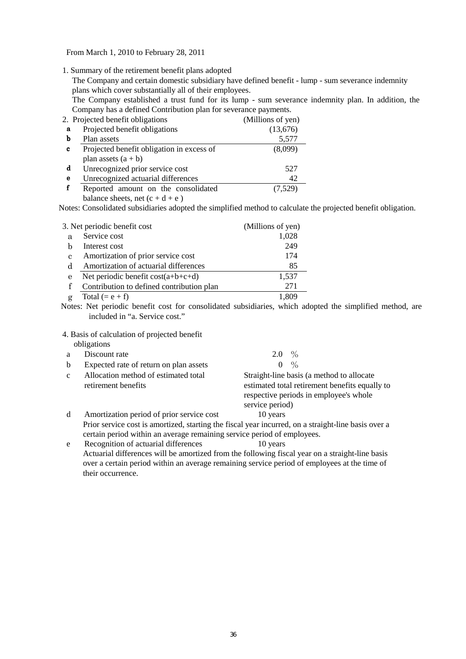From March 1, 2010 to February 28, 2011

1. Summary of the retirement benefit plans adopted

The Company and certain domestic subsidiary have defined benefit - lump - sum severance indemnity plans which cover substantially all of their employees.

The Company established a trust fund for its lump - sum severance indemnity plan. In addition, the Company has a defined Contribution plan for severance payments.

|   | 2. Projected benefit obligations                                                                                                                                                                                                                                                                                                   | (Millions of yen) |
|---|------------------------------------------------------------------------------------------------------------------------------------------------------------------------------------------------------------------------------------------------------------------------------------------------------------------------------------|-------------------|
| a | Projected benefit obligations                                                                                                                                                                                                                                                                                                      | (13,676)          |
| b | Plan assets                                                                                                                                                                                                                                                                                                                        | 5,577             |
| c | Projected benefit obligation in excess of                                                                                                                                                                                                                                                                                          | (8,099)           |
|   | plan assets $(a + b)$                                                                                                                                                                                                                                                                                                              |                   |
| d | Unrecognized prior service cost                                                                                                                                                                                                                                                                                                    | 527               |
| e | Unrecognized actuarial differences                                                                                                                                                                                                                                                                                                 | 42                |
|   | Reported amount on the consolidated                                                                                                                                                                                                                                                                                                | (7,529)           |
|   | $\mathbf{1}$ $\mathbf{1}$ $\mathbf{1}$ $\mathbf{1}$ $\mathbf{1}$ $\mathbf{1}$ $\mathbf{1}$ $\mathbf{1}$ $\mathbf{1}$ $\mathbf{1}$ $\mathbf{1}$ $\mathbf{1}$ $\mathbf{1}$ $\mathbf{1}$ $\mathbf{1}$ $\mathbf{1}$ $\mathbf{1}$ $\mathbf{1}$ $\mathbf{1}$ $\mathbf{1}$ $\mathbf{1}$ $\mathbf{1}$ $\mathbf{1}$ $\mathbf{1}$ $\mathbf{$ |                   |

balance sheets, net  $(c + d + e)$ 

Notes: Consolidated subsidiaries adopted the simplified method to calculate the projected benefit obligation.

| 3. Net periodic benefit cost |                                           | (Millions of yen) |
|------------------------------|-------------------------------------------|-------------------|
| a                            | Service cost                              | 1,028             |
|                              | Interest cost                             | 249               |
| C                            | Amortization of prior service cost        | 174               |
| d                            | Amortization of actuarial differences     | 85                |
| e                            | Net periodic benefit $cost(a+b+c+d)$      | 1,537             |
|                              | Contribution to defined contribution plan | 271               |
|                              | Total $(= e + f)$                         |                   |

 Notes: Net periodic benefit cost for consolidated subsidiaries, which adopted the simplified method, are included in "a. Service cost."

4. Basis of calculation of projected benefit

|              | obligations                                                             |                                                                                                                                                          |
|--------------|-------------------------------------------------------------------------|----------------------------------------------------------------------------------------------------------------------------------------------------------|
| a            | Discount rate                                                           | $\%$<br>2.0                                                                                                                                              |
| b            | Expected rate of return on plan assets                                  | $\frac{0}{0}$<br>$\theta$                                                                                                                                |
| $\mathbf{c}$ | Allocation method of estimated total<br>retirement benefits             | Straight-line basis (a method to allocate<br>estimated total retirement benefits equally to<br>respective periods in employee's whole<br>service period) |
| d            | Amortization period of prior service cost                               | 10 years                                                                                                                                                 |
|              |                                                                         | Prior service cost is amortized, starting the fiscal year incurred, on a straight-line basis over a                                                      |
|              | certain period within an average remaining service period of employees. |                                                                                                                                                          |
| e            | Recognition of actuarial differences                                    | 10 years                                                                                                                                                 |

 Actuarial differences will be amortized from the following fiscal year on a straight-line basis over a certain period within an average remaining service period of employees at the time of their occurrence.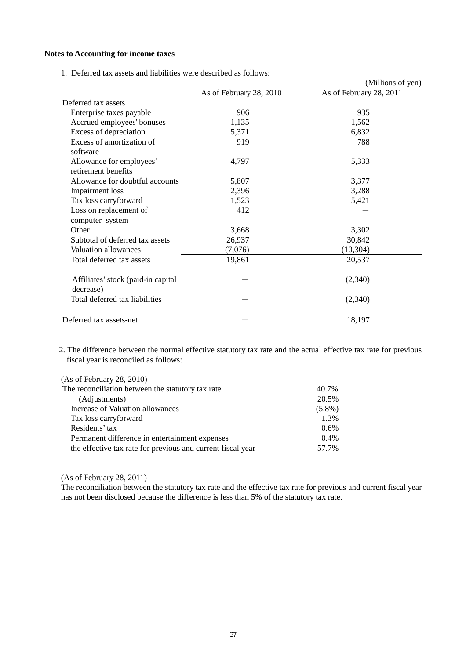### **Notes to Accounting for income taxes**

1. Deferred tax assets and liabilities were described as follows:

|                                                 |                         | (Millions of yen)       |
|-------------------------------------------------|-------------------------|-------------------------|
|                                                 | As of February 28, 2010 | As of February 28, 2011 |
| Deferred tax assets                             |                         |                         |
| Enterprise taxes payable                        | 906                     | 935                     |
| Accrued employees' bonuses                      | 1,135                   | 1,562                   |
| Excess of depreciation                          | 5,371                   | 6,832                   |
| Excess of amortization of<br>software           | 919                     | 788                     |
| Allowance for employees'<br>retirement benefits | 4,797                   | 5,333                   |
| Allowance for doubtful accounts                 | 5,807                   | 3,377                   |
| Impairment loss                                 | 2,396                   | 3,288                   |
| Tax loss carryforward                           | 1,523                   | 5,421                   |
| Loss on replacement of<br>computer system       | 412                     |                         |
| Other                                           | 3,668                   | 3,302                   |
| Subtotal of deferred tax assets                 | 26,937                  | 30,842                  |
| Valuation allowances                            | (7,076)                 | (10, 304)               |
| Total deferred tax assets                       | 19,861                  | 20,537                  |
| Affiliates' stock (paid-in capital<br>decrease) |                         | (2,340)                 |
| Total deferred tax liabilities                  |                         | (2,340)                 |
| Deferred tax assets-net                         |                         | 18,197                  |

2. The difference between the normal effective statutory tax rate and the actual effective tax rate for previous fiscal year is reconciled as follows:

| (As of February 28, 2010)                                   |           |
|-------------------------------------------------------------|-----------|
| The reconciliation between the statutory tax rate           | 40.7%     |
| (Adjustments)                                               | 20.5%     |
| Increase of Valuation allowances                            | $(5.8\%)$ |
| Tax loss carryforward                                       | 1.3%      |
| Residents' tax                                              | 0.6%      |
| Permanent difference in entertainment expenses              | 0.4%      |
| the effective tax rate for previous and current fiscal year | 57.7%     |
|                                                             |           |

(As of February 28, 2011)

The reconciliation between the statutory tax rate and the effective tax rate for previous and current fiscal year has not been disclosed because the difference is less than 5% of the statutory tax rate.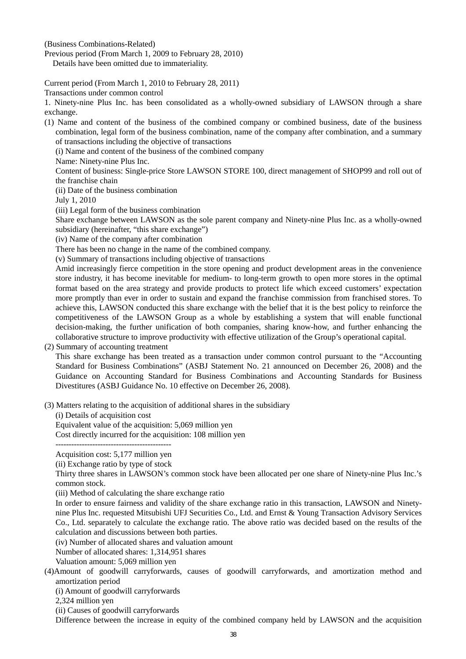(Business Combinations-Related)

Previous period (From March 1, 2009 to February 28, 2010)

Details have been omitted due to immateriality.

Current period (From March 1, 2010 to February 28, 2011)

Transactions under common control

1. Ninety-nine Plus Inc. has been consolidated as a wholly-owned subsidiary of LAWSON through a share exchange.

(1) Name and content of the business of the combined company or combined business, date of the business combination, legal form of the business combination, name of the company after combination, and a summary of transactions including the objective of transactions

(i) Name and content of the business of the combined company

Name: Ninety-nine Plus Inc.

Content of business: Single-price Store LAWSON STORE 100, direct management of SHOP99 and roll out of the franchise chain

(ii) Date of the business combination

July 1, 2010

(iii) Legal form of the business combination

Share exchange between LAWSON as the sole parent company and Ninety-nine Plus Inc. as a wholly-owned subsidiary (hereinafter, "this share exchange")

(iv) Name of the company after combination

There has been no change in the name of the combined company.

(v) Summary of transactions including objective of transactions

Amid increasingly fierce competition in the store opening and product development areas in the convenience store industry, it has become inevitable for medium- to long-term growth to open more stores in the optimal format based on the area strategy and provide products to protect life which exceed customers' expectation more promptly than ever in order to sustain and expand the franchise commission from franchised stores. To achieve this, LAWSON conducted this share exchange with the belief that it is the best policy to reinforce the competitiveness of the LAWSON Group as a whole by establishing a system that will enable functional decision-making, the further unification of both companies, sharing know-how, and further enhancing the collaborative structure to improve productivity with effective utilization of the Group's operational capital.

(2) Summary of accounting treatment

This share exchange has been treated as a transaction under common control pursuant to the "Accounting Standard for Business Combinations" (ASBJ Statement No. 21 announced on December 26, 2008) and the Guidance on Accounting Standard for Business Combinations and Accounting Standards for Business Divestitures (ASBJ Guidance No. 10 effective on December 26, 2008).

(3) Matters relating to the acquisition of additional shares in the subsidiary

(i) Details of acquisition cost

Equivalent value of the acquisition: 5,069 million yen

Cost directly incurred for the acquisition: 108 million yen

--------------------------------------------

Acquisition cost: 5,177 million yen

(ii) Exchange ratio by type of stock

Thirty three shares in LAWSON's common stock have been allocated per one share of Ninety-nine Plus Inc.'s common stock.

(iii) Method of calculating the share exchange ratio

In order to ensure fairness and validity of the share exchange ratio in this transaction, LAWSON and Ninetynine Plus Inc. requested Mitsubishi UFJ Securities Co., Ltd. and Ernst & Young Transaction Advisory Services Co., Ltd. separately to calculate the exchange ratio. The above ratio was decided based on the results of the calculation and discussions between both parties.

(iv) Number of allocated shares and valuation amount

Number of allocated shares: 1,314,951 shares

Valuation amount: 5,069 million yen

(4)Amount of goodwill carryforwards, causes of goodwill carryforwards, and amortization method and amortization period

(i) Amount of goodwill carryforwards

2,324 million yen

(ii) Causes of goodwill carryforwards

Difference between the increase in equity of the combined company held by LAWSON and the acquisition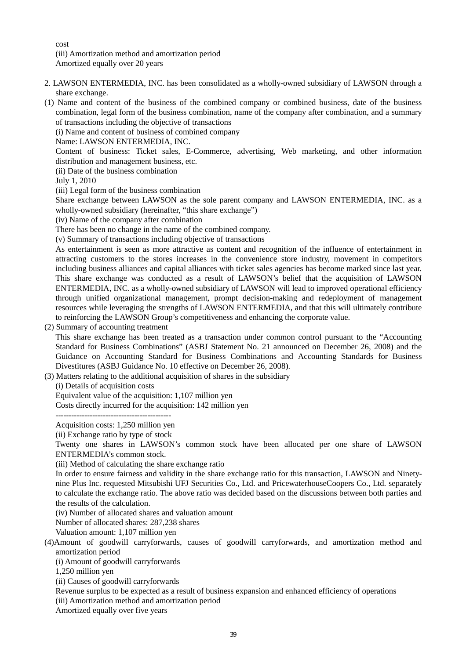cost (iii) Amortization method and amortization period Amortized equally over 20 years

- 2. LAWSON ENTERMEDIA, INC. has been consolidated as a wholly-owned subsidiary of LAWSON through a share exchange.
- (1) Name and content of the business of the combined company or combined business, date of the business combination, legal form of the business combination, name of the company after combination, and a summary of transactions including the objective of transactions
	- (i) Name and content of business of combined company

Name: LAWSON ENTERMEDIA, INC.

Content of business: Ticket sales, E-Commerce, advertising, Web marketing, and other information distribution and management business, etc.

(ii) Date of the business combination

July 1, 2010

(iii) Legal form of the business combination

Share exchange between LAWSON as the sole parent company and LAWSON ENTERMEDIA, INC. as a wholly-owned subsidiary (hereinafter, "this share exchange")

(iv) Name of the company after combination

There has been no change in the name of the combined company.

(v) Summary of transactions including objective of transactions

As entertainment is seen as more attractive as content and recognition of the influence of entertainment in attracting customers to the stores increases in the convenience store industry, movement in competitors including business alliances and capital alliances with ticket sales agencies has become marked since last year. This share exchange was conducted as a result of LAWSON's belief that the acquisition of LAWSON ENTERMEDIA, INC. as a wholly-owned subsidiary of LAWSON will lead to improved operational efficiency through unified organizational management, prompt decision-making and redeployment of management resources while leveraging the strengths of LAWSON ENTERMEDIA, and that this will ultimately contribute to reinforcing the LAWSON Group's competitiveness and enhancing the corporate value.

### (2) Summary of accounting treatment

This share exchange has been treated as a transaction under common control pursuant to the "Accounting Standard for Business Combinations" (ASBJ Statement No. 21 announced on December 26, 2008) and the Guidance on Accounting Standard for Business Combinations and Accounting Standards for Business Divestitures (ASBJ Guidance No. 10 effective on December 26, 2008).

(3) Matters relating to the additional acquisition of shares in the subsidiary

(i) Details of acquisition costs

Equivalent value of the acquisition: 1,107 million yen

Costs directly incurred for the acquisition: 142 million yen

--------------------------------------------

Acquisition costs: 1,250 million yen

(ii) Exchange ratio by type of stock

Twenty one shares in LAWSON's common stock have been allocated per one share of LAWSON ENTERMEDIA's common stock.

(iii) Method of calculating the share exchange ratio

In order to ensure fairness and validity in the share exchange ratio for this transaction, LAWSON and Ninetynine Plus Inc. requested Mitsubishi UFJ Securities Co., Ltd. and PricewaterhouseCoopers Co., Ltd. separately to calculate the exchange ratio. The above ratio was decided based on the discussions between both parties and the results of the calculation.

(iv) Number of allocated shares and valuation amount

Number of allocated shares: 287,238 shares

Valuation amount: 1,107 million yen

(4)Amount of goodwill carryforwards, causes of goodwill carryforwards, and amortization method and amortization period

(i) Amount of goodwill carryforwards

1,250 million yen

(ii) Causes of goodwill carryforwards

Revenue surplus to be expected as a result of business expansion and enhanced efficiency of operations

(iii) Amortization method and amortization period

Amortized equally over five years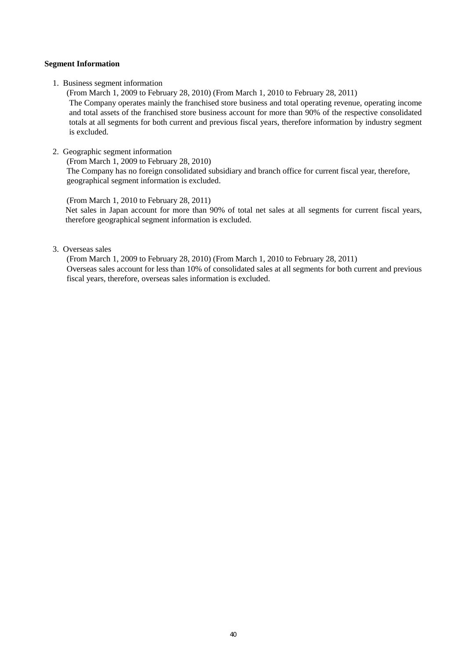### **Segment Information**

1. Business segment information

(From March 1, 2009 to February 28, 2010) (From March 1, 2010 to February 28, 2011) The Company operates mainly the franchised store business and total operating revenue, operating income and total assets of the franchised store business account for more than 90% of the respective consolidated totals at all segments for both current and previous fiscal years, therefore information by industry segment is excluded.

2. Geographic segment information

(From March 1, 2009 to February 28, 2010) The Company has no foreign consolidated subsidiary and branch office for current fiscal year, therefore, geographical segment information is excluded.

(From March 1, 2010 to February 28, 2011) Net sales in Japan account for more than 90% of total net sales at all segments for current fiscal years, therefore geographical segment information is excluded.

## 3. Overseas sales

(From March 1, 2009 to February 28, 2010) (From March 1, 2010 to February 28, 2011) Overseas sales account for less than 10% of consolidated sales at all segments for both current and previous fiscal years, therefore, overseas sales information is excluded.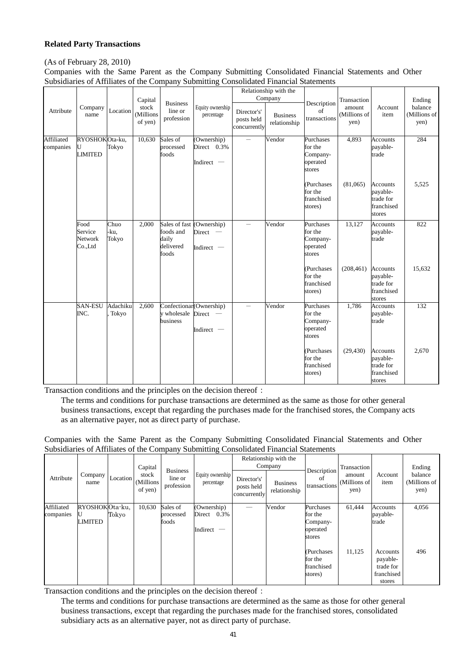## **Related Party Transactions**

## (As of February 28, 2010)

Companies with the Same Parent as the Company Submitting Consolidated Financial Statements and Other Subsidiaries of Affiliates of the Company Submitting Consolidated Financial Statements

| Attribute               | Company<br>name                              | Location              | Capital<br>stock<br>(Millions<br>of yen) | <b>Business</b><br>line or<br>profession                  | Equity ownership<br>percentage                       | Director's'<br>posts held<br>concurrently | Relationship with the<br>Company<br><b>Business</b><br>relationship | Description<br>of<br>transactions                      | Transaction<br>amount<br>(Millions of<br>yen) | Account<br>item                                                  | Ending<br>balance<br>(Millions of<br>yen) |
|-------------------------|----------------------------------------------|-----------------------|------------------------------------------|-----------------------------------------------------------|------------------------------------------------------|-------------------------------------------|---------------------------------------------------------------------|--------------------------------------------------------|-----------------------------------------------|------------------------------------------------------------------|-------------------------------------------|
| Affiliated<br>companies | RYOSHOKOta-ku,<br>U<br><b>LIMITED</b>        | Tokyo                 | 10,630                                   | Sales of<br>processed<br>foods                            | (Ownership)<br>Direct 0.3%<br>Indirect -             | $\equiv$                                  | Vendor                                                              | Purchases<br>for the<br>Company-<br>operated<br>stores | 4,893                                         | <b>Accounts</b><br>payable-<br>trade                             | 284                                       |
|                         |                                              |                       |                                          |                                                           |                                                      |                                           |                                                                     | (Purchases<br>for the<br>franchised<br>stores)         | (81.065)                                      | <b>Accounts</b><br>payable-<br>trade for<br>franchised<br>stores | 5.525                                     |
|                         | Food<br>Service<br><b>Network</b><br>Co.,Ltd | Chuo<br>-ku,<br>Tokyo | 2,000                                    | Sales of fast<br>foods and<br>daily<br>delivered<br>foods | (Ownership)<br>Direct -<br>Indirect -                | $\equiv$                                  | Vendor                                                              | Purchases<br>for the<br>Company-<br>operated<br>stores | 13,127                                        | <b>Accounts</b><br>payable-<br>trade                             | 822                                       |
|                         |                                              |                       |                                          |                                                           |                                                      |                                           |                                                                     | (Purchases<br>for the<br>franchised<br>stores)         | (208, 461)                                    | <b>Accounts</b><br>payable-<br>trade for<br>franchised<br>stores | 15,632                                    |
|                         | <b>SAN-ESU</b><br>INC.                       | Adachiku<br>Tokyo     | 2,600                                    | y wholesale<br>business                                   | Confectionar (Ownership)<br>$Direct -$<br>Indirect - |                                           | Vendor                                                              | Purchases<br>for the<br>Company-<br>operated<br>stores | 1,786                                         | Accounts<br>payable-<br>trade                                    | 132                                       |
|                         |                                              |                       |                                          |                                                           |                                                      |                                           |                                                                     | (Purchases<br>for the<br>franchised<br>stores)         | (29, 430)                                     | <b>Accounts</b><br>payable-<br>trade for<br>franchised<br>stores | 2,670                                     |

Transaction conditions and the principles on the decision thereof:

The terms and conditions for purchase transactions are determined as the same as those for other general business transactions, except that regarding the purchases made for the franchised stores, the Company acts as an alternative payer, not as direct party of purchase.

Companies with the Same Parent as the Company Submitting Consolidated Financial Statements and Other Subsidiaries of Affiliates of the Company Submitting Consolidated Financial Statements

|                         |                           |          | Capital                        |                                          |                                               |                                           | Relationship with the<br>Company |                                                        | Transaction                    |                                                           | Ending                          |
|-------------------------|---------------------------|----------|--------------------------------|------------------------------------------|-----------------------------------------------|-------------------------------------------|----------------------------------|--------------------------------------------------------|--------------------------------|-----------------------------------------------------------|---------------------------------|
| Attribute               | Company<br>name           | Location | stock<br>(Millions)<br>of yen) | <b>Business</b><br>line or<br>profession | Equity ownership<br>percentage                | Director's'<br>posts held<br>concurrently | <b>Business</b><br>relationship  | Description<br>of<br>transactions                      | amount<br>(Millions of<br>yen) | Account<br>item                                           | balance<br>(Millions of<br>yen) |
| Affiliated<br>companies | RYOSHOKOta-ku.<br>LIMITED | Tokyo    | 10,630                         | Sales of<br>processed<br>foods           | (Ownership)<br>Direct<br>0.3%<br>Indirect $-$ |                                           | Vendor                           | Purchases<br>for the<br>Company-<br>operated<br>stores | 61,444                         | Accounts<br>payable-<br>trade                             | 4,056                           |
|                         |                           |          |                                |                                          |                                               |                                           |                                  | (Purchases)<br>for the<br>franchised<br>stores)        | 11,125                         | Accounts<br>payable-<br>trade for<br>franchised<br>stores | 496                             |

Transaction conditions and the principles on the decision thereof:

The terms and conditions for purchase transactions are determined as the same as those for other general business transactions, except that regarding the purchases made for the franchised stores, consolidated subsidiary acts as an alternative payer, not as direct party of purchase.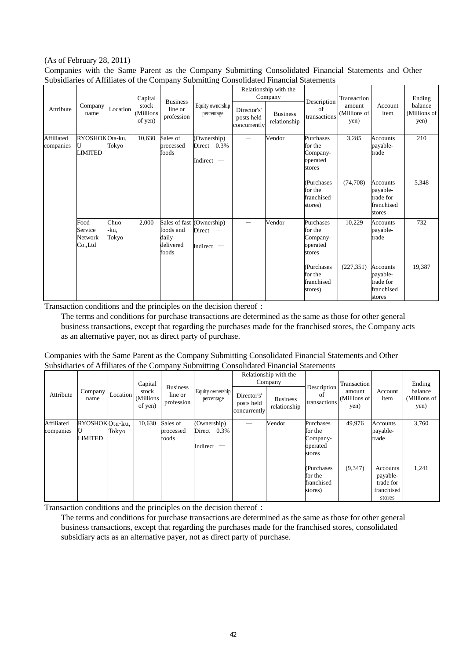## (As of February 28, 2011)

Companies with the Same Parent as the Company Submitting Consolidated Financial Statements and Other Subsidiaries of Affiliates of the Company Submitting Consolidated Financial Statements

| Attribute               | Company<br>name                       | Location              | Capital<br>stock<br>(Millions<br>of yen) | <b>Business</b><br>line or<br>profession                  | Equity ownership<br>percentage             | Director's'<br>posts held<br>concurrently | Relationship with the<br>Company<br><b>Business</b><br>relationship | Description<br>of<br>transactions                      | Transaction<br>amount<br>(Millions of<br>yen) | Account<br>item                                           | Ending<br>balance<br>(Millions of<br>yen) |
|-------------------------|---------------------------------------|-----------------------|------------------------------------------|-----------------------------------------------------------|--------------------------------------------|-------------------------------------------|---------------------------------------------------------------------|--------------------------------------------------------|-----------------------------------------------|-----------------------------------------------------------|-------------------------------------------|
| Affiliated<br>companies | RYOSHOKOta-ku,<br>U<br><b>LIMITED</b> | Tokyo                 | 10,630                                   | Sales of<br>processed<br>foods                            | Ownership)<br>Direct $0.3\%$<br>Indirect - | $\overline{\phantom{0}}$                  | Vendor                                                              | Purchases<br>for the<br>Company-<br>operated<br>stores | 3,285                                         | <b>Accounts</b><br>payable-<br>trade                      | 210                                       |
|                         |                                       |                       |                                          |                                                           |                                            |                                           |                                                                     | (Purchases<br>for the<br>franchised<br>stores)         | (74,708)                                      | Accounts<br>payable-<br>trade for<br>franchised<br>stores | 5,348                                     |
|                         | Food<br>Service<br>Network<br>Co.,Ltd | Chuo<br>-ku,<br>Tokyo | 2,000                                    | Sales of fast<br>foods and<br>daily<br>delivered<br>foods | (Ownership)<br>Direct<br>Indirect -        |                                           | Vendor                                                              | Purchases<br>for the<br>Company-<br>operated<br>stores | 10,229                                        | <b>Accounts</b><br>payable-<br>trade                      | 732                                       |
|                         |                                       |                       |                                          |                                                           |                                            |                                           |                                                                     | (Purchases)<br>for the<br>franchised<br>stores)        | (227, 351)                                    | Accounts<br>payable-<br>trade for<br>franchised<br>stores | 19,387                                    |

Transaction conditions and the principles on the decision thereof:

The terms and conditions for purchase transactions are determined as the same as those for other general business transactions, except that regarding the purchases made for the franchised stores, the Company acts as an alternative payer, not as direct party of purchase.

| Attribute               | Company<br>name                  | Location | Capital<br>stock<br>(Millions<br>of yen) | <b>Business</b><br>line or<br>profession | ∘<br>Equity ownership<br>percentage           | Director's'<br>posts held<br>concurrently | Relationship with the<br>Company<br><b>Business</b><br>relationship | Description<br>of<br>transactions                      | Transaction<br>amount<br>(Millions of<br>yen) | Account<br>item                                           | Ending<br>balance<br>(Millions of<br>yen) |
|-------------------------|----------------------------------|----------|------------------------------------------|------------------------------------------|-----------------------------------------------|-------------------------------------------|---------------------------------------------------------------------|--------------------------------------------------------|-----------------------------------------------|-----------------------------------------------------------|-------------------------------------------|
| Affiliated<br>companies | RYOSHOKOta-ku,<br><b>LIMITED</b> | Tokyo    | 10,630                                   | Sales of<br>processed<br>foods           | (Ownership)<br>0.3%<br>Direct<br>Indirect $-$ |                                           | Vendor                                                              | Purchases<br>for the<br>Company-<br>operated<br>stores | 49,976                                        | Accounts<br>payable-<br>trade                             | 3,760                                     |
|                         |                                  |          |                                          |                                          |                                               |                                           |                                                                     | (Purchases)<br>for the<br>franchised<br>stores)        | (9,347)                                       | Accounts<br>payable-<br>trade for<br>franchised<br>stores | 1,241                                     |

### Companies with the Same Parent as the Company Submitting Consolidated Financial Statements and Other Subsidiaries of Affiliates of the Company Submitting Consolidated Financial Statements

Transaction conditions and the principles on the decision thereof:

The terms and conditions for purchase transactions are determined as the same as those for other general business transactions, except that regarding the purchases made for the franchised stores, consolidated subsidiary acts as an alternative payer, not as direct party of purchase.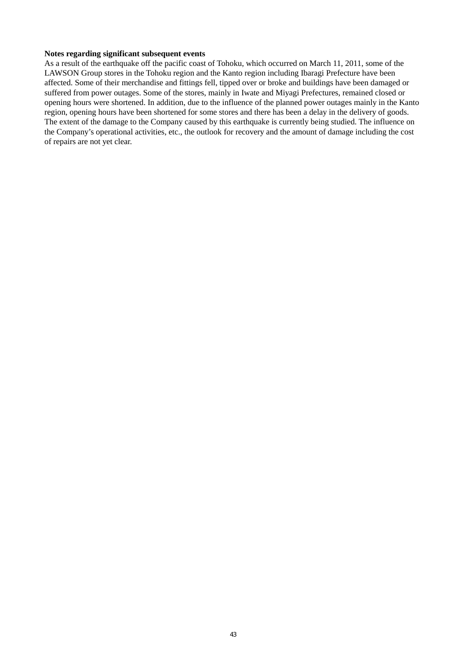### **Notes regarding significant subsequent events**

As a result of the earthquake off the pacific coast of Tohoku, which occurred on March 11, 2011, some of the LAWSON Group stores in the Tohoku region and the Kanto region including Ibaragi Prefecture have been affected. Some of their merchandise and fittings fell, tipped over or broke and buildings have been damaged or suffered from power outages. Some of the stores, mainly in Iwate and Miyagi Prefectures, remained closed or opening hours were shortened. In addition, due to the influence of the planned power outages mainly in the Kanto region, opening hours have been shortened for some stores and there has been a delay in the delivery of goods. The extent of the damage to the Company caused by this earthquake is currently being studied. The influence on the Company's operational activities, etc., the outlook for recovery and the amount of damage including the cost of repairs are not yet clear.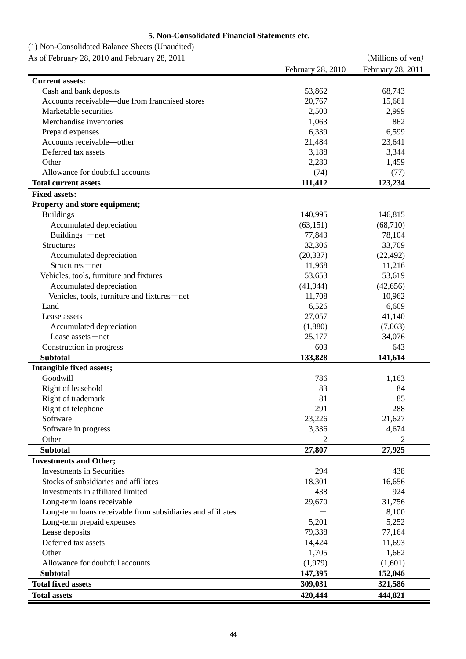# **5. Non-Consolidated Financial Statements etc.**

| (1) Non-Consolidated Balance Sheets (Unaudited) |  |
|-------------------------------------------------|--|
|-------------------------------------------------|--|

| As of February 28, 2010 and February 28, 2011               |                   | (Millions of yen) |
|-------------------------------------------------------------|-------------------|-------------------|
|                                                             | February 28, 2010 | February 28, 2011 |
| <b>Current assets:</b>                                      |                   |                   |
| Cash and bank deposits                                      | 53,862            | 68,743            |
| Accounts receivable—due from franchised stores              | 20,767            | 15,661            |
| Marketable securities                                       | 2,500             | 2,999             |
| Merchandise inventories                                     | 1,063             | 862               |
| Prepaid expenses                                            | 6,339             | 6,599             |
| Accounts receivable—other                                   | 21,484            | 23,641            |
| Deferred tax assets                                         | 3,188             | 3,344             |
| Other                                                       | 2,280             | 1,459             |
| Allowance for doubtful accounts                             | (74)              | (77)              |
| <b>Total current assets</b>                                 | 111,412           | 123,234           |
| <b>Fixed assets:</b>                                        |                   |                   |
| Property and store equipment;                               |                   |                   |
| <b>Buildings</b>                                            | 140,995           | 146,815           |
| Accumulated depreciation                                    | (63, 151)         | (68, 710)         |
| Buildings $-net$                                            | 77,843            | 78,104            |
| <b>Structures</b>                                           | 32,306            | 33,709            |
|                                                             |                   |                   |
| Accumulated depreciation                                    | (20, 337)         | (22, 492)         |
| Structures-net                                              | 11,968            | 11,216            |
| Vehicles, tools, furniture and fixtures                     | 53,653            | 53,619            |
| Accumulated depreciation                                    | (41, 944)         | (42, 656)         |
| Vehicles, tools, furniture and fixtures – net               | 11,708            | 10,962            |
| Land                                                        | 6,526             | 6,609             |
| Lease assets                                                | 27,057            | 41,140            |
| Accumulated depreciation                                    | (1,880)           | (7,063)           |
| Lease $asserts$ - net                                       | 25,177            | 34,076            |
| Construction in progress                                    | 603               | 643               |
| <b>Subtotal</b>                                             | 133,828           | 141,614           |
| Intangible fixed assets;                                    |                   |                   |
| Goodwill                                                    | 786               | 1,163             |
| Right of leasehold                                          | 83                | 84                |
| Right of trademark                                          | 81                | 85                |
| Right of telephone                                          | 291               | 288               |
| Software                                                    | 23,226            | 21,627            |
| Software in progress                                        | 3,336             | 4,674             |
| Other                                                       | 2                 | 2                 |
| <b>Subtotal</b>                                             | 27,807            | 27,925            |
| <b>Investments and Other;</b>                               |                   |                   |
| <b>Investments in Securities</b>                            | 294               | 438               |
| Stocks of subsidiaries and affiliates                       | 18,301            | 16,656            |
| Investments in affiliated limited                           | 438               | 924               |
| Long-term loans receivable                                  | 29,670            | 31,756            |
| Long-term loans receivable from subsidiaries and affiliates |                   | 8,100             |
| Long-term prepaid expenses                                  | 5,201             | 5,252             |
| Lease deposits                                              | 79,338            | 77,164            |
| Deferred tax assets                                         | 14,424            | 11,693            |
| Other                                                       | 1,705             | 1,662             |
| Allowance for doubtful accounts                             | (1,979)           | (1,601)           |
| <b>Subtotal</b>                                             | 147,395           | 152,046           |
| <b>Total fixed assets</b>                                   | 309,031           | 321,586           |
| <b>Total assets</b>                                         | 420,444           | 444,821           |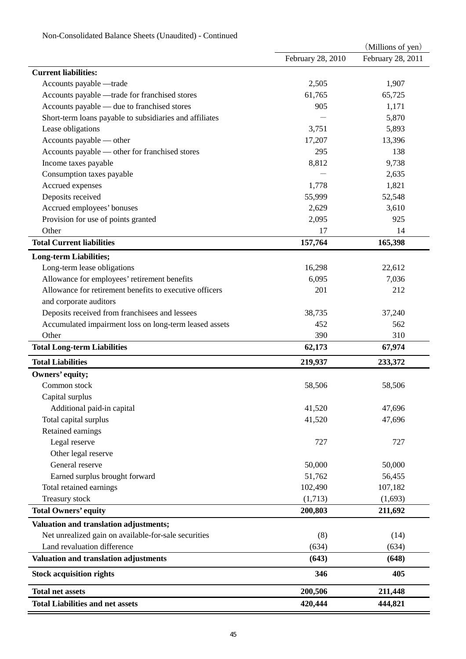|                                                         |                   | (Millions of yen) |
|---------------------------------------------------------|-------------------|-------------------|
|                                                         | February 28, 2010 | February 28, 2011 |
| <b>Current liabilities:</b>                             |                   |                   |
| Accounts payable -trade                                 | 2,505             | 1,907             |
| Accounts payable - trade for franchised stores          | 61,765            | 65,725            |
| Accounts payable — due to franchised stores             | 905               | 1,171             |
| Short-term loans payable to subsidiaries and affiliates |                   | 5,870             |
| Lease obligations                                       | 3,751             | 5,893             |
| Accounts payable — other                                | 17,207            | 13,396            |
| Accounts payable — other for franchised stores          | 295               | 138               |
| Income taxes payable                                    | 8,812             | 9,738             |
| Consumption taxes payable                               |                   | 2,635             |
| Accrued expenses                                        | 1,778             | 1,821             |
| Deposits received                                       | 55,999            | 52,548            |
| Accrued employees' bonuses                              | 2,629             | 3,610             |
| Provision for use of points granted                     | 2,095             | 925               |
| Other                                                   | 17                | 14                |
| <b>Total Current liabilities</b>                        | 157,764           | 165,398           |
| <b>Long-term Liabilities;</b>                           |                   |                   |
| Long-term lease obligations                             | 16,298            | 22,612            |
| Allowance for employees' retirement benefits            | 6,095             | 7,036             |
| Allowance for retirement benefits to executive officers | 201               | 212               |
| and corporate auditors                                  |                   |                   |
| Deposits received from franchisees and lessees          | 38,735            | 37,240            |
| Accumulated impairment loss on long-term leased assets  | 452               | 562               |
| Other                                                   | 390               | 310               |
| <b>Total Long-term Liabilities</b>                      | 62,173            | 67,974            |
| <b>Total Liabilities</b>                                | 219,937           | 233,372           |
| Owners' equity;                                         |                   |                   |
| Common stock                                            | 58,506            | 58,506            |
| Capital surplus                                         |                   |                   |
| Additional paid-in capital                              | 41,520            | 47,696            |
| Total capital surplus                                   | 41,520            | 47,696            |
| Retained earnings                                       |                   |                   |
| Legal reserve                                           | 727               | 727               |
| Other legal reserve                                     |                   |                   |
| General reserve                                         | 50,000            | 50,000            |
| Earned surplus brought forward                          | 51,762            | 56,455            |
| Total retained earnings                                 | 102,490           | 107,182           |
| Treasury stock                                          | (1,713)           | (1,693)           |
| <b>Total Owners' equity</b>                             | 200,803           | 211,692           |
| Valuation and translation adjustments;                  |                   |                   |
| Net unrealized gain on available-for-sale securities    |                   |                   |
| Land revaluation difference                             | (8)               | (14)              |
|                                                         | (634)<br>(643)    | (634)             |
| Valuation and translation adjustments                   |                   | (648)             |
| <b>Stock acquisition rights</b>                         | 346               | 405               |
| <b>Total net assets</b>                                 | 200,506           | 211,448           |
| <b>Total Liabilities and net assets</b>                 | 420,444           | 444,821           |

# Non-Consolidated Balance Sheets (Unaudited) - Continued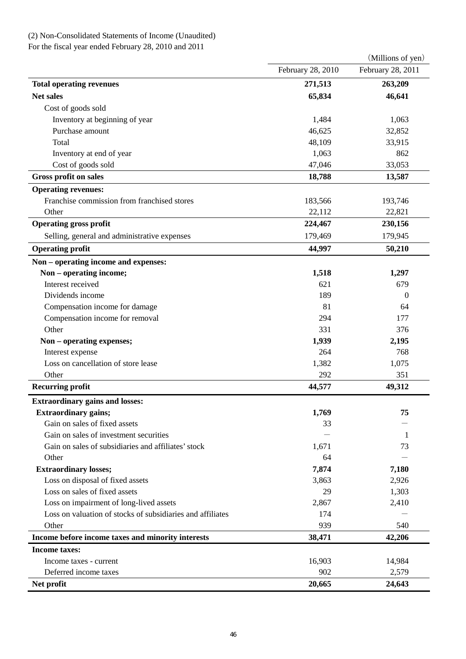# (2) Non-Consolidated Statements of Income (Unaudited)

For the fiscal year ended February 28, 2010 and 2011

|                                                            |                   | (Millions of yen) |
|------------------------------------------------------------|-------------------|-------------------|
|                                                            | February 28, 2010 | February 28, 2011 |
| <b>Total operating revenues</b>                            | 271,513           | 263,209           |
| <b>Net sales</b>                                           | 65,834            | 46,641            |
| Cost of goods sold                                         |                   |                   |
| Inventory at beginning of year                             | 1,484             | 1,063             |
| Purchase amount                                            | 46,625            | 32,852            |
| Total                                                      | 48,109            | 33,915            |
| Inventory at end of year                                   | 1,063             | 862               |
| Cost of goods sold                                         | 47,046            | 33,053            |
| <b>Gross profit on sales</b>                               | 18,788            | 13,587            |
| <b>Operating revenues:</b>                                 |                   |                   |
| Franchise commission from franchised stores                | 183,566           | 193,746           |
| Other                                                      | 22,112            | 22,821            |
| <b>Operating gross profit</b>                              | 224,467           | 230,156           |
| Selling, general and administrative expenses               | 179,469           | 179,945           |
| <b>Operating profit</b>                                    | 44,997            | 50,210            |
| Non - operating income and expenses:                       |                   |                   |
| Non - operating income;                                    | 1,518             | 1,297             |
| Interest received                                          | 621               | 679               |
| Dividends income                                           | 189               | 0                 |
| Compensation income for damage                             | 81                | 64                |
| Compensation income for removal                            | 294               | 177               |
| Other                                                      | 331               | 376               |
| Non - operating expenses;                                  | 1,939             | 2,195             |
| Interest expense                                           | 264               | 768               |
| Loss on cancellation of store lease                        | 1,382             | 1,075             |
| Other                                                      | 292               | 351               |
| <b>Recurring profit</b>                                    | 44,577            | 49,312            |
| <b>Extraordinary gains and losses:</b>                     |                   |                   |
| <b>Extraordinary gains;</b>                                | 1,769             | 75                |
| Gain on sales of fixed assets                              | 33                |                   |
| Gain on sales of investment securities                     |                   | 1                 |
| Gain on sales of subsidiaries and affiliates' stock        | 1,671             | 73                |
| Other                                                      | 64                |                   |
| <b>Extraordinary losses;</b>                               | 7,874             | 7,180             |
| Loss on disposal of fixed assets                           | 3,863             | 2,926             |
| Loss on sales of fixed assets                              | 29                | 1,303             |
| Loss on impairment of long-lived assets                    | 2,867             | 2,410             |
| Loss on valuation of stocks of subsidiaries and affiliates | 174               |                   |
| Other                                                      | 939               | 540               |
| Income before income taxes and minority interests          | 38,471            | 42,206            |
| <b>Income taxes:</b>                                       |                   |                   |
| Income taxes - current                                     | 16,903            | 14,984            |
| Deferred income taxes                                      | 902               | 2,579             |
| Net profit                                                 | 20,665            | 24,643            |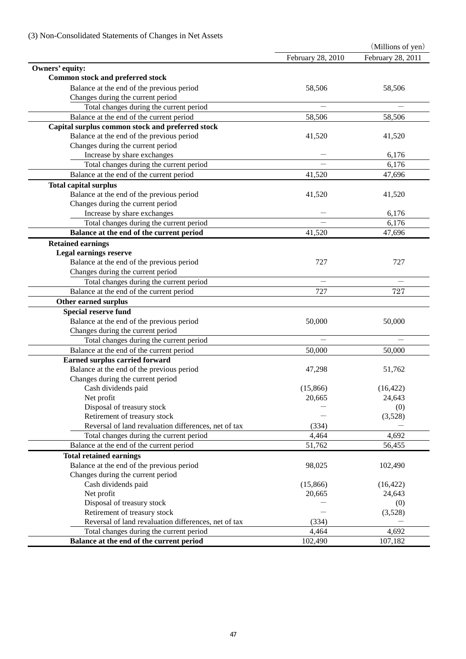|                                                      |                   | (Millions of yen) |
|------------------------------------------------------|-------------------|-------------------|
|                                                      | February 28, 2010 | February 28, 2011 |
| Owners' equity:                                      |                   |                   |
| <b>Common stock and preferred stock</b>              |                   |                   |
| Balance at the end of the previous period            | 58,506            | 58,506            |
| Changes during the current period                    |                   |                   |
| Total changes during the current period              |                   |                   |
| Balance at the end of the current period             | 58,506            | 58,506            |
| Capital surplus common stock and preferred stock     |                   |                   |
| Balance at the end of the previous period            | 41,520            | 41,520            |
| Changes during the current period                    |                   |                   |
| Increase by share exchanges                          |                   | 6,176             |
| Total changes during the current period              |                   | 6,176             |
| Balance at the end of the current period             | 41,520            | 47,696            |
| <b>Total capital surplus</b>                         |                   |                   |
| Balance at the end of the previous period            | 41,520            | 41,520            |
| Changes during the current period                    |                   |                   |
| Increase by share exchanges                          |                   | 6,176             |
| Total changes during the current period              |                   | 6,176             |
| Balance at the end of the current period             | 41,520            | 47,696            |
| <b>Retained earnings</b>                             |                   |                   |
| <b>Legal earnings reserve</b>                        |                   |                   |
| Balance at the end of the previous period            | 727               | 727               |
| Changes during the current period                    |                   |                   |
| Total changes during the current period              |                   |                   |
| Balance at the end of the current period             | 727               | 727               |
| Other earned surplus                                 |                   |                   |
| <b>Special reserve fund</b>                          |                   |                   |
| Balance at the end of the previous period            | 50,000            | 50,000            |
| Changes during the current period                    |                   |                   |
| Total changes during the current period              |                   |                   |
| Balance at the end of the current period             | 50,000            | 50,000            |
| Earned surplus carried forward                       |                   |                   |
| Balance at the end of the previous period            | 47,298            | 51,762            |
| Changes during the current period                    |                   |                   |
| Cash dividends paid                                  | (15,866)          | (16, 422)         |
| Net profit                                           | 20,665            | 24,643            |
| Disposal of treasury stock                           |                   | (0)               |
| Retirement of treasury stock                         |                   | (3,528)           |
| Reversal of land revaluation differences, net of tax | (334)             |                   |
| Total changes during the current period              | 4,464             | 4,692             |
| Balance at the end of the current period             | 51,762            | 56,455            |
| <b>Total retained earnings</b>                       |                   |                   |
| Balance at the end of the previous period            | 98,025            | 102,490           |
| Changes during the current period                    |                   |                   |
| Cash dividends paid                                  | (15,866)          | (16, 422)         |
| Net profit                                           | 20,665            | 24,643            |
| Disposal of treasury stock                           |                   | (0)               |
| Retirement of treasury stock                         |                   | (3,528)           |
| Reversal of land revaluation differences, net of tax | (334)             |                   |
| Total changes during the current period              | 4,464             | 4,692             |
| Balance at the end of the current period             | 102,490           | 107,182           |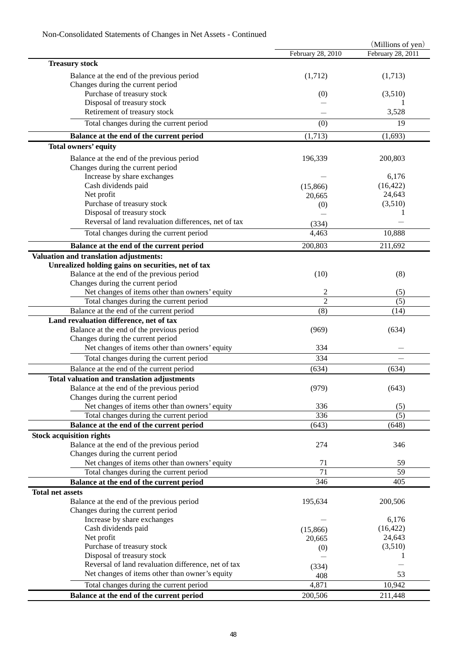|                                                      |                   | (Millions of yen) |
|------------------------------------------------------|-------------------|-------------------|
|                                                      | February 28, 2010 | February 28, 2011 |
| <b>Treasury stock</b>                                |                   |                   |
| Balance at the end of the previous period            | (1,712)           | (1,713)           |
| Changes during the current period                    |                   |                   |
| Purchase of treasury stock                           | (0)               | (3,510)           |
| Disposal of treasury stock                           |                   |                   |
| Retirement of treasury stock                         |                   | 3,528             |
| Total changes during the current period              | (0)               | 19                |
| Balance at the end of the current period             | (1,713)           | (1,693)           |
| Total owners' equity                                 |                   |                   |
|                                                      |                   |                   |
| Balance at the end of the previous period            | 196,339           | 200,803           |
| Changes during the current period                    |                   |                   |
| Increase by share exchanges                          |                   | 6,176             |
| Cash dividends paid                                  | (15,866)          | (16, 422)         |
| Net profit                                           | 20,665            | 24,643            |
| Purchase of treasury stock                           | (0)               | (3,510)           |
| Disposal of treasury stock                           |                   |                   |
| Reversal of land revaluation differences, net of tax | (334)             |                   |
| Total changes during the current period              | 4,463             | 10,888            |
| Balance at the end of the current period             | 200,803           | 211,692           |
| Valuation and translation adjustments:               |                   |                   |
| Unrealized holding gains on securities, net of tax   |                   |                   |
| Balance at the end of the previous period            | (10)              | (8)               |
| Changes during the current period                    |                   |                   |
| Net changes of items other than owners' equity       | 2                 | (5)               |
| Total changes during the current period              | $\overline{2}$    | (5)               |
| Balance at the end of the current period             | (8)               | (14)              |
| Land revaluation difference, net of tax              |                   |                   |
| Balance at the end of the previous period            | (969)             | (634)             |
| Changes during the current period                    |                   |                   |
| Net changes of items other than owners' equity       | 334               |                   |
| Total changes during the current period              | 334               |                   |
| Balance at the end of the current period             | (634)             | (634)             |
|                                                      |                   |                   |
| Total valuation and translation adjustments          |                   |                   |
| Balance at the end of the previous period            | (979)             | (643)             |
| Changes during the current period                    |                   |                   |
| Net changes of items other than owners' equity       | 336               | (5)               |
| Total changes during the current period              | 336               | (5)               |
| Balance at the end of the current period             | (643)             | (648)             |
| <b>Stock acquisition rights</b>                      |                   |                   |
| Balance at the end of the previous period            | 274               | 346               |
| Changes during the current period                    |                   |                   |
| Net changes of items other than owners' equity       | 71                | 59                |
| Total changes during the current period              | 71                | 59                |
| Balance at the end of the current period             | 346               | 405               |
| <b>Total net assets</b>                              |                   |                   |
| Balance at the end of the previous period            | 195,634           | 200,506           |
| Changes during the current period                    |                   |                   |
| Increase by share exchanges                          |                   | 6,176             |
| Cash dividends paid                                  | (15,866)          | (16, 422)         |
| Net profit                                           | 20,665            | 24,643            |
| Purchase of treasury stock                           | (0)               | (3,510)           |
| Disposal of treasury stock                           |                   | 1                 |
| Reversal of land revaluation difference, net of tax  | (334)             |                   |
| Net changes of items other than owner's equity       | 408               | 53                |
| Total changes during the current period              | 4,871             | 10,942            |
| Balance at the end of the current period             | 200,506           | 211,448           |
|                                                      |                   |                   |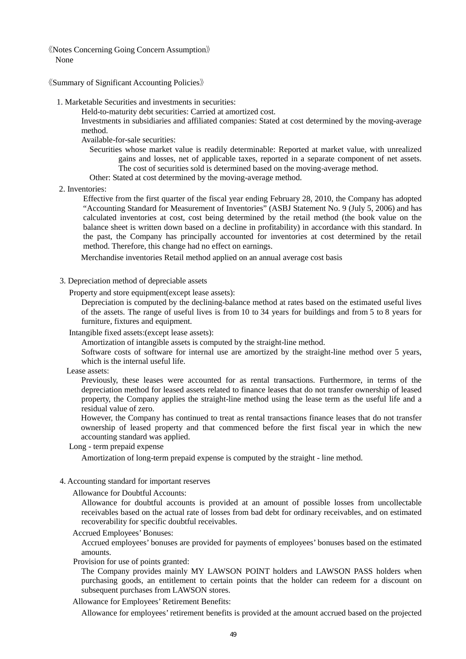《Notes Concerning Going Concern Assumption》 None

《Summary of Significant Accounting Policies》

1. Marketable Securities and investments in securities:

Held-to-maturity debt securities: Carried at amortized cost.

Investments in subsidiaries and affiliated companies: Stated at cost determined by the moving-average method.

Available-for-sale securities:

Securities whose market value is readily determinable: Reported at market value, with unrealized gains and losses, net of applicable taxes, reported in a separate component of net assets. The cost of securities sold is determined based on the moving-average method.

Other: Stated at cost determined by the moving-average method.

2. Inventories:

Effective from the first quarter of the fiscal year ending February 28, 2010, the Company has adopted "Accounting Standard for Measurement of Inventories" (ASBJ Statement No. 9 (July 5, 2006) and has calculated inventories at cost, cost being determined by the retail method (the book value on the balance sheet is written down based on a decline in profitability) in accordance with this standard. In the past, the Company has principally accounted for inventories at cost determined by the retail method. Therefore, this change had no effect on earnings.

Merchandise inventories Retail method applied on an annual average cost basis

3. Depreciation method of depreciable assets

Property and store equipment(except lease assets):

Depreciation is computed by the declining-balance method at rates based on the estimated useful lives of the assets. The range of useful lives is from 10 to 34 years for buildings and from 5 to 8 years for furniture, fixtures and equipment.

Intangible fixed assets:(except lease assets):

Amortization of intangible assets is computed by the straight-line method.

Software costs of software for internal use are amortized by the straight-line method over 5 years, which is the internal useful life.

Lease assets:

Previously, these leases were accounted for as rental transactions. Furthermore, in terms of the depreciation method for leased assets related to finance leases that do not transfer ownership of leased property, the Company applies the straight-line method using the lease term as the useful life and a residual value of zero.

However, the Company has continued to treat as rental transactions finance leases that do not transfer ownership of leased property and that commenced before the first fiscal year in which the new accounting standard was applied.

Long - term prepaid expense

Amortization of long-term prepaid expense is computed by the straight - line method.

- 4. Accounting standard for important reserves
	- Allowance for Doubtful Accounts:

Allowance for doubtful accounts is provided at an amount of possible losses from uncollectable receivables based on the actual rate of losses from bad debt for ordinary receivables, and on estimated recoverability for specific doubtful receivables.

#### Accrued Employees' Bonuses:

Accrued employees' bonuses are provided for payments of employees' bonuses based on the estimated amounts.

Provision for use of points granted:

The Company provides mainly MY LAWSON POINT holders and LAWSON PASS holders when purchasing goods, an entitlement to certain points that the holder can redeem for a discount on subsequent purchases from LAWSON stores.

Allowance for Employees' Retirement Benefits:

Allowance for employees' retirement benefits is provided at the amount accrued based on the projected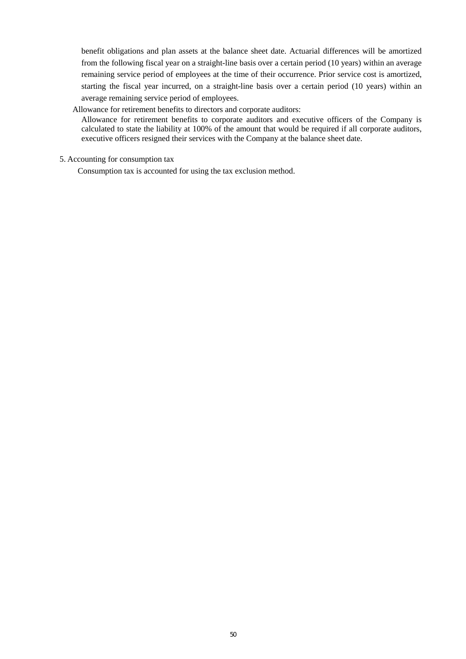benefit obligations and plan assets at the balance sheet date. Actuarial differences will be amortized from the following fiscal year on a straight-line basis over a certain period (10 years) within an average remaining service period of employees at the time of their occurrence. Prior service cost is amortized, starting the fiscal year incurred, on a straight-line basis over a certain period (10 years) within an average remaining service period of employees.

### Allowance for retirement benefits to directors and corporate auditors:

Allowance for retirement benefits to corporate auditors and executive officers of the Company is calculated to state the liability at 100% of the amount that would be required if all corporate auditors, executive officers resigned their services with the Company at the balance sheet date.

## 5. Accounting for consumption tax

Consumption tax is accounted for using the tax exclusion method.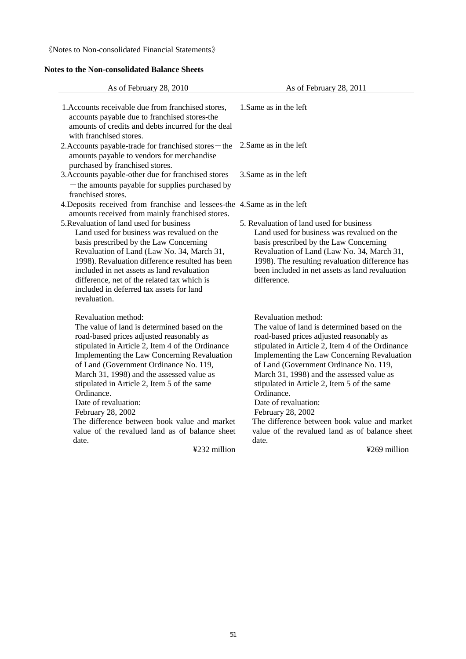《Notes to Non-consolidated Financial Statements》

# **Notes to the Non-consolidated Balance Sheets**

| As of February 28, 2010                                                                                                                                                                                                                                                                                                                                                                                                                                                                                                        | As of February 28, 2011                                                                                                                                                                                                                                                                                                                                                                                                                                                                                                        |
|--------------------------------------------------------------------------------------------------------------------------------------------------------------------------------------------------------------------------------------------------------------------------------------------------------------------------------------------------------------------------------------------------------------------------------------------------------------------------------------------------------------------------------|--------------------------------------------------------------------------------------------------------------------------------------------------------------------------------------------------------------------------------------------------------------------------------------------------------------------------------------------------------------------------------------------------------------------------------------------------------------------------------------------------------------------------------|
| 1. Accounts receivable due from franchised stores,<br>accounts payable due to franchised stores-the<br>amounts of credits and debts incurred for the deal<br>with franchised stores.                                                                                                                                                                                                                                                                                                                                           | 1. Same as in the left                                                                                                                                                                                                                                                                                                                                                                                                                                                                                                         |
| 2. Accounts payable-trade for franchised stores – the<br>amounts payable to vendors for merchandise<br>purchased by franchised stores.                                                                                                                                                                                                                                                                                                                                                                                         | 2. Same as in the left                                                                                                                                                                                                                                                                                                                                                                                                                                                                                                         |
| 3. Accounts payable-other due for franchised stores<br>- the amounts payable for supplies purchased by<br>franchised stores.                                                                                                                                                                                                                                                                                                                                                                                                   | 3. Same as in the left                                                                                                                                                                                                                                                                                                                                                                                                                                                                                                         |
| 4. Deposits received from franchise and lessees-the 4. Same as in the left                                                                                                                                                                                                                                                                                                                                                                                                                                                     |                                                                                                                                                                                                                                                                                                                                                                                                                                                                                                                                |
| amounts received from mainly franchised stores.<br>5. Revaluation of land used for business<br>Land used for business was revalued on the<br>basis prescribed by the Law Concerning<br>Revaluation of Land (Law No. 34, March 31,<br>1998). Revaluation difference resulted has been<br>included in net assets as land revaluation<br>difference, net of the related tax which is<br>included in deferred tax assets for land<br>revaluation.                                                                                  | 5. Revaluation of land used for business<br>Land used for business was revalued on the<br>basis prescribed by the Law Concerning<br>Revaluation of Land (Law No. 34, March 31,<br>1998). The resulting revaluation difference has<br>been included in net assets as land revaluation<br>difference.                                                                                                                                                                                                                            |
| Revaluation method:<br>The value of land is determined based on the<br>road-based prices adjusted reasonably as<br>stipulated in Article 2, Item 4 of the Ordinance<br>Implementing the Law Concerning Revaluation<br>of Land (Government Ordinance No. 119,<br>March 31, 1998) and the assessed value as<br>stipulated in Article 2, Item 5 of the same<br>Ordinance.<br>Date of revaluation:<br>February 28, 2002<br>The difference between book value and market<br>value of the revalued land as of balance sheet<br>date. | Revaluation method:<br>The value of land is determined based on the<br>road-based prices adjusted reasonably as<br>stipulated in Article 2, Item 4 of the Ordinance<br>Implementing the Law Concerning Revaluation<br>of Land (Government Ordinance No. 119,<br>March 31, 1998) and the assessed value as<br>stipulated in Article 2, Item 5 of the same<br>Ordinance.<br>Date of revaluation:<br>February 28, 2002<br>The difference between book value and market<br>value of the revalued land as of balance sheet<br>date. |
| ¥232 million                                                                                                                                                                                                                                                                                                                                                                                                                                                                                                                   | ¥269 million                                                                                                                                                                                                                                                                                                                                                                                                                                                                                                                   |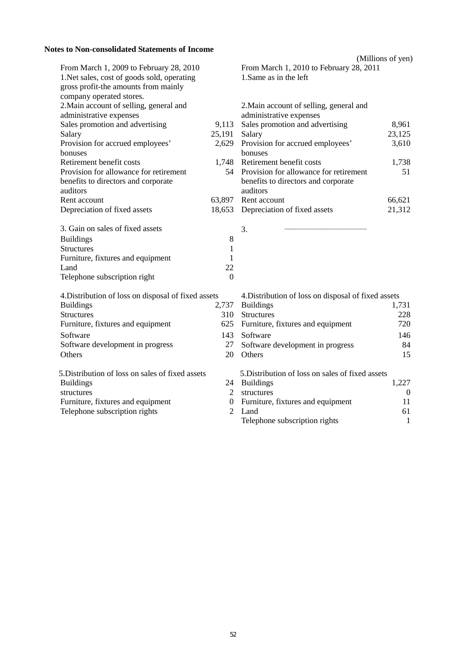# **Notes to Non-consolidated Statements of Income**

|                                                     |                | (Millions of yen)                                   |          |
|-----------------------------------------------------|----------------|-----------------------------------------------------|----------|
| From March 1, 2009 to February 28, 2010             |                | From March 1, 2010 to February 28, 2011             |          |
| 1. Net sales, cost of goods sold, operating         |                | 1. Same as in the left                              |          |
| gross profit-the amounts from mainly                |                |                                                     |          |
| company operated stores.                            |                |                                                     |          |
| 2. Main account of selling, general and             |                | 2. Main account of selling, general and             |          |
| administrative expenses                             |                | administrative expenses                             |          |
| Sales promotion and advertising                     | 9,113          | Sales promotion and advertising                     | 8,961    |
| Salary                                              | 25,191         | Salary                                              | 23,125   |
| Provision for accrued employees'                    | 2,629          | Provision for accrued employees'                    | 3,610    |
| bonuses                                             |                | bonuses                                             |          |
| Retirement benefit costs                            |                | 1,748 Retirement benefit costs                      | 1,738    |
| Provision for allowance for retirement              |                | 54 Provision for allowance for retirement           | 51       |
| benefits to directors and corporate                 |                | benefits to directors and corporate                 |          |
| auditors                                            |                | auditors                                            |          |
| Rent account                                        | 63,897         | Rent account                                        | 66,621   |
| Depreciation of fixed assets                        | 18,653         | Depreciation of fixed assets                        | 21,312   |
| 3. Gain on sales of fixed assets                    |                | 3.                                                  |          |
| <b>Buildings</b>                                    | 8              |                                                     |          |
| <b>Structures</b>                                   | 1              |                                                     |          |
| Furniture, fixtures and equipment                   | 1              |                                                     |          |
| Land                                                | 22             |                                                     |          |
| Telephone subscription right                        | $\overline{0}$ |                                                     |          |
| 4. Distribution of loss on disposal of fixed assets |                | 4. Distribution of loss on disposal of fixed assets |          |
| <b>Buildings</b>                                    | 2,737          | <b>Buildings</b>                                    | 1,731    |
| <b>Structures</b>                                   | 310            | <b>Structures</b>                                   | 228      |
| Furniture, fixtures and equipment                   | 625            | Furniture, fixtures and equipment                   | 720      |
| Software                                            | 143            | Software                                            | 146      |
| Software development in progress                    | 27             | Software development in progress                    | 84       |
| Others                                              | 20             | Others                                              | 15       |
| 5. Distribution of loss on sales of fixed assets    |                | 5. Distribution of loss on sales of fixed assets    |          |
| <b>Buildings</b>                                    |                | 24 Buildings                                        | 1,227    |
|                                                     |                | $\Omega$ . The state of $\Omega$                    | $\Omega$ |

| structures                        | $\mathcal{D}$ | structures                          |    |
|-----------------------------------|---------------|-------------------------------------|----|
| Furniture, fixtures and equipment |               | 0 Furniture, fixtures and equipment |    |
| Telephone subscription rights     |               | Land                                | 61 |
|                                   |               | Telephone subscription rights       |    |
|                                   |               |                                     |    |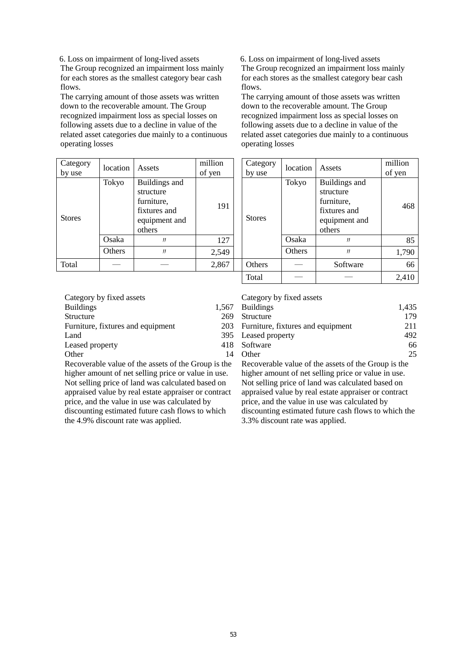6. Loss on impairment of long-lived assets The Group recognized an impairment loss mainly for each stores as the smallest category bear cash flows.

The carrying amount of those assets was written down to the recoverable amount. The Group recognized impairment loss as special losses on following assets due to a decline in value of the related asset categories due mainly to a continuous operating losses

6. Loss on impairment of long-lived assets The Group recognized an impairment loss mainly for each stores as the smallest category bear cash flows.

The carrying amount of those assets was written down to the recoverable amount. The Group recognized impairment loss as special losses on following assets due to a decline in value of the related asset categories due mainly to a continuous operating losses

| Category<br>by use | location | Assets                                                                              | million<br>of yen    |  | Category<br>by use | location | Assets                                                                              | million<br>of yen |
|--------------------|----------|-------------------------------------------------------------------------------------|----------------------|--|--------------------|----------|-------------------------------------------------------------------------------------|-------------------|
| <b>Stores</b>      | Tokyo    | Buildings and<br>structure<br>furniture,<br>fixtures and<br>equipment and<br>others | 191<br><b>Stores</b> |  |                    | Tokyo    | Buildings and<br>structure<br>furniture,<br>fixtures and<br>equipment and<br>others | 468               |
|                    | Osaka    | IJ                                                                                  | 127                  |  |                    | Osaka    | IJ                                                                                  | 85                |
|                    | Others   | J                                                                                   | 2,549                |  |                    | Others   | IJ                                                                                  | 1,790             |
| Total              |          |                                                                                     | 2,867                |  | Others             |          | Software                                                                            | 66                |
|                    |          |                                                                                     |                      |  | Total              |          |                                                                                     | 2,410             |

| Category by fixed assets          | Category by fixed assets              |       |
|-----------------------------------|---------------------------------------|-------|
| <b>Buildings</b><br>1.567         | <b>Buildings</b>                      | 1.435 |
| Structure<br>269                  | Structure                             | 179   |
| Furniture, fixtures and equipment | 203 Furniture, fixtures and equipment | 211   |
| Land                              | 395 Leased property                   | 492   |
| Leased property                   | 418 Software                          | 66    |
| Other                             | Other                                 | 25    |

Recoverable value of the assets of the Group is the higher amount of net selling price or value in use. Not selling price of land was calculated based on appraised value by real estate appraiser or contract price, and the value in use was calculated by discounting estimated future cash flows to which the 4.9% discount rate was applied.

#### Category by fixed assets

| <b>Buildings</b>                  |     | 1,567 Buildings                       | 1.435 |
|-----------------------------------|-----|---------------------------------------|-------|
| Structure                         | 269 | Structure                             | 179   |
| Furniture, fixtures and equipment |     | 203 Furniture, fixtures and equipment | 211   |
| Land                              |     | 395 Leased property                   | 492   |
| Leased property                   |     | 418 Software                          | 66    |
| Other                             | 14  | <b>Other</b>                          | 25    |

Recoverable value of the assets of the Group is the higher amount of net selling price or value in use. Not selling price of land was calculated based on appraised value by real estate appraiser or contract price, and the value in use was calculated by discounting estimated future cash flows to which the 3.3% discount rate was applied.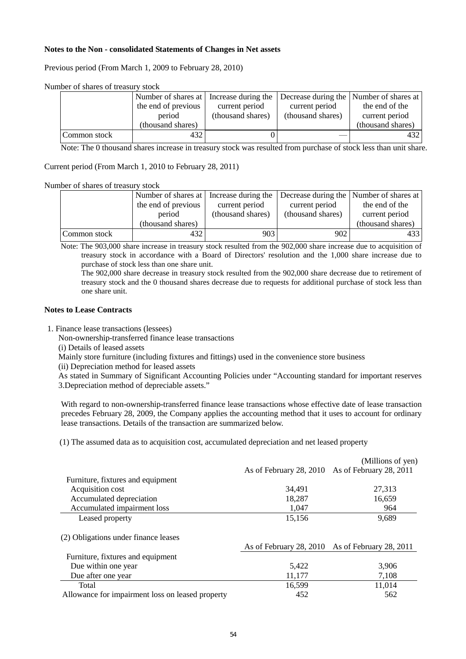### **Notes to the Non - consolidated Statements of Changes in Net assets**

Previous period (From March 1, 2009 to February 28, 2010)

|              |                     |                   |                   | Number of shares at Increase during the Decrease during the Number of shares at |
|--------------|---------------------|-------------------|-------------------|---------------------------------------------------------------------------------|
|              | the end of previous | current period    | current period    | the end of the                                                                  |
|              | period              | (thousand shares) | (thousand shares) | current period                                                                  |
|              | (thousand shares)   |                   |                   | (thousand shares)                                                               |
| Common stock | 432                 |                   |                   | 432                                                                             |

Note: The 0 thousand shares increase in treasury stock was resulted from purchase of stock less than unit share.

### Current period (From March 1, 2010 to February 28, 2011)

Number of shares of treasury stock

|              | Number of shares at Increase during the |                   |                   | Decrease during the Number of shares at |
|--------------|-----------------------------------------|-------------------|-------------------|-----------------------------------------|
|              | the end of previous                     | current period    | current period    | the end of the                          |
|              | period                                  | (thousand shares) | (thousand shares) | current period                          |
|              | (thousand shares)                       |                   |                   | (thousand shares)                       |
| Common stock | 432                                     | 903               | 902               | 433                                     |

Note: The 903,000 share increase in treasury stock resulted from the 902,000 share increase due to acquisition of treasury stock in accordance with a Board of Directors' resolution and the 1,000 share increase due to purchase of stock less than one share unit.

The 902,000 share decrease in treasury stock resulted from the 902,000 share decrease due to retirement of treasury stock and the 0 thousand shares decrease due to requests for additional purchase of stock less than one share unit.

### **Notes to Lease Contracts**

1. Finance lease transactions (lessees)

Non-ownership-transferred finance lease transactions

(i) Details of leased assets

Mainly store furniture (including fixtures and fittings) used in the convenience store business

(ii) Depreciation method for leased assets

As stated in Summary of Significant Accounting Policies under "Accounting standard for important reserves 3.Depreciation method of depreciable assets."

With regard to non-ownership-transferred finance lease transactions whose effective date of lease transaction precedes February 28, 2009, the Company applies the accounting method that it uses to account for ordinary lease transactions. Details of the transaction are summarized below.

(1) The assumed data as to acquisition cost, accumulated depreciation and net leased property

|                                                  |                                                 | (Millions of yen) |
|--------------------------------------------------|-------------------------------------------------|-------------------|
|                                                  | As of February 28, 2010 As of February 28, 2011 |                   |
| Furniture, fixtures and equipment                |                                                 |                   |
| Acquisition cost                                 | 34.491                                          | 27,313            |
| Accumulated depreciation                         | 18,287                                          | 16,659            |
| Accumulated impairment loss                      | 1.047                                           | 964               |
| Leased property                                  | 15,156                                          | 9,689             |
| (2) Obligations under finance leases             | As of February 28, 2010 As of February 28, 2011 |                   |
| Furniture, fixtures and equipment                |                                                 |                   |
| Due within one year                              | 5,422                                           | 3,906             |
| Due after one year                               | 11,177                                          | 7,108             |
| Total                                            | 16,599                                          | 11,014            |
| Allowance for impairment loss on leased property | 452                                             | 562               |
|                                                  |                                                 |                   |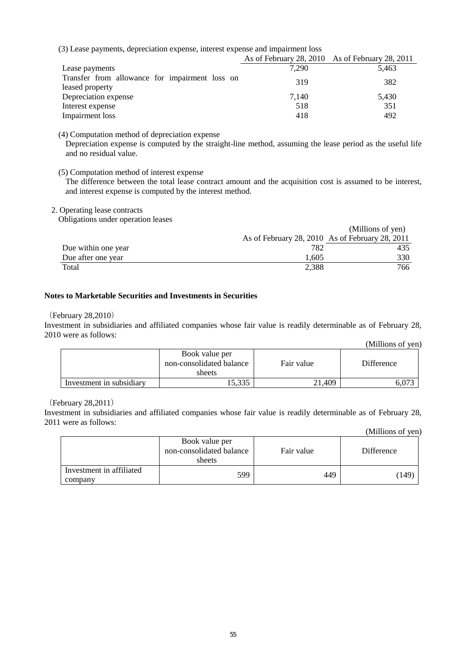(3) Lease payments, depreciation expense, interest expense and impairment loss

|                                                | As of February 28, 2010 As of February 28, 2011 |       |
|------------------------------------------------|-------------------------------------------------|-------|
| Lease payments                                 | 7.290                                           | 5.463 |
| Transfer from allowance for impairment loss on | 319                                             | 382   |
| leased property                                |                                                 |       |
| Depreciation expense                           | 7.140                                           | 5,430 |
| Interest expense                               | 518                                             | 351   |
| Impairment loss                                | 418                                             | 492   |

(4) Computation method of depreciation expense

Depreciation expense is computed by the straight-line method, assuming the lease period as the useful life and no residual value.

(5) Computation method of interest expense

The difference between the total lease contract amount and the acquisition cost is assumed to be interest, and interest expense is computed by the interest method.

2. Operating lease contracts

Obligations under operation leases

|                     |       | (Millions of yen)                               |
|---------------------|-------|-------------------------------------------------|
|                     |       | As of February 28, 2010 As of February 28, 2011 |
| Due within one year | 782   | 435                                             |
| Due after one year  | 1.605 | 330                                             |
| Total               | 2,388 | 766                                             |

### **Notes to Marketable Securities and Investments in Securities**

### (February 28,2010)

Investment in subsidiaries and affiliated companies whose fair value is readily determinable as of February 28, 2010 were as follows:

|                          |                                                      |            | (Millions of yen) |
|--------------------------|------------------------------------------------------|------------|-------------------|
|                          | Book value per<br>non-consolidated balance<br>sheets | Fair value | Difference        |
| Investment in subsidiary | 5,335                                                | 21.409     |                   |

(February 28,2011)

Investment in subsidiaries and affiliated companies whose fair value is readily determinable as of February 28, 2011 were as follows:

|                                     |                                                      |            | (Millions of yen) |
|-------------------------------------|------------------------------------------------------|------------|-------------------|
|                                     | Book value per<br>non-consolidated balance<br>sheets | Fair value | Difference        |
| Investment in affiliated<br>company | 599                                                  | 449        | (149)             |